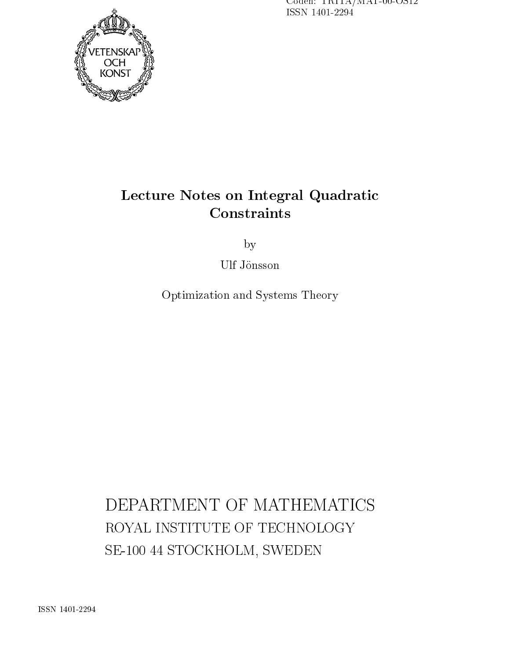Coden: TRITA/MAT-00-OS12 ISSN 1401-2294



# Le
ture Notes on Integral Quadrati

by

Ulf Jönsson

Optimization and Systems Theory

DEPARTMENT OF MATHEMATICS ROYAL INSTITUTE OF TECHNOLOGY SE-100 44 STOCKHOLM, SWEDEN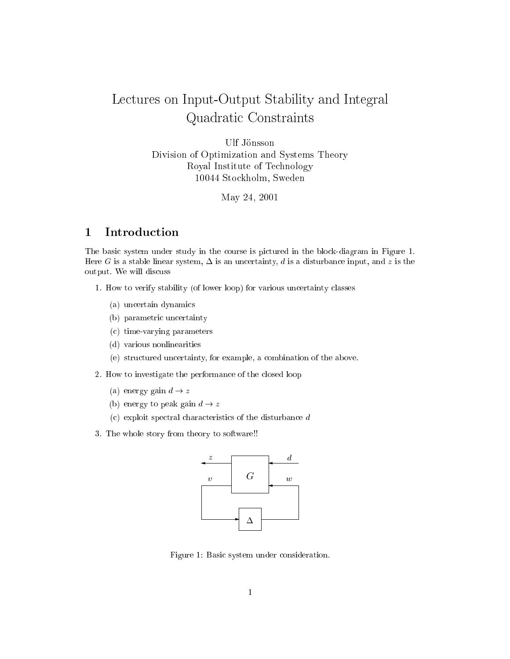# Lectures on Input-Output Stability and Integral Quadrati Constraints

Ulf Jönsson Division of Optimization and Systems Theory Royal Institute of Te
hnology 10044 Sto
kholm, Sweden

May 24, 2001

#### Introduction  $\mathbf{1}$

The basic system under study in the course is pictured in the block-diagram in Figure 1. Here G is a stable linear system,  $\Delta$  is an uncertainty, d is a disturbance input, and z is the output. We will dis
uss

- 1. How to verify stability (of lower loop) for various un
ertainty lasses
	- (a) un
	ertain dynami
	s
	- (b) parametri un
	ertainty
	- (
	) time-varying parameters
	- (d) various nonlinearities
	- (e) stru
	tured un
	ertainty, for example, a ombination of the above.
- 2. How to investigate the performan
e of the losed loop
	- (a) energy gain  $d \rightarrow z$
	- (b) energy to peak gain  $d \rightarrow z$
	- (
	) exploit spe
	tral hara
	teristi
	s of the disturban
	e d
- 3. The whole story from theory to software!!



Figure 1: Basic system under consideration.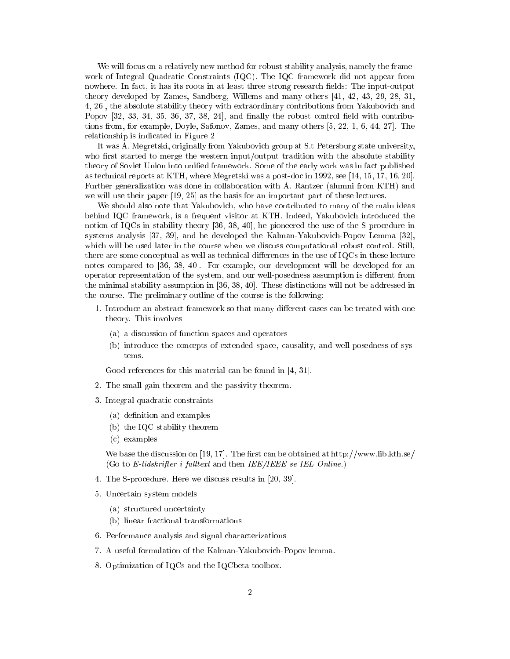We will focus on a relatively new method for robust stability analysis, namely the framework of Integral Quadrati Constraints (IQC). The IQC framework did not appear from nowhere. In fact, it has its roots in at least three strong research fields: The input-output theory developed by Zames, Sandberg, Willems and many others [41, 42, 43, 29, 28, 31, 4, 26, the absolute stability theory with extraordinary contributions from Yakubovich and Popov  $[32, 33, 34, 35, 36, 37, 38, 24]$ , and finally the robust control field with contributions from, for example, Doyle, Safonov, Zames, and many others  $[5, 22, 1, 6, 44, 27]$ . The relationship is indi
ated in Figure 2

It was A. Megretski, originally from Yakubovi
h group at S.t Petersburg state university, who first started to merge the western input/output tradition with the absolute stability theory of Soviet Union into unified framework. Some of the early work was in fact published as technical reports at KTH, where Megretski was a post-doc in 1992, see [14, 15, 17, 16, 20]. Further generalization was done in ollaboration with A. Rantzer (alumni from KTH) and we will use their paper  $[19, 25]$  as the basis for an important part of these lectures.

We should also note that Yakubovich, who have contributed to many of the main ideas behind IQC framework, is a frequent visitor at KTH. Indeed, Yakubovich introduced the notion of  $IQCs$  in stability theory [36, 38, 40], he pioneered the use of the S-procedure in systems analysis  $[37, 39]$ , and he developed the Kalman-Yakubovich-Popov Lemma  $[32]$ , which will be used later in the course when we discuss computational robust control. Still, there are some conceptual as well as technical differences in the use of IQCs in these lecture notes compared to [36, 38, 40]. For example, our development will be developed for an operator representation of the system, and our well-posedness assumption is different from the minimal stability assumption in [36, 38, 40]. These distinctions will not be addressed in the ourse. The preliminary outline of the ourse is the following:

- 1. Introduce an abstract framework so that many different cases can be treated with one theory. This involves
	- (a) a dis
	ussion of fun
	tion spa
	es and operators
	- (b) introdu
	e the on
	epts of extended spa
	e, ausality, and well-posedness of systems.

Good references for this material can be found in  $[4, 31]$ .

- 2. The small gain theorem and the passivity theorem.
- 3. Integral quadratic constraints
	- (a) definition and examples
	- (b) the IQC stability theorem
	- (
	) examples

We base the discussion on [19, 17]. The first can be obtained at http://www.lib.kth.se/ (Go to E-tidskrifter i fulltext and then  $IEE/IEEE$  se IEL Online.)

- 4. The S-procedure. Here we discuss results in [20, 39].
- 5. Un
ertain system models
	- (a) stru
	tured un
	ertainty
	- (b) linear fra
	tional transformations
- 6. Performan
e analysis and signal hara
terizations
- 7. A useful formulation of the Kalman-Yakubovi
h-Popov lemma.
- 8. Optimization of IQCs and the IQCbeta toolbox.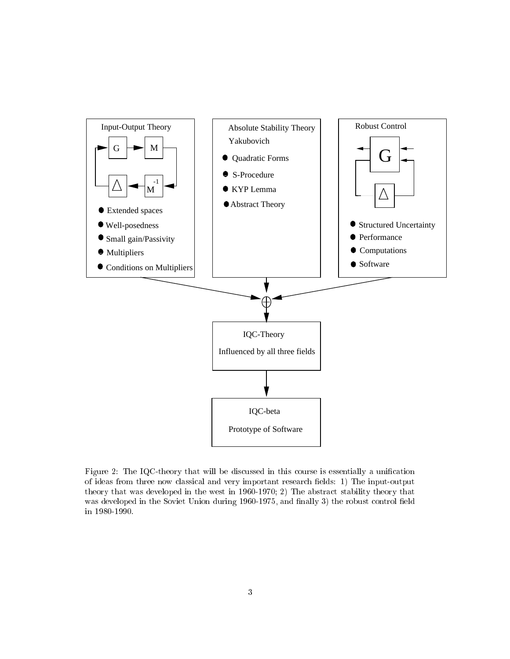

Figure 2: The IQC-theory that will be discussed in this course is essentially a unification of ideas from three now classical and very important research fields: 1) The input-output theory that was developed in the west in 1960-1970; 2) The abstra
t stability theory that was developed in the Soviet Union during 1960-1975, and finally 3) the robust control field in 1980-1990.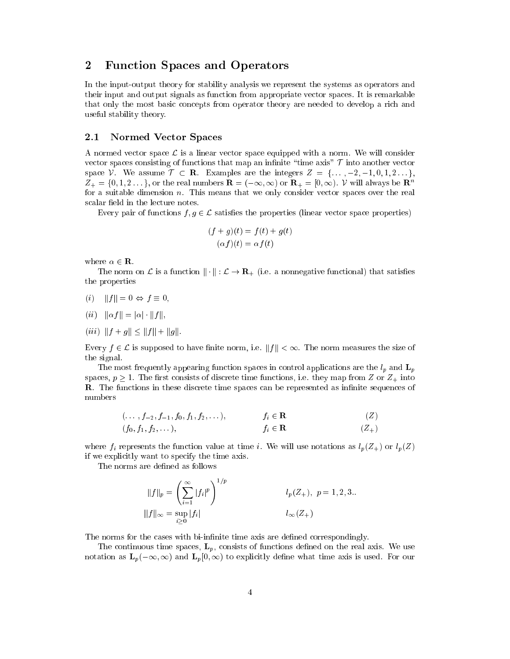## 2 Fun
tion Spa
es and Operators

In the input-output theory for stability analysis we represent the systems as operators and their input and output signals as fun
tion from appropriate ve
tor spa
es. It is remarkable that only the most basic concepts from operator theory are needed to develop a rich and useful stability theory.

## 2.1 Normed Vector Spaces

A normed vector space  $\mathcal L$  is a linear vector space equipped with a norm. We will consider vector spaces consisting of functions that map an infinite "time axis"  $\mathcal T$  into another vector space V. We assume  $\mathcal{T} \subset \mathbf{R}$ . Examples are the integers  $Z = \{..., -2, -1, 0, 1, 2...\}$  $Z_+ = \{0, 1, 2 \dots \}$ , or the real numbers  $\mathbf{R} = (-\infty, \infty)$  or  $\mathbf{R}_+ = [0, \infty)$ . V will always be  $\mathbf{R}^n$ for a suitable dimension  $n$ . This means that we only consider vector spaces over the real scalar field in the lecture notes.

Every pair of functions  $f, g \in \mathcal{L}$  satisfies the properties (linear vector space properties)

$$
(f+g)(t) = f(t) + g(t)
$$

$$
(\alpha f)(t) = \alpha f(t)
$$

where  $\alpha \in \mathbf{R}$ .

The norm on  $\mathcal L$  is a function  $\|\cdot\|: \mathcal L \to \mathbf{R}_+$  (i.e. a nonnegative functional) that satisfies the properties

- (i)  $||f|| = 0 \Leftrightarrow f \equiv 0,$
- $(ii)$   $\|\alpha f\| = |\alpha| \cdot \|f\|,$
- (iii)  $||f + g|| \le ||f|| + ||g||.$

Every  $f \in \mathcal{L}$  is supposed to have finite norm, i.e.  $||f|| < \infty$ . The norm measures the size of the signal.

The most frequently appearing function spaces in control applications are the  $l_p$  and  $\mathbf{L}_p$ spaces,  $p \geq 1$ . The first consists of discrete time functions, i.e. they map from Z or  $Z_+$  into **R**. The functions in these discrete time spaces can be represented as infinite sequences of numbers

$$
f_i \in \mathbf{R}
$$
  
(f<sub>0</sub>, f<sub>1</sub>, f<sub>2</sub>,...,), 
$$
f_i \in \mathbf{R}
$$
  
(f<sub>0</sub>, f<sub>1</sub>, f<sub>2</sub>,...), 
$$
f_i \in \mathbf{R}
$$
  
(Z)  

$$
f_i \in \mathbf{R}
$$
  
(Z)

where  $f_i$  represents the function value at time i. We will use notations as  $l_p(Z_+)$  or  $l_p(Z)$ if we expli
itly want to spe
ify the time axis.

The norms are defined as follows

$$
||f||_p = \left(\sum_{i=1}^{\infty} |f_i|^p\right)^{1/p} \qquad l_p(Z_+), \ p = 1, 2, 3...
$$
  

$$
||f||_{\infty} = \sup_{i>0} |f_i| \qquad l_{\infty}(Z_+)
$$

The norms for the cases with bi-infinite time axis are defined correspondingly.

The continuous time spaces,  $\mathbf{L}_p$ , consists of functions defined on the real axis. We use notation as  $\mathbf{L}_p(-\infty,\infty)$  and  $\mathbf{L}_p(0,\infty)$  to explicitly define what time axis is used. For our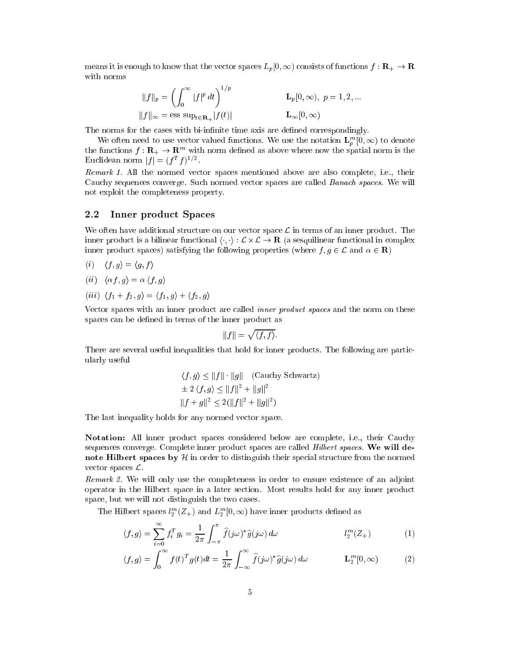means it is enough to know that the vector spaces  $L_p[0,\infty)$  consists of functions  $f: \mathbf{R}_+ \to \mathbf{R}$ with norms

$$
||f||_p = \left(\int_0^\infty |f|^p dt\right)^{1/p} \qquad \qquad \mathbf{L}_p[0,\infty), \ p = 1, 2, \dots
$$

$$
||f||_\infty = \text{ess sup}_{t \in \mathbf{R}_+} |f(t)| \qquad \qquad \mathbf{L}_\infty[0,\infty)
$$

The norms for the cases with bi-infinite time axis are defined correspondingly.

We often need to use vector valued functions. We use the notation  $L_p^m[0,\infty)$  to denote the functions  $f: \mathbf{R}_{+} \to \mathbf{R}^{m}$  with norm defined as above where now the spatial norm is the Euclidean norm  $|f| = (f^T f)^{1/2}$ .

Remark 1. All the normed ve
tor spa
es mentioned above are also omplete, i.e., their Cauchy sequences converge. Such normed vector spaces are called *Banach spaces*. We will not exploit the ompleteness property.

#### 2.2 Inner produ
t Spa
es

We often have additional structure on our vector space  $\mathcal L$  in terms of an inner product. The inner production in distinction and the session is  $\mathcal{L} = \mathcal{L}$  . The constraints and constraints are completed inner product spaces) satisfying the following properties (where  $f, g \in \mathcal{L}$  and  $\alpha \in \mathbb{R}$ )

- (i)  $\langle f, g \rangle = \langle g, f \rangle$
- (ii)  $\langle \alpha f, g \rangle = \alpha \langle f, g \rangle$
- (iii)  $\langle f_1 + f_2, g \rangle = \langle f_1, g \rangle + \langle f_2, g \rangle$

Vector spaces with an inner product are called *inner product spaces* and the norm on these spaces can be defined in terms of the inner product as

$$
||f|| = \sqrt{\langle f, f \rangle}.
$$

There are several useful inequalities that hold for inner products. The following are particularly useful

$$
\langle f, g \rangle \le ||f|| \cdot ||g|| \quad \text{(Cauchy Schwartz)}
$$

$$
\pm 2 \langle f, g \rangle \le ||f||^2 + ||g||^2
$$

$$
||f + g||^2 \le 2(||f||^2 + ||g||^2)
$$

The last inequality holds for any normed vector space.

Notation: All inner product spaces considered below are complete, i.e., their Cauchy sequences converge. Complete inner product spaces are called *Hilbert spaces*. We will denote Hilbert spaces by  $H$  in order to distinguish their special structure from the normed vector spaces  $\mathcal{L}$ .

Remark 2. We will only use the completeness in order to ensure existence of an adjoint operator in the Hilbert spa
e in a later se
tion. Most results hold for any inner produ
t spa
e, but we will not distinguish the two ases.

The Hilbert spaces  $l_2^m(Z_+)$  and  $L_2^m(0,\infty)$  have inner products defined as

$$
\langle f, g \rangle = \sum_{i=0}^{\infty} f_i^T g_i = \frac{1}{2\pi} \int_{-\pi}^{\pi} \hat{f}(j\omega)^* \hat{g}(j\omega) d\omega \qquad l_2^m(Z_+) \tag{1}
$$

$$
\langle f, g \rangle = \int_0^\infty f(t)^T g(t) dt = \frac{1}{2\pi} \int_{-\infty}^\infty \hat{f}(j\omega)^* \hat{g}(j\omega) d\omega \qquad \mathbf{L}_2^m[0, \infty)
$$
 (2)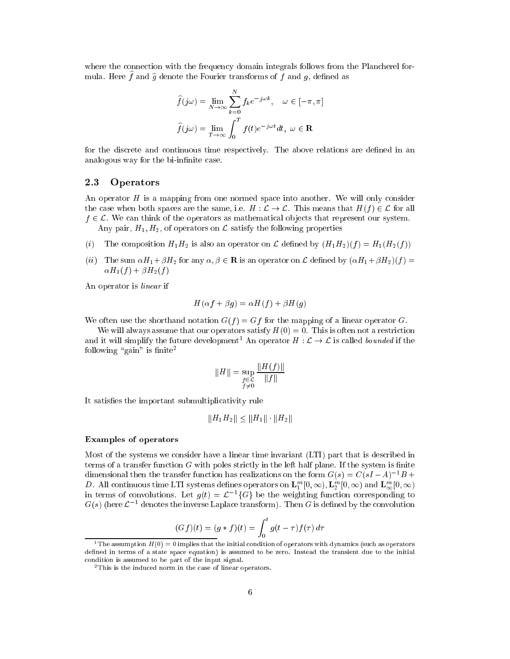where the connection with the frequency domain integrals follows from the Plancherel formula. Here f and  $\hat{g}$  denote the Fourier transforms of f and g, defined as

$$
\widehat{f}(j\omega) = \lim_{N \to \infty} \sum_{k=0}^{N} f_k e^{-j\omega k}, \quad \omega \in [-\pi, \pi]
$$

$$
\widehat{f}(j\omega) = \lim_{T \to \infty} \int_0^T f(t) e^{-j\omega t} dt, \ \omega \in \mathbf{R}
$$

for the discrete and continuous time respectively. The above relations are defined in an analogous way for the bi-infinite case.

## 2.3 Operators

An operator  $H$  is a mapping from one normed space into another. We will only consider the case when both spaces are the same, i.e.  $H: \mathcal{L} \to \mathcal{L}$ . This means that  $H(f) \in \mathcal{L}$  for all  $f \in \mathcal{L}$ . We can think of the operators as mathematical objects that represent our system. Any pair,  $H_1, H_2$ , of operators on  $\mathcal L$  satisfy the following properties

- (i) The composition  $H_1 H_2$  is also an operator on L defined by  $(H_1 H_2)(f) = H_1(H_2(f))$
- (ii) The sum  $\alpha H_1 + \beta H_2$  for any  $\alpha, \beta \in \mathbf{R}$  is an operator on  $\mathcal{L}$  defined by  $(\alpha H_1 + \beta H_2)(f) =$  $\alpha H_1(f) + \beta H_2(f)$

An operator is linear if

$$
H(\alpha f + \beta g) = \alpha H(f) + \beta H(g)
$$

We often use the shorthand notation  $G(f) = Gf$  for the mapping of a linear operator G.

We will always assume that our operators satisfy  $H(0) = 0$ . This is often not a restriction and it will simplify the future development<sup>1</sup> An operator  $H : \mathcal{L} \to \mathcal{L}$  is called *bounded* if the following "gain" is finite<sup>2</sup>

$$
||H|| = \sup_{\substack{f \in \mathcal{L} \\ f \neq 0}} \frac{||H(f)||}{||f||}
$$

It satisfies the important submultiplicativity rule

$$
||H_1H_2|| \le ||H_1|| \cdot ||H_2||
$$

#### Examples of operators

Most of the systems we onsider have a linear time invariant (LTI) part that is des
ribed in terms of a transfer function  $G$  with poles strictly in the left half plane. If the system is finite dimensional then the transfer function has realizations on the form  $G(s) = C(sI - A)^{-1}B +$ D. All continuous time LTI systems defines operators on  $\mathbf{L}_1^m[0,\infty)$ ,  $\mathbf{L}_2^m[0,\infty)$  and  $\mathbf{L}_{\infty}^m[0,\infty)$ In terms of convolutions. Let  $g(t) = \mathcal{L} \setminus \{G\}$  be the weighting function corresponding to  $G(s)$  (here  $\mathcal{L} = 0$  denotes the inverse Laplace transform). Then  $G$  is defined by the convolution

$$
(Gf)(t) = (g * f)(t) = \int_0^t g(t - \tau) f(\tau) d\tau
$$

<sup>&</sup>lt;sup>1</sup> The assumption  $H(0) = 0$  implies that the initial condition of operators with dynamics (such as operators defined in terms of a state space equation) is assumed to be zero. Instead the transient due to the initial ondition is assumed to be part of the input signal.

<sup>&</sup>lt;sup>2</sup>This is the induced norm in the case of linear operators.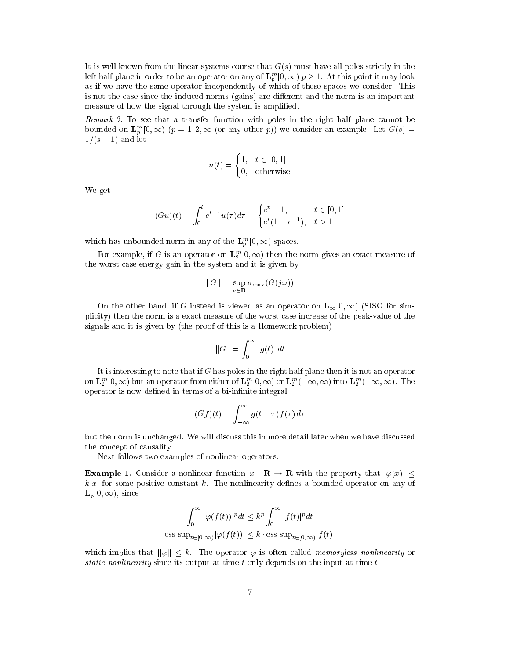It is well known from the linear systems course that  $G(s)$  must have all poles strictly in the left half plane in order to be an operator on any of  ${\mathbf L}_p^m[0,\infty)\; p\geq 1.$  At this point it may look as if we have the same operator independently of whi
h of these spa
es we onsider. This is not the case since the induced norms (gains) are different and the norm is an important measure of how the signal through the system is amplified.

Remark 3. To see that a transfer function with poles in the right half plane cannot be bounded on  ${\bf L}_p^m[0,\infty)$   $(p=1,2,\infty$  (or any other p)) we consider an example. Let  $G(s)$  =  $1/(s - 1)$  and let

$$
u(t) = \begin{cases} 1, & t \in [0, 1] \\ 0, & \text{otherwise} \end{cases}
$$

We get

$$
(Gu)(t) = \int_0^t e^{t-\tau} u(\tau) d\tau = \begin{cases} e^t - 1, & t \in [0, 1] \\ e^t (1 - e^{-1}), & t > 1 \end{cases}
$$

which has unbounded norm in any of the  ${\bold L}_p^m[0,\infty)$ -spaces.

For example, if G is an operator on  $\mathbf{L}_2^m[0,\infty)$  then the norm gives an exact measure of the worst ase energy gain in the system and it is given by

$$
||G|| = \sup_{\omega \in \mathbf{R}} \sigma_{\max}(G(j\omega))
$$

On the other hand, if G instead is viewed as an operator on  $\mathbf{L}_{\infty}[0,\infty)$  (SISO for simpli
ity) then the norm is a exa
t measure of the worst ase in
rease of the peak-value of the signals and it is given by (the proof of this is a Homework problem)

$$
\|G\|=\int_0^\infty |g(t)|\,dt
$$

It is interesting to note that if  $G$  has poles in the right half plane then it is not an operator on  ${\bf L}_2^m[0,\infty)$  but an operator from either of  ${\bf L}_2^m[0,\infty)$  or  ${\bf L}_2^m(-\infty,\infty)$  into  ${\bf L}_2^m(-\infty,\infty)$ . The operator is now defined in terms of a bi-infinite integral

$$
(Gf)(t) = \int_{-\infty}^{\infty} g(t - \tau) f(\tau) d\tau
$$

but the norm is un
hanged. We will dis
uss this in more detail later when we have dis
ussed the on
ept of ausality.

Next follows two examples of nonlinear operators.

**Example 1.** Consider a nonlinear function  $\varphi : \mathbf{R} \to \mathbf{R}$  with the property that  $|\varphi(x)| \leq$  $k|x|$  for some positive constant k. The nonlinearity defines a bounded operator on any of  $\mathbf{L}_{p}[0,\infty)$ , since

$$
\int_0^\infty |\varphi(f(t))|^p dt \le k^p \int_0^\infty |f(t)|^p dt
$$
  
ess sup <sub>$t \in [0,\infty)$</sub>   $|\varphi(f(t))| \le k \cdot \text{ess sup $t \in [0,\infty)$   $|f(t)|$$ 

which implies that  $\|\varphi\| \leq k$ . The operator  $\varphi$  is often called *memoryless nonlinearity* or static nonlinearity since its output at time  $t$  only depends on the input at time  $t$ .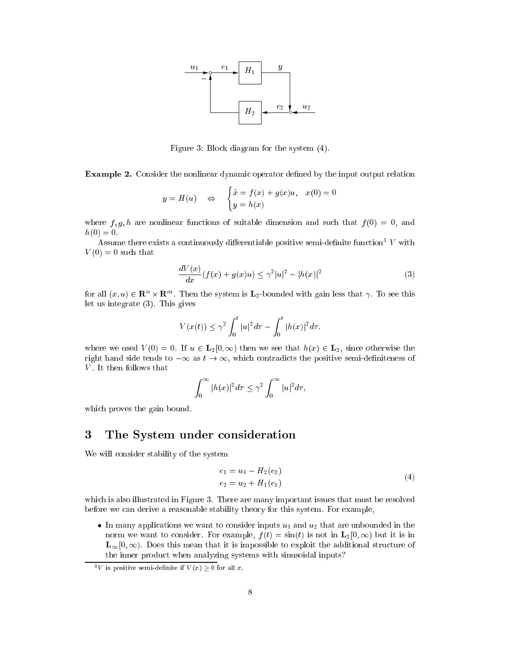

Figure 3: Blo
k diagram for the system (4).

**Example 2.** Consider the nonlinear dynamic operator defined by the input output relation

$$
y = H(u)
$$
  $\Leftrightarrow$  
$$
\begin{cases} \dot{x} = f(x) + g(x)u, & x(0) = 0 \\ y = h(x) \end{cases}
$$

where  $f, g, h$  are nonlinear functions of suitable dimension and such that  $f(0) = 0$ , and  $h(0) = 0.$ 

Assume there exists a continuously differentiable positive semi-definite function  $-V$  with  $V(0) = 0$  such that

$$
\frac{dV(x)}{dx}(f(x) + g(x)u) \le \gamma^2 |u|^2 - |h(x)|^2 \tag{3}
$$

for all  $(x, u) \in \mathbf{R}^n \times \mathbf{R}^m$ . Then the system is  $\mathbf{L}_2$ -bounded with gain less that  $\gamma$ . To see this let us integrate (3). This gives

$$
V(x(t)) \le \gamma^2 \int_0^t |u|^2 d\tau - \int_0^t |h(x)|^2 d\tau.
$$

where we used  $V(0) = 0$ . If  $u \in L_2[0, \infty)$  then we see that  $h(x) \in L_2$ , since otherwise the right hand side tends to  $-\infty$  as  $t \to \infty$ , which contradicts the positive semi-definiteness of  $V$ . It then follows that

$$
\int_0^\infty |h(x)|^2 d\tau \le \gamma^2 \int_0^\infty |u|^2 d\tau,
$$

which proves the gain bound.

## 3 The System under consideration

We will onsider stability of the system

$$
e_1 = u_1 - H_2(e_2)
$$
  
\n
$$
e_2 = u_2 + H_1(e_1)
$$
\n(4)

which is also illustrated in Figure 3. There are many important issues that must be resolved before we can derive a reasonable stability theory for this system. For example,

In many applications were industrial to and u2 that we wappened in the state in the state want to the unbo norm we want to consider. For example,  $f(t) = \sin(t)$  is not in  $\mathbf{L}_2[0,\infty)$  but it is in  $\mathbf{L}_{\infty}[0,\infty)$ . Does this mean that it is impossible to exploit the additional structure of the inner produ
t when analyzing systems with sinusoidal inputs?

 $\lceil v \rceil$  is positive semi-definite if  $v(x) > 0$  for all x.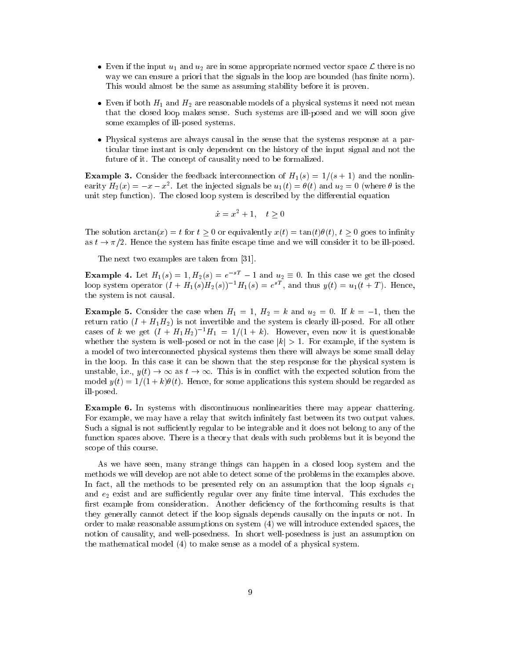- Even if the input u1 and u2 are in some appropriate normed ve
tor spa
e <sup>L</sup> there is no way we can ensure a priori that the signals in the loop are bounded (has finite norm). This would almost be the same as assuming stability before it is proven.
- Even if both H1 and H2 are reasonable models of <sup>a</sup> physi
al systems it need not mean that the losed loop makes sense. Su
h systems are ill-posed and we will soon give some examples of ill-posed systems.
- Physi
al systems are always ausal in the sense that the systems response at a parti
ular time instant is only dependent on the history of the input signal and not the future of it. The concept of causality need to be formalized.

**Example 3.** Consider the feedback interconnection of  $H_1(s) = 1/(s + 1)$  and the nonlinearity  $H_2(x) = -x - x$ . Let the injected signals be  $u_1(t) = \sigma(t)$  and  $u_2 = 0$  (where  $\sigma$  is the unit step function). The closed loop system is described by the differential equation

$$
\dot{x} = x^2 + 1, \quad t \ge 0
$$

The solution  $arctan(x) = t$  for  $t > 0$  or equivalently  $x(t) = \tan(t)\theta(t)$ ,  $t > 0$  goes to infinity as  $t \to \pi/2$ . Hence the system has finite escape time and we will consider it to be ill-posed.

The next two examples are taken from [31].

**Example 4.** Let  $H_1(s) = 1, H_2(s) = e^{-sT} - 1$  and  $u_2 \equiv 0$ . In this case we get the closed loop system operator  $(I + H_1(s)H_2(s))^{-1}H_1(s) = e^{sT}$ , and thus  $y(t) = u_1(t + T)$ . Hence, the system is not ausal.

**Example 5.** Consider the case when  $H_1 = 1$ ,  $H_2 = k$  and  $u_2 = 0$ . If  $k = -1$ , then the return ratio  $(I + H_1 H_2)$  is not invertible and the system is clearly ill-posed. For all other cases of k we get  $(I + H_1H_2)^{-1}H_1 = 1/(1 + k)$ . However, even now it is questionable whether the system is well-posed or not in the case  $|k| > 1$ . For example, if the system is a model of two inter
onne
ted physi
al systems then there will always be some small delay in the loop. In this case it can be shown that the step response for the physical system is unstable, i.e.,  $y(t) \to \infty$  as  $t \to \infty$ . This is in conflict with the expected solution from the model  $y(t) = 1/(1 + k)\theta(t)$ . Hence, for some applications this system should be regarded as ill-posed.

Example 6. In systems with discontinuous nonlinearities there may appear chattering. For example, we may have a relay that switch infinitely fast between its two output values. Such a signal is not sufficiently regular to be integrable and it does not belong to any of the function spaces above. There is a theory that deals with such problems but it is beyond the s
ope of this ourse.

As we have seen, many strange things can happen in a closed loop system and the methods we will develop are not able to dete
t some of the problems in the examples above. In fact, all the methods to be presented rely on an assumption that the loop signals  $e_1$ and  $e_2$  exist and are sufficiently regular over any finite time interval. This excludes the first example from consideration. Another deficiency of the forthcoming results is that they generally annot dete
t if the loop signals depends ausally on the inputs or not. In order to make reasonable assumptions on system (4) we will introdu
e extended spa
es, the notion of ausality, and well-posedness. In short well-posedness is just an assumption on the mathematical model (4) to make sense as a model of a physical system.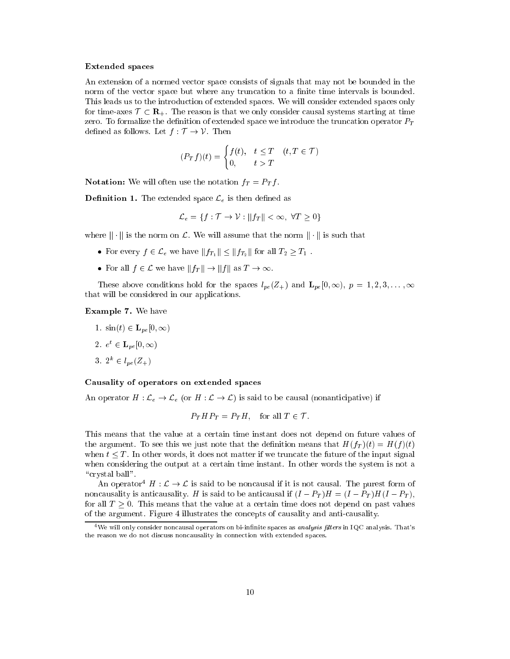#### Extended spa
es

An extension of a normed vector space consists of signals that may not be bounded in the norm of the vector space but where any truncation to a finite time intervals is bounded. This leads us to the introdu
tion of extended spa
es. We will onsider extended spa
es only for time-axes  $\mathcal{T} \subset \mathbf{R}_{+}$ . The reason is that we only consider causal systems starting at time zero. To formalize the definition of extended space we introduce the truncation operator  $P_T$ defined as follows. Let  $f : \mathcal{T} \to \mathcal{V}$ . Then

$$
(P_T f)(t) = \begin{cases} f(t), & t \le T & (t, T \in \mathcal{T}) \\ 0, & t > T \end{cases}
$$

Notation: We will often use the notation  $f_T = P_T f$ .

**Definition 1.** The extended space  $\mathcal{L}_e$  is then defined as

$$
\mathcal{L}_e = \{ f : \mathcal{T} \to \mathcal{V} : ||f_T|| < \infty, \ \forall T \ge 0 \}
$$

where  $\|\cdot\|$  is the norm on  $\mathcal{L}$ . We will assume that the norm  $\|\cdot\|$  is such that

- For every  $f \in \mathcal{L}_e$  we have  $|| f_1 || \ge || f_2 ||$  for all  $T_2 \ge T_1$ .
- For all  $f \in \mathcal{L}$  we have  $||f|| \rightarrow ||f||$  as  $I \rightarrow \infty$ .

These above conditions hold for the spaces  $l_{pe}(Z_+)$  and  $\mathbf{L}_{pe}[0,\infty), p = 1,2,3,\ldots,\infty$ that will be onsidered in our appli
ations.

#### Example 7. We have

- 1.  $\sin(t) \in \mathbf{L}_{pe}[0, \infty)$
- 2.  $e^t \in \mathbf{L}_{pe}[0,\infty)$
- 3.  $2^k \in l_{pe}(Z_+)$

#### Causality of operators on extended spa
es

An operator  $H: \mathcal{L}_e \to \mathcal{L}_e$  (or  $H: \mathcal{L} \to \mathcal{L}$ ) is said to be causal (nonanticipative) if

$$
P_T H P_T = P_T H, \quad \text{for all } T \in \mathcal{T}.
$$

This means that the value at a ertain time instant does not depend on future values of the argument. To see this we just note that the definition means that  $H(f_T)(t) = H(f)(t)$ when  $t \leq T$ . In other words, it does not matter if we truncate the future of the input signal when considering the output at a certain time instant. In other words the system is not a "crystal ball".

An operator<sup>4</sup> H :  $\mathcal{L} \to \mathcal{L}$  is said to be noncausal if it is not causal. The purest form of noncausality is anticausality. H is said to be anticausal if  $(I - P_T)H = (I - P_T)H(I - P_T)$ , for all  $T \geq 0$ . This means that the value at a certain time does not depend on past values of the argument. Figure 4 illustrates the concepts of causality and anti-causality.

<sup>&</sup>lt;sup>4</sup> We will only consider noncausal operators on bi-infinite spaces as *analysis filters* in IQC analysis. That's the reason we do not discuss noncausality in connection with extended spaces.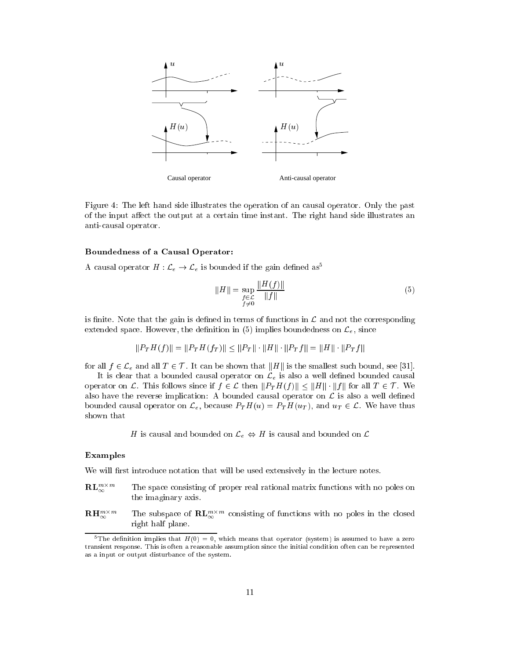

Figure 4: The left hand side illustrates the operation of an ausal operator. Only the past of the input affect the output at a certain time instant. The right hand side illustrates an antiausal operator.

#### Boundedness of a Causal Operator:

A causal operator  $H: \mathcal{L}_e \to \mathcal{L}_e$  is bounded if the gain defined as<sup>5</sup>

$$
||H|| = \sup_{\substack{f \in \mathcal{L} \\ f \neq 0}} \frac{||H(f)||}{||f||} \tag{5}
$$

is finite. Note that the gain is defined in terms of functions in  $\mathcal L$  and not the corresponding extended space. However, the definition in  $(5)$  implies boundedness on  $\mathcal{L}_e$ , since

$$
||P_T H(f)|| = ||P_T H(f_T)|| \le ||P_T|| \cdot ||H|| \cdot ||P_T f|| = ||H|| \cdot ||P_T f||
$$

for all  $f \in \mathcal{L}_e$  and all  $T \in \mathcal{T}$ . It can be shown that ||H|| is the smallest such bound, see [31].

It is clear that a bounded causal operator on  $\mathcal{L}_e$  is also a well defined bounded causal operator on L. This follows since if  $f \in \mathcal{L}$  then  $||P_T H(f)|| \le ||H|| \cdot ||f||$  for all  $T \in \mathcal{T}$ . We also have the reverse implication: A bounded causal operator on  $\mathcal L$  is also a well defined bounded causal operator on  $\mathcal{L}_e$ , because  $P_T H(u) = P_T H(u_T)$ , and  $u_T \in \mathcal{L}$ . We have thus shown that

H is causal and bounded on  $\mathcal{L}_{e} \Leftrightarrow H$  is causal and bounded on  $\mathcal{L}$ 

#### Examples

We will first introduce notation that will be used extensively in the lecture notes.

- $\mathbf{RL}_{\infty}^{m \times m}$ The space consisting of proper real rational matrix functions with no poles on the imaginary axis.
- $\mathbf{R}\mathbf{H}^{m\times m}_{\infty}$  $\sum_{\infty}^{m \times m}$  The subspace of  $\mathbf{RL}_{\infty}^{m \times m}$  consisting of functions with no poles in the closed right half plane.

<sup>&</sup>lt;sup>5</sup>The definition implies that  $H(0) = 0$ , which means that operator (system) is assumed to have a zero transient response. This is often a reasonable assumption sin
e the initial ondition often an be represented as a input or output disturban
e of the system.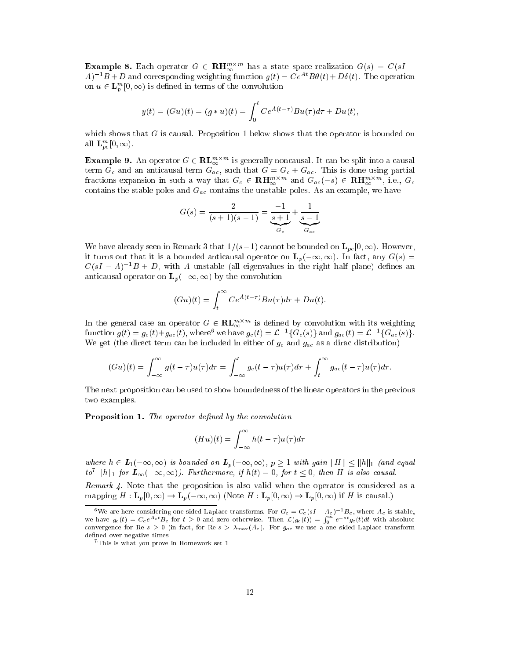**Example 8.** Each operator  $G \in \mathbf{R} \mathbf{H}_{\infty}^{m \times m}$  has a state space realization  $G(s) = C(sI - sI)$  $(A)^{-1}B+D$  and corresponding weighting function  $g(t) = Ce^{At}B\theta(t) + D\delta(t)$ . The operation on  $u \in {\bf L}_p^m[0,\infty)$  is defined in terms of the convolution

$$
y(t) = (Gu)(t) = (g * u)(t) = \int_0^t Ce^{A(t-\tau)}Bu(\tau)d\tau + Du(t),
$$

which shows that  $G$  is causal. Proposition 1 below shows that the operator is bounded on all  $\mathbf{L}_{pe}^{m}[0,\infty)$ .

**Example 9.** An operator  $G \in \mathbf{RL}_{\infty}^{m \times m}$  is generally noncausal. It can be split into a causal term  $G_c$  and an anticausal term  $G_{ac}$ , such that  $G = G_c + G_{ac}$ . This is done using partial fractions expansion in such a way that  $G_c \in \mathbf{R} \mathbf{H}_{\infty}^{m \times m}$  and  $G_{ac}(-s) \in \mathbf{R} \mathbf{H}_{\infty}^{m \times m}$ , i.e.,  $G_c$ contains the stable poles and  $G_{ac}$  contains the unstable poles. As an example, we have

$$
G(s) = \frac{2}{(s+1)(s-1)} = \underbrace{\frac{-1}{s+1}}_{G_c} + \underbrace{\frac{1}{s-1}}_{G_{ac}}
$$

We have already seen in Remark 3 that  $1/(s-1)$  cannot be bounded on  $\mathbf{L}_{pe}[0,\infty)$ . However, it turns out that it is a bounded anticausal operator on  $\mathbf{L}_p(-\infty,\infty)$ . In fact, any  $G(s)$  $C(sI - A)^{-1}B + D$ , with A unstable (all eigenvalues in the right half plane) defines an anticausal operator on  $\mathbf{L}_p(-\infty,\infty)$  by the convolution

$$
(Gu)(t) = \int_t^{\infty} Ce^{A(t-\tau)}Bu(\tau)d\tau + Du(t).
$$

In the general case an operator  $G \in \mathbf{RL}_{\infty}^{m \times m}$  is defined by convolution with its weighting function  $g(t) = g_c(t) + g_{ac}(t)$ , where we have  $g_c(t) = L^{-1}(\mathbf{G}_c(s))$  and  $g_{ac}(t) = L^{-1}(\mathbf{G}_{ac}(s))$ . We get (the direct term can be included in either of  $g_c$  and  $g_{ac}$  as a dirac distribution)

$$
(Gu)(t) = \int_{-\infty}^{\infty} g(t-\tau)u(\tau)d\tau = \int_{-\infty}^{t} g_c(t-\tau)u(\tau)d\tau + \int_{t}^{\infty} g_{ac}(t-\tau)u(\tau)d\tau.
$$

The next proposition an be used to show boundedness of the linear operators in the previous two examples.

**Proposition 1.** The operator defined by the convolution

$$
(Hu)(t) = \int_{-\infty}^{\infty} h(t-\tau)u(\tau)d\tau
$$

where  $h \in L_1(-\infty,\infty)$  is bounded on  $L_p(-\infty,\infty)$ ,  $p \geq 1$  with gain  $||H|| \leq ||h||_1$  (and equal to  $||h||_1$  for  $L_\infty(-\infty,\infty)$ ). Furthermore, if  $h(t) = 0$ , for  $t \leq 0$ , then H is also causal.

Remark 4. Note that the proposition is also valid when the operator is considered as a mapping  $H: \mathbf{L}_p[0,\infty) \to \mathbf{L}_p(-\infty,\infty)$  (Note  $H: \mathbf{L}_p[0,\infty) \to \mathbf{L}_p[0,\infty)$  if H is causal.)

<sup>&</sup>lt;sup>6</sup>We are here considering one sided Laplace transforms. For  $G_c = C_c(sI - A_c)^{-1}B_c$ , where  $A_c$  is stable, we have  $g_c(t) = C_c e^{A_c t} B_c$  for  $t \ge 0$  and zero otherwise. Then  $\mathcal{L}(g_c(t)) = \int_0^\infty e^{-st} g_c(t) dt$  with absolute convergence for Re s  $\geq 0$  (in fact, for Re s  $\gt \lambda_{\text{max}}(A_c)$ ). For  $g_{ac}$  we use a one sided Laplace transform defined over negative times

<sup>7</sup>This is what you prove in Homework set 1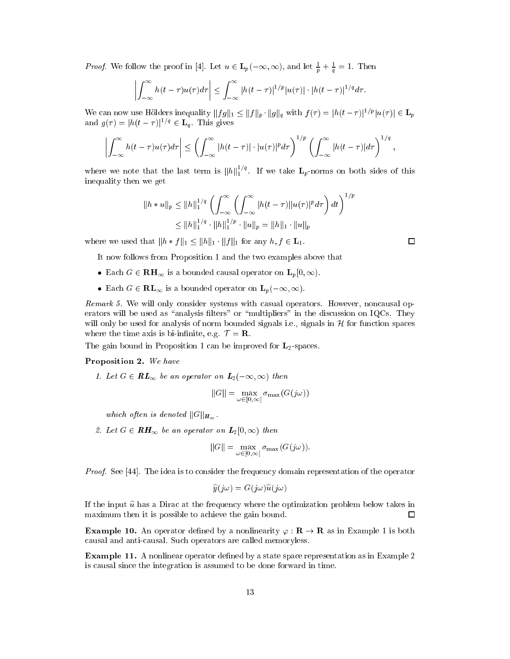*Proof.* We follow the proof in [4]. Let  $u \in L_p(-\infty, \infty)$ , and let  $\frac{1}{p} + \frac{1}{q} = 1$ . Then

$$
\left|\int_{-\infty}^{\infty} h(t-\tau)u(\tau)d\tau\right| \leq \int_{-\infty}^{\infty} |h(t-\tau)|^{1/p}|u(\tau)| \cdot |h(t-\tau)|^{1/q} d\tau.
$$

We can now use Hölders inequality  $||fg||_1 \leq ||f||_p \cdot ||g||_q$  with  $f(\tau) = |h(t-\tau)|^{1/p} |u(\tau)| \in \mathbf{L}_p$ and  $g(\tau) = |h(t - \tau)|^{1/q} \in \mathbf{L}_q$ . This gives

$$
\left|\int_{-\infty}^{\infty} h(t-\tau)u(\tau)d\tau\right| \leq \left(\int_{-\infty}^{\infty} |h(t-\tau)|\cdot|u(\tau)|^p d\tau\right)^{1/p} \left(\int_{-\infty}^{\infty} |h(t-\tau)|d\tau\right)^{1/q},
$$

where we note that the last term is  $||h||_1^{1/q}$ . If we take  $L_p$ -norms on both sides of this inequality then we get

$$
||h * u||_p \le ||h||_1^{1/q} \left( \int_{-\infty}^{\infty} \left( \int_{-\infty}^{\infty} |h(t - \tau)| |u(\tau)|^p d\tau \right) dt \right)^{1/p}
$$
  

$$
\le ||h||_1^{1/q} \cdot ||h||_1^{1/p} \cdot ||u||_p = ||h||_1 \cdot ||u||_p
$$

where we used that  $||h * f||_1 \leq ||h||_1 \cdot ||f||_1$  for any  $h, f \in \mathbf{L}_1$ .

It now follows from Proposition 1 and the two examples above that

- $\bullet$  Latin  $\circ$  C reflix is a bounded causal operator on  $\mathbf{L}_p[\sigma,\infty)$ .
- $\bullet$  Latin  $\sigma \in \mathbf{R}$  is a bounded operator on  $\mathbf{L}_p(\infty,\infty)$ .

Remark 5. We will only consider systems with casual operators. However, noncausal operators will be used as "analysis filters" or "multipliers" in the discussion on IQCs. They will only be used for analysis of norm bounded signals i.e., signals in  $H$  for function spaces where the time axis is bi-infinite, e.g.  $\mathcal{T} = \mathbf{R}$ .

The gain bound in Proposition 1 can be improved for  $L_2$ -spaces.

## Proposition 2. We have

1. Let  $G \in \mathbf{RL}_{\infty}$  be an operator on  $\mathbf{L}_2(-\infty, \infty)$  then

$$
||G|| = \max_{\omega \in [0,\infty]} \sigma_{\max}(G(j\omega))
$$

which often is denoted  $||G||_{H_{\infty}}$ .

2. Let  $G \in \boldsymbol{RH}_{\infty}$  be an operator on  $\boldsymbol{L}_2[0,\infty)$  then

$$
||G|| = \max_{\omega \in [0,\infty]} \sigma_{\max}(G(j\omega)).
$$

Proof. See [44]. The idea is to consider the frequency domain representation of the operator

$$
\widehat{y}(j\omega) = G(j\omega)\widehat{u}(j\omega)
$$

If the input  $\hat{u}$  has a Dirac at the frequency where the optimization problem below takes in maximum then it is possible to achieve the gain bound.  $\Box$ 

**Example 10.** An operator defined by a nonlinearity  $\varphi : \mathbf{R} \to \mathbf{R}$  as in Example 1 is both ausal and antiausal. Su
h operators are alled memoryless.

**Example 11.** A nonlinear operator defined by a state space representation as in Example 2 is ausal sin
e the integration is assumed to be done forward in time.

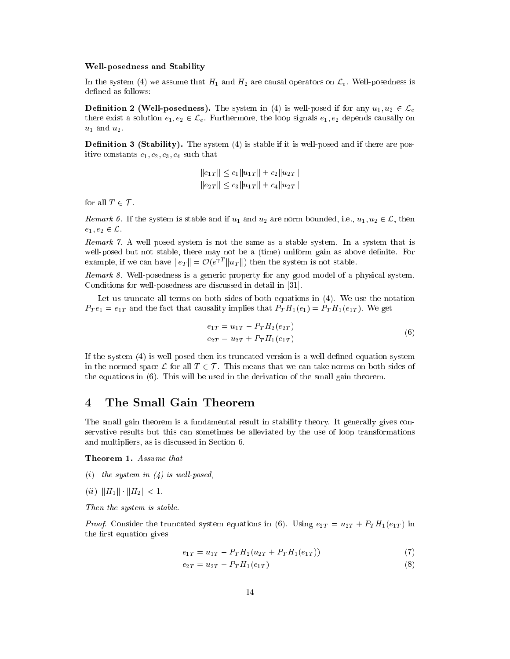#### Well-posedness and Stability

In the system (4) we assume that  $H_1$  and  $H_2$  are causal operators on  $\mathcal{L}_e$ . Well-posedness is defined as follows:

**Definition 2 (Well-posedness).** The system in (4) is well-posed if for any  $u_1, u_2 \in \mathcal{L}_e$ there exist a solution  $e_1, e_2 \in \mathcal{L}_e$ . Furthermore, the loop signals  $e_1, e_2$  depends causally on  $u_1$  and  $u_2$ .

**Definition 3 (Stability).** The system  $(4)$  is stable if it is well-posed and if there are positive constants  $c_1, c_2, c_3, c_4$  such that

$$
||e_{1T}|| \le c_1 ||u_{1T}|| + c_2 ||u_{2T}||
$$
  

$$
||e_{2T}|| \le c_3 ||u_{1T}|| + c_4 ||u_{2T}||
$$

for all  $T \in \mathcal{T}$ .

Remark 6. If the system is stable and if  $u_1$  and  $u_2$  are norm bounded, i.e.,  $u_1, u_2 \in \mathcal{L}$ , then  $e_1, e_2 \in \mathcal{L}$ .

Remark 7. A well posed system is not the same as a stable system. In a system that is well-posed but not stable, there may not be a (time) uniform gain as above definite. For example, if we can have  $||e_T|| = \mathcal{O}(e^{\gamma T}||u_T||)$  then the system is not stable.

Remark 8. Well-posedness is a generic property for any good model of a physical system. Conditions for well-posedness are discussed in detail in [31].

Let us truncate all terms on both sides of both equations in  $(4)$ . We use the notation  $P_T e_1 = e_{1T}$  and the fact that causality implies that  $P_T H_1(e_1) = P_T H_1(e_{1T})$ . We get

$$
e_{1T} = u_{1T} - P_T H_2(e_{2T})
$$
  
\n
$$
e_{2T} = u_{2T} + P_T H_1(e_{1T})
$$
\n(6)

If the system (4) is well-posed then its trun
ated version is a well dened equation system in the normed space L for all  $T \in \mathcal{T}$ . This means that we can take norms on both sides of the equations in (6). This will be used in the derivation of the small gain theorem.

## 4 The Small Gain Theorem

The small gain theorem is a fundamental result in stability theory. It generally gives conservative results but this an sometimes be alleviated by the use of loop transformations and multipliers, as is discussed in Section 6.

Theorem 1. Assume that

- (i) the system in  $(4)$  is well-posed,
- (ii)  $||H_1|| \cdot ||H_2|| < 1$ .

Then the system is stable.

*Proof.* Consider the truncated system equations in (6). Using  $e_{2T} = u_{2T} + P_T H_1(e_{1T})$  in the first equation gives

$$
e_{1T} = u_{1T} - P_T H_2 (u_{2T} + P_T H_1 (e_{1T})) \tag{7}
$$

$$
e_{2T} = u_{2T} - P_T H_1(e_{1T}) \tag{8}
$$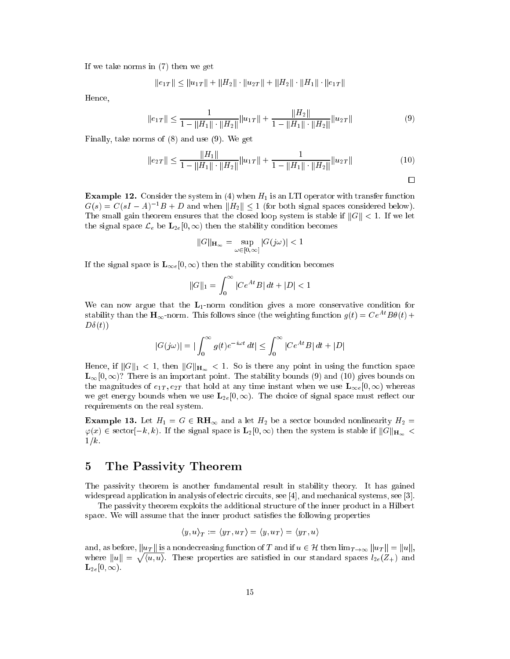If we take norms in (7) then we get

$$
\|e_{1T}\|\leq \|u_{1T}\|+\|H_2\|\cdot\|u_{2T}\|+\|H_2\|\cdot\|H_1\|\cdot\|e_{1T}\|
$$

Hence,

$$
||e_{1T}|| \le \frac{1}{1 - ||H_1|| \cdot ||H_2||} ||u_{1T}|| + \frac{||H_2||}{1 - ||H_1|| \cdot ||H_2||} ||u_{2T}|| \tag{9}
$$

Finally, take norms of (8) and use (9). We get

$$
||e_{2T}|| \le \frac{||H_1||}{1 - ||H_1|| \cdot ||H_2||} ||u_{1T}|| + \frac{1}{1 - ||H_1|| \cdot ||H_2||} ||u_{2T}|| \tag{10}
$$

 $\Box$ 

**Example 12.** Consider the system in (4) when  $H_1$  is an LTI operator with transfer function  $G(s) = C(sI - A)^{-1}B + D$  and when  $||H_2|| \le 1$  (for both signal spaces considered below). The small gain theorem ensures that the closed loop system is stable if  $||G|| < 1$ . If we let the signal space  $\mathcal{L}_e$  be  $\mathbf{L}_{2e}[0,\infty)$  then the stability condition becomes

$$
\|G\|_{\mathbf H_\infty}=\sup_{\omega\in[0,\infty]}|G(j\omega)|<1
$$

If the signal space is  $\mathbf{L}_{\infty e}[0, \infty)$  then the stability condition becomes

$$
||G||_1 = \int_0^\infty |Ce^{At}B| \, dt + |D| < 1
$$

We can now argue that the  $L_1$ -norm condition gives a more conservative condition for stability than the  $H_{\infty}$ -norm. This follows since (the weighting function  $g(t) = Ce^{At}B\theta(t) +$  $D\delta(t)$ 

$$
|G(j\omega)|=|\int_0^\infty g(t)e^{-i\omega\,t}\,dt|\leq \int_0^\infty |Ce^{At}B|\,dt+|D|
$$

Hence, if  $||G||_1 < 1$ , then  $||G||_{\mathbf{H}_{\infty}} < 1$ . So is there any point in using the function space  $\mathbf{L}_{\infty}[0,\infty)$ ? There is an important point. The stability bounds (9) and (10) gives bounds on the magnitudes of  $e_{1T}, e_{2T}$  that hold at any time instant when we use  $\mathbf{L}_{\infty e}[0, \infty)$  whereas we get energy bounds when we use  $\mathbf{L}_{2e}[0,\infty)$ . The choice of signal space must reflect our requirements on the real system.

**Example 13.** Let  $H_1 = G \in \mathbf{RH}_{\infty}$  and a let  $H_2$  be a sector bounded nonlinearity  $H_2 =$  $\varphi(x) \in \text{sector}[-k, k)$ . If the signal space is  $\mathbf{L}_2[0, \infty)$  then the system is stable if  $||G||_{\mathbf{H}_{\infty}} <$  $1/k$ .

## 5 The Passivity Theorem

The passivity theorem is another fundamental result in stability theory. It has gained widespread application in analysis of electric circuits, see [4], and mechanical systems, see [3].

The passivity theorem exploits the additional structure of the inner product in a Hilbert space. We will assume that the inner product satisfies the following properties

$$
\langle y, u \rangle_T := \langle y_T, u_T \rangle = \langle y, u_T \rangle = \langle y_T, u \rangle
$$

and, as before,  $||u_T||$  is a nondecreasing function of T and if  $u \in \mathcal{H}$  then  $\lim_{T \to \infty} ||u_T|| = ||u||$ , where  $\mathbf{w}$  =  $\mathbf{w}$  =  $\mathbf{w}$  =  $\mathbf{w}$  $\sqrt{\langle u, u \rangle}$ . These properties are satisfied in our standard spaces  $l_{2e}(Z_+)$  and  $\mathbf{L}_{2e}[0,\infty).$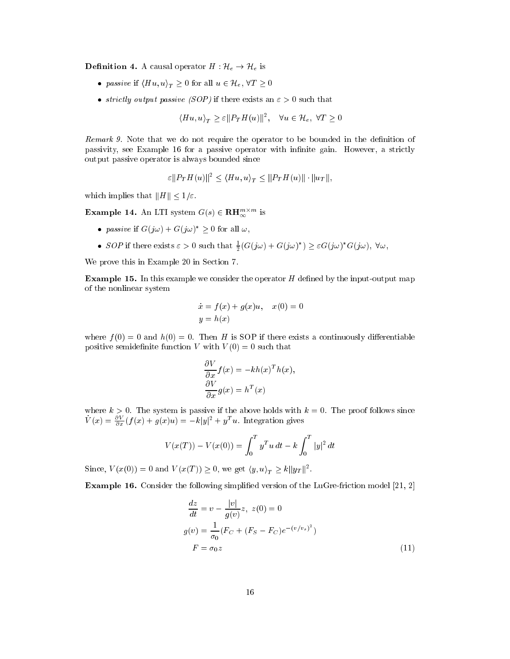**Definition 4.** A causal operator  $H: \mathcal{H}_e \to \mathcal{H}_e$  is

- $\bullet$  passive if  $\langle \textbf{H} | u, u \rangle_T \leq 0$  for all  $u \in \mathcal{H}_e$ ,  $\forall x \geq 0$
- striving compare parties (SOP) is there exists and O such that  $\sim$

$$
\langle Hu, u\rangle_T \ge \varepsilon ||P_T H(u)||^2, \quad \forall u \in \mathcal{H}_e, \ \forall T \ge 0
$$

Remark 9. Note that we do not require the operator to be bounded in the definition of passivity, see Example 16 for a passive operator with infinite gain. However, a strictly output passive operator is always bounded sin
e

$$
\varepsilon ||P_T H(u)||^2 \le \langle Hu, u \rangle_T \le ||P_T H(u)|| \cdot ||u_T||,
$$

which implies that  $||H|| \leq 1/\varepsilon$ .

**Example 14.** An LTI system  $G(s) \in \mathbf{R} \mathbf{H}_{\infty}^{m \times m}$  is

- passive if  $G(\jmath\omega) + G(\jmath\omega) \geq 0$  for all  $\omega$ ,
- SOP if there exists  $\varepsilon > 0$  such that  $\frac{1}{2}(G(j\omega) + G(j\omega)) > \varepsilon G(j\omega)$  G(j $\omega$ ), V $\omega$ ,

We prove this in Example 20 in Section 7.

**Example 15.** In this example we consider the operator  $H$  defined by the input-output map of the nonlinear system

$$
\dot{x} = f(x) + g(x)u, \quad x(0) = 0
$$
  

$$
y = h(x)
$$

where  $f(0) = 0$  and  $h(0) = 0$ . Then H is SOP if there exists a continuously differentiable positive semidefinite function V with  $V(0) = 0$  such that

$$
\frac{\partial V}{\partial x} f(x) = -kh(x)^T h(x),
$$
  

$$
\frac{\partial V}{\partial x} g(x) = h^T(x)
$$

where k  $\alpha$  or the system is passive if the above holds with k  $\alpha$  if the proof follows since  $\alpha$  $V(x) = \frac{\partial V}{\partial x}(f(x) + g(x)u) = -k|y|^2 + y^T u$ . Integration gives

$$
V(x(T)) - V(x(0)) = \int_0^T y^T u \, dt - k \int_0^T |y|^2 \, dt
$$

Since,  $V(x(0)) = 0$  and  $V(x(1)) \geq 0$ , we get  $\langle y, u \rangle_T \geq \kappa ||y_T||^2$ .

Example 16. Consider the following simplified version of the LuGre-friction model  $[21, 2]$ 

$$
\frac{dz}{dt} = v - \frac{|v|}{g(v)}z, \ z(0) = 0
$$
  

$$
g(v) = \frac{1}{\sigma_0}(F_C + (F_S - F_C)e^{-(v/v_s)^2})
$$
  

$$
F = \sigma_0 z
$$
 (11)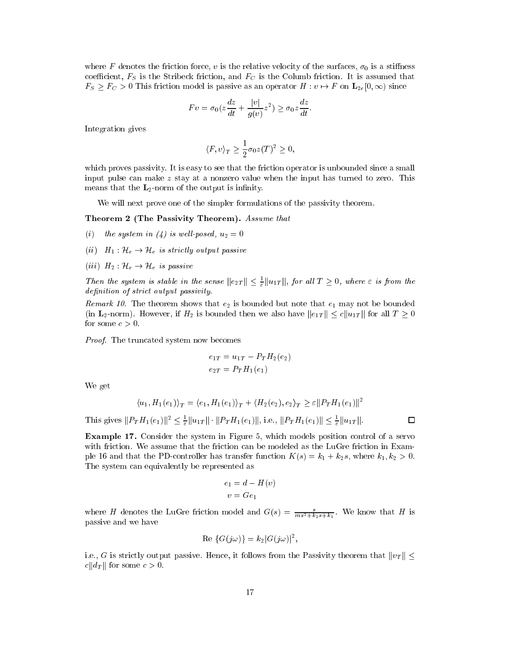where F denotes the friction force, v is the relative velocity of the surfaces,  $\sigma_0$  is a stiffness coefficient,  $F<sub>S</sub>$  is the Stribeck friction, and  $F<sub>C</sub>$  is the Columb friction. It is assumed that  $F_S \geq F_C > 0$  This friction model is passive as an operator  $H : v \mapsto F$  on  $\mathbf{L}_{2e}[0,\infty)$  since

$$
Fv = \sigma_0(z\frac{dz}{dt} + \frac{|v|}{g(v)}z^2) \ge \sigma_0 z\frac{dz}{dt}.
$$

Integration gives

$$
\langle F, v \rangle_T \ge \frac{1}{2}\sigma_0 z(T)^2 \ge 0,
$$

which proves passivity. It is easy to see that the friction operator is unbounded since a small input pulse can make  $z$  stay at a nonzero value when the input has turned to zero. This means that the  $L_2$ -norm of the output is infinity.

We will next prove one of the simpler formulations of the passivity theorem.

Theorem 2 (The Passivity Theorem). Assume that

- (i) the system in (4) is well-posed,  $u_2 = 0$
- (ii)  $H_1: \mathcal{H}_e \to \mathcal{H}_e$  is strictly output passive
- (iii)  $H_2: {\mathcal H}_e \to {\mathcal H}_e$  is passive

Then the system is stable in the sense  $||e_{2T}|| \leq \frac{1}{\varepsilon} ||u_{1T}||$ , for all  $1 \geq 0$ , where  $\varepsilon$  is from the definition of strict output passivity

Remark 10. The theorem shows that  $e_2$  is bounded but note that  $e_1$  may not be bounded (in L<sub>2</sub>-norm). However, if  $H_2$  is bounded then we also have  $||e_{1T}|| \leq c||u_{1T}||$  for all  $T \geq 0$ for some  $c > 0$ .

Proof. The truncated system now becomes

$$
e_{1T} = u_{1T} - P_T H_2(e_2)
$$
  

$$
e_{2T} = P_T H_1(e_1)
$$

We get

$$
\langle u_1, H_1(e_1) \rangle_T = \langle e_1, H_1(e_1) \rangle_T + \langle H_2(e_2), e_2 \rangle_T \ge \varepsilon ||P_T H_1(e_1)||^2
$$

 $\Box$ 

This gives  $||T_{T}H_1(e_1)||^2 \leq \frac{1}{\epsilon}||u_{1T}||^2 ||T_{T}H_1(e_1)||^2$ , i.e.,  $||T_{T}H_1(e_1)|| \leq \frac{1}{\epsilon}||u_{1T}||^2$ .

**Example 17.** Consider the system in Figure 5, which models position control of a servo with friction. We assume that the friction can be modeled as the LuGre friction in Example 16 and that the PD-controller has transfer function  $K(s) = k_1 + k_2 s$ , where  $k_1, k_2 > 0$ . The system an equivalently be represented as

$$
e_1 = d - H(v)
$$

$$
v = Ge_1
$$

where H denotes the LuGre friction model and  $G(s) = \frac{s}{ms^2 + k_2s + k_1}$ . We know that H is passive and we have

$$
Re \left\{ G(j\omega) \right\} = k_2 |G(j\omega)|^2,
$$

i.e., G is strictly output passive. Hence, it follows from the Passivity theorem that  $||v_T|| <$  $c||d_T||$  for some  $c > 0$ .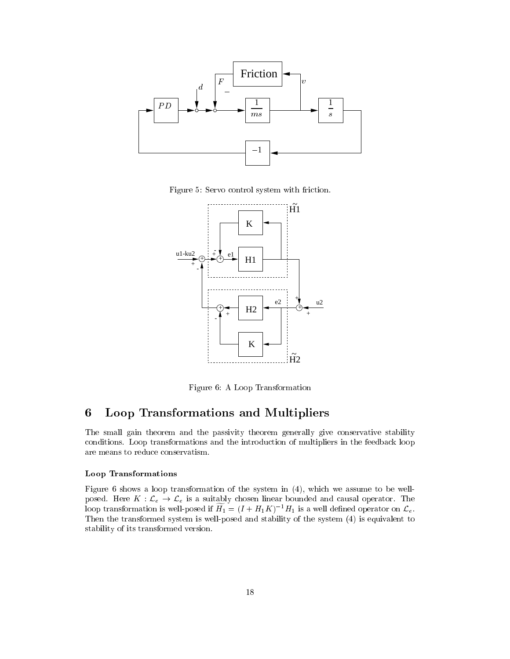

Figure 5: Servo control system with friction.



Figure 6: A Loop Transformation

# 6 Loop Transformations and Multipliers

The small gain theorem and the passivity theorem generally give conservative stability conditions. Loop transformations and the introduction of multipliers in the feedback loop are means to redu
e onservatism.

#### Loop Transformations

Figure 6 shows a loop transformation of the system in (4), whi
h we assume to be wellposed. Here  $K: \mathcal{L}_e \to \mathcal{L}_e$  is a suitably chosen linear bounded and causal operator. The loop transformation is well-posed if  $H_1 = (I + H_1 K)^{-1}H_1$  is a well defined operator on  $\mathcal{L}_e$ . Then the transformed system is well-posed and stability of the system (4) is equivalent to stability of its transformed version.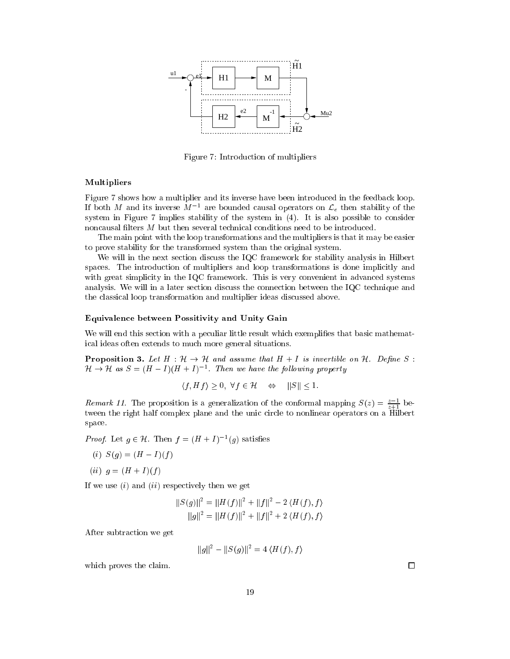

Figure 7: Introduction of multipliers

#### Multipliers

Figure 7 shows how a multiplier and its inverse have been introduced in the feedback loop. If both  $M$  and its inverse  $M$  - are bounded causal operators on  $\mathcal{L}_e$  then stability of the system in Figure 7 implies stability of the system in (4). It is also possible to consider noncausal filters M but then several technical conditions need to be introduced.

The main point with the loop transformations and the multipliers is that it may be easier to prove stability for the transformed system than the original system.

We will in the next section discuss the IQC framework for stability analysis in Hilbert spaces. The introduction of multipliers and loop transformations is done implicitly and with great simplicity in the IQC framework. This is very convenient in advanced systems analysis. We will in a later section discuss the connection between the IQC technique and the lassi
al loop transformation and multiplier ideas dis
ussed above.

#### Equivalen
e between Possitivity and Unity Gain

We will end this section with a peculiar little result which exemplifies that basic mathemati
al ideas often extends to mu
h more general situations.

**Proposition 3.** Let  $H : \mathcal{H} \to \mathcal{H}$  and assume that  $H + I$  is invertible on  $\mathcal{H}$ . Define S:  $H \rightarrow H$  as  $S = (H - I)(H + I)$ . Then we have the following property

$$
\langle f, Hf \rangle \ge 0, \ \forall f \in \mathcal{H} \quad \Leftrightarrow \quad ||S|| \le 1.
$$

*Remark 11.* The proposition is a generalization of the conformal mapping  $S(z) = \frac{z-1}{z+1}$  between the right half complex plane and the unic circle to nonlinear operators on a Hilbert spa
e.

*Proof.* Let  $g \in \mathcal{H}$ . Then  $f = (H + I)^{-1}(g)$  satisfies

- (i)  $S(g) = (H I)(f)$
- (*ii*)  $g = (H + I)(f)$

If we use  $(i)$  and  $(ii)$  respectively then we get

$$
||S(g)||^2 = ||H(f)||^2 + ||f||^2 - 2\langle H(f), f \rangle
$$
  

$$
||g||^2 = ||H(f)||^2 + ||f||^2 + 2\langle H(f), f \rangle
$$

After subtra
tion we get

$$
||g||^2 - ||S(g)||^2 = 4 \langle H(f), f \rangle
$$

which proves the claim.

 $\Box$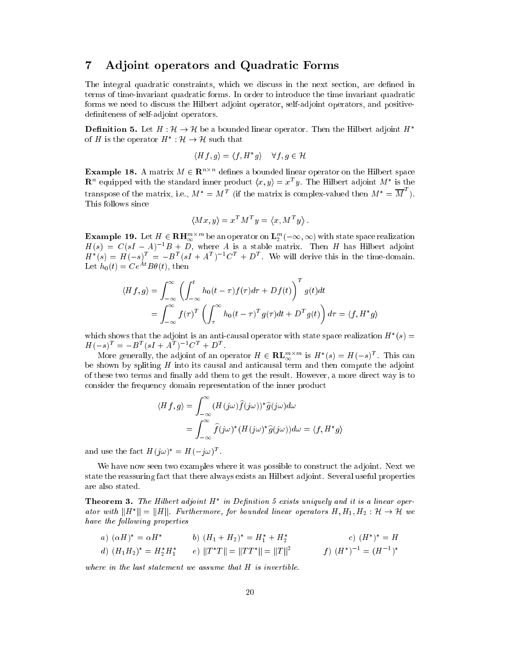## 7 Adjoint operators and Quadrati Forms

The integral quadratic constraints, which we discuss in the next section, are defined in terms of time-invariant quadrati forms. In order to introdu
e the time invariant quadrati forms we need to discuss the Hilbert adjoint operator, self-adjoint operators, and positivedefiniteness of self-adjoint operators.

**Definition 5.** Let  $H : \mathcal{H} \to \mathcal{H}$  be a bounded linear operator. Then the Hilbert adjoint  $H^*$ of  $H$  is the operator  $H : H \to H$  such that

$$
\langle Hf, g \rangle = \langle f, H^*g \rangle \quad \forall f, g \in \mathcal{H}
$$

**Example 18.** A matrix  $M \in \mathbb{R}^{n \times n}$  defines a bounded linear operator on the Hilbert space  $\mathbb{R}^n$  equipped with the standard inner product  $\langle x, y \rangle = x^T y$ . The Hilbert adjoint  $M^*$  is the transpose of the matrix, i.e.,  $M^* = M^T$  (if the matrix is complex-valued then  $M^* = \overline{M}^T$ ). This follows since

$$
\langle Mx, y \rangle = x^T M^T y = \langle x, M^T y \rangle
$$

**Example 19.** Let  $H \in \mathbf{R}$ H $_{\infty}^{m \times m}$  be an operator on  $\mathbf{L}_2^m(-\infty,\infty)$  with state space realization  $H(s) = U(sI - A)^{-1}B + D$ , where A is a stable matrix. Then H has Hilbert adjoint  $H^*(s) = H(-s)^T = -B^T(sI + A^T)^{-1}C^T + D^T$ . We will derive this in the time-domain. Let  $h_0(t) = Ce^{At}B\theta(t)$ , then

$$
\langle Hf, g \rangle = \int_{-\infty}^{\infty} \left( \int_{-\infty}^{t} h_0(t - \tau) f(\tau) d\tau + Df(t) \right)^T g(t) dt
$$
  
= 
$$
\int_{-\infty}^{\infty} f(\tau)^T \left( \int_{\tau}^{\infty} h_0(t - \tau)^T g(\tau) dt + D^T g(t) \right) d\tau = \langle f, H^* g \rangle
$$

which shows that the adjoint is an anti-causal operator with state space realization  $H^-(s) \equiv$  $H(-s)^{T} = -B^{T}(sI + A^{T})^{-1}C^{T} + D^{T}.$ 

More generally, the adjoint of an operator  $H \in \mathbf{RL}_{\infty}^{m \times m}$  is  $H^*(s) = H(-s)^T$ . This can be shown by spliting  $H$  into its causal and anticausal term and then compute the adjoint of these two terms and finally add them to get the result. However, a more direct way is to onsider the frequen
y domain representation of the inner produ
t

$$
\langle Hf, g \rangle = \int_{-\infty}^{\infty} (H(j\omega)\hat{f}(j\omega))^* \hat{g}(j\omega) d\omega
$$
  
= 
$$
\int_{-\infty}^{\infty} \hat{f}(j\omega)^* (H(j\omega)^* \hat{g}(j\omega)) d\omega = \langle f, H^*g \rangle
$$

and use the fact  $H(j\omega)^* = H(-j\omega)^T$ .

We have now seen two examples where it was possible to construct the adjoint. Next we state the reassuring fa
t that there always exists an Hilbert adjoint. Several useful properties are also stated.

**Theorem 3.** The Hubert adjoint H in Definition 5 exists uniquely and it is a linear operator with  $\|H\| = \|H\|$ , furthermore, for bounded tinear operators  $H, H_1, H_2 : H \to H$  we have the following properties

a) 
$$
(\alpha H)^* = \alpha H^*
$$
  
\nb)  $(H_1 + H_2)^* = H_1^* + H_2^*$   
\nc)  $(H^*)^* = H$   
\nd)  $(H_1 H_2)^* = H_2^* H_1^*$   
\ne)  $||T^*T|| = ||TT^*|| = ||T||^2$   
\nf)  $(H^*)^{-1} = (H^{-1})^*$ 

where in the last statement we assume that H is invertible.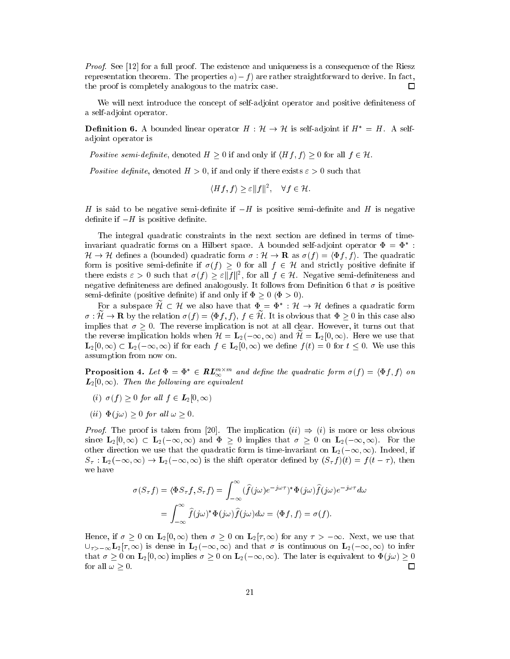Proof. See [12] for a full proof. The existence and uniqueness is a consequence of the Riesz representation theorem. The properties  $a$ ) – f) are rather straightforward to derive. In fact, the proof is ompletely analogous to the matrix ase.  $\Box$ 

We will next introduce the concept of self-adjoint operator and positive definiteness of a self-adjoint operator.

**Definition 6.** A bounded linear operator  $H : \mathcal{H} \to \mathcal{H}$  is self-adjoint if  $H^* = H$ . A selfadjoint operator is

Positive semi-definite, denoted  $H \geq 0$  if and only if  $\langle Hf, f \rangle \geq 0$  for all  $f \in \mathcal{H}$ .

Positive definite, denoted  $H > 0$ , if and only if there exists  $\varepsilon > 0$  such that

$$
\langle Hf, f \rangle \ge \varepsilon ||f||^2, \quad \forall f \in \mathcal{H}.
$$

H is said to be negative semi-definite if  $-H$  is positive semi-definite and H is negative definite if  $-H$  is positive definite.

The integral quadratic constraints in the next section are defined in terms of timeinvariant quadratic forms on a Hilbert space. A bounded self-adjoint operator  $\Psi \equiv \Psi$  : . He defined a (bounded) quadratic series  $\alpha$  ,  $\beta$  , as  $\alpha$  ,  $\beta$  ,  $\beta$  ,  $\beta$  ,  $\beta$  ,  $\beta$  ,  $\beta$  ,  $\beta$  ,  $\beta$  ,  $\beta$  ,  $\beta$  ,  $\beta$  ,  $\beta$  ,  $\beta$  ,  $\beta$  ,  $\beta$  ,  $\beta$  ,  $\beta$  ,  $\beta$  ,  $\beta$  ,  $\beta$  ,  $\beta$  ,  $\beta$  , form is positive semi-definite if  $\sigma(f) > 0$  for all  $f \in \mathcal{H}$  and strictly positive definite if there exists  $\varepsilon > 0$  such that  $\sigma(T) \geq \varepsilon T T T$ , for all  $T \in \mathcal{H}$ . Negative semi-definiteness and negative definiteness are defined analogously. It follows from Definition 6 that  $\sigma$  is positive semi-definite (positive definite) if and only if  $\Phi \geq 0$  ( $\Phi > 0$ ).

For a subspace  $\pi \subset \pi$  we also have that  $\Psi = \Psi : \pi \to \pi$  defines a quadratic form  $\sigma : \mathcal{H} \to \mathbf{R}$  by the relation  $\sigma(f) = \langle \Phi f, f \rangle, f \in \mathcal{H}$ . It is obvious that  $\Phi \geq 0$  in this case also implies that  $\sigma \geq 0$ . The reverse implication is not at all clear. However, it turns out that the reverse implication holds when  $\mathcal{H} = \mathbf{L}_2(-\infty, \infty)$  and  $\mathcal{H} = \mathbf{L}_2[0, \infty)$ . Here we use that  $\mathbf{L}_2[0,\infty) \subset \mathbf{L}_2(-\infty,\infty)$  if for each  $f \in \mathbf{L}_2(0,\infty)$  we define  $f(t) = 0$  for  $t \leq 0$ . We use this assumption from now on.

**Proposition 4.** Let  $\Phi = \Phi^* \in \mathbf{RL}^{m \times m}_{\infty}$  and define the quadratic form  $\sigma(f) = \langle \Phi f, f \rangle$  on  $L_2[0,\infty)$ . Then the following are equivalent

- (i)  $\sigma(f) \geq 0$  for all  $f \in L_2[0, \infty)$
- (*ii*)  $\Phi(j\omega) > 0$  for all  $\omega > 0$ .

*Proof.* The proof is taken from [20]. The implication  $(ii) \Rightarrow (i)$  is more or less obvious since  $\mathbf{L}_2[0,\infty) \subset \mathbf{L}_2(-\infty,\infty)$  and  $\Phi \geq 0$  implies that  $\sigma \geq 0$  on  $\mathbf{L}_2(-\infty,\infty)$ . For the other direction we use that the quadratic form is time-invariant on  $\mathbf{L}_2(-\infty,\infty)$ . Indeed, if  $S_{\tau}$ :  $\mathbf{L}_2(-\infty,\infty) \to \mathbf{L}_2(-\infty,\infty)$  is the shift operator defined by  $(S_{\tau} f)(t) = f(t-\tau)$ , then we have

$$
\sigma(S_{\tau}f) = \langle \Phi S_{\tau}f, S_{\tau}f \rangle = \int_{-\infty}^{\infty} (\hat{f}(j\omega)e^{-j\omega\tau})^* \Phi(j\omega)\hat{f}(j\omega)e^{-j\omega\tau} d\omega
$$

$$
= \int_{-\infty}^{\infty} \hat{f}(j\omega)^* \Phi(j\omega)\hat{f}(j\omega) d\omega = \langle \Phi f, f \rangle = \sigma(f).
$$

Hence, if  $\sigma \geq 0$  on  $\mathbf{L}_2[0,\infty)$  then  $\sigma \geq 0$  on  $\mathbf{L}_2[\tau,\infty)$  for any  $\tau > -\infty$ . Next, we use that  $\bigcup_{\tau > -\infty} L_2[\tau, \infty)$  is dense in  $L_2(-\infty, \infty)$  and that  $\sigma$  is continuous on  $L_2(-\infty, \infty)$  to infer that  $\sigma \geq 0$  on  $\mathbf{L}_2[0,\infty)$  implies  $\sigma \geq 0$  on  $\mathbf{L}_2(-\infty,\infty)$ . The later is equivalent to  $\Phi(j\omega) \geq 0$ for all  $\omega > 0$ .  $\Box$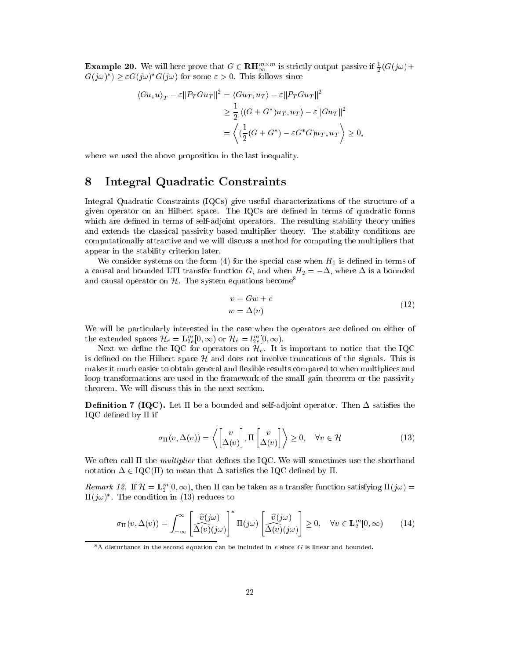**Example 20.** We will here prove that  $G \in \mathbf{R}$ H<sup>m's'm</sup> is strictly output passive if  $\frac{1}{2}(G(j\omega) +$  $G(j\omega)$  )  $\geq \epsilon G(j\omega)$  G(j $\omega$ ) for some  $\epsilon \geq 0$ . This follows since

$$
\langle Gu, u \rangle_T - \varepsilon ||P_T Gu_T||^2 = \langle Gu_T, u_T \rangle - \varepsilon ||P_T Gu_T||^2
$$
  
\n
$$
\geq \frac{1}{2} \langle (G + G^*) u_T, u_T \rangle - \varepsilon ||Gu_T||^2
$$
  
\n
$$
= \left\langle (\frac{1}{2} (G + G^*) - \varepsilon G^* G) u_T, u_T \right\rangle \geq 0,
$$

where we used the above proposition in the last inequality.

## 8 Integral Quadrati Constraints

Integral Quadratic Constraints (IQCs) give useful characterizations of the structure of a given operator on an Hilbert spa
e. The IQCs are dened in terms of quadrati forms which are defined in terms of self-adjoint operators. The resulting stability theory unifies and extends the lassi
al passivity based multiplier theory. The stability onditions are computationally attractive and we will discuss a method for computing the multipliers that appear in the stability riterion later.

We consider systems on the form  $(4)$  for the special case when  $H_1$  is defined in terms of a causal and bounded LTI transfer function G, and when  $H_2 = -\Delta$ , where  $\Delta$  is a bounded and causal operator on  $H$ . The system equations become<sup>8</sup>

$$
v = Gw + e
$$
  
\n
$$
w = \Delta(v)
$$
\n(12)

We will be particularly interested in the case when the operators are defined on either of the extended spaces  $\mathcal{H}_e = \mathbf{L}_{2e}^m[0,\infty)$  or  $\mathcal{H}_e = l_{2e}^m[0,\infty)$ .

Next we define the IQC for operators on  $\mathcal{H}_e$ . It is important to notice that the IQC is defined on the Hilbert space  $H$  and does not involve truncations of the signals. This is makes it much easier to obtain general and flexible results compared to when multipliers and loop transformations are used in the framework of the small gain theorem or the passivity theorem. We will discuss this in the next section.

**Definition 7 (IQC).** Let  $\Pi$  be a bounded and self-adjoint operator. Then  $\Delta$  satisfies the IQC defined by  $\Pi$  if

$$
\sigma_{\Pi}(v, \Delta(v)) = \left\langle \begin{bmatrix} v \\ \Delta(v) \end{bmatrix}, \Pi \begin{bmatrix} v \\ \Delta(v) \end{bmatrix} \right\rangle \ge 0, \quad \forall v \in \mathcal{H}
$$
\n(13)

We often call  $\Pi$  the *multiplier* that defines the IQC. We will sometimes use the shorthand notation  $\Delta \in \text{IQC}(\Pi)$  to mean that  $\Delta$  satisfies the IQC defined by  $\Pi$ .

Remark 12. If  $\mathcal{H} = \mathbf{L}_2^m[0,\infty)$ , then  $\Pi$  can be taken as a transfer function satisfying  $\Pi(j\omega)$  =  $\mathbf{u}(j\omega)$  . The condition in (13) reduces to

$$
\sigma_{\Pi}(v, \Delta(v)) = \int_{-\infty}^{\infty} \left[ \frac{\widehat{v}(j\omega)}{\Delta(v)(j\omega)} \right]^* \Pi(j\omega) \left[ \frac{\widehat{v}(j\omega)}{\Delta(v)(j\omega)} \right] \ge 0, \quad \forall v \in \mathbf{L}_2^m[0, \infty)
$$
(14)

<sup>&</sup>lt;sup>8</sup>A disturbance in the second equation can be included in e since G is linear and bounded.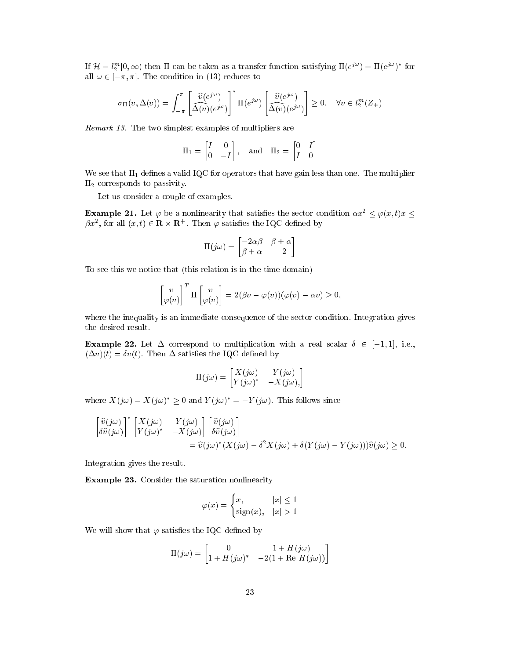If  $\mathcal{H} = l_2^m[0,\infty)$  then  $\Pi$  can be taken as a transfer function satisfying  $\Pi(e^{j\omega}) = \Pi(e^{j\omega})^*$  for all  $\omega \in [-\pi, \pi]$ . The condition in (13) reduces to

$$
\sigma_{\Pi}(v, \Delta(v)) = \int_{-\pi}^{\pi} \left[ \frac{\widehat{v}(e^{j\omega})}{\Delta(v)(e^{j\omega})} \right]^* \Pi(e^{j\omega}) \left[ \frac{\widehat{v}(e^{j\omega})}{\Delta(v)(e^{j\omega})} \right] \ge 0, \quad \forall v \in l_2^m(Z_+)
$$

Remark 13. The two simplest examples of multipliers are

$$
\Pi_1 = \begin{bmatrix} I & 0 \\ 0 & -I \end{bmatrix}, \text{ and } \Pi_2 = \begin{bmatrix} 0 & I \\ I & 0 \end{bmatrix}
$$

We see that  $\Pi_1$  defines a valid IQC for operators that have gain less than one. The multiplier  $\Pi_2$  corresponds to passivity.

Let us consider a couple of examples.

**Example 21.** Let  $\varphi$  be a nonlinearity that satisfies the sector condition  $\alpha x^2 \leq \varphi(x, t)x \leq$  $px^2$ , for all  $(x, t) \in \mathbf{R} \times \mathbf{R}$ . Then  $\varphi$  satisfies the IQC defined by

$$
\Pi(j\omega) = \begin{bmatrix} -2\alpha\beta & \beta + \alpha \\ \beta + \alpha & -2 \end{bmatrix}
$$

To see this we notice that (this relation is in the time domain)

$$
\begin{bmatrix} v \\ \varphi(v) \end{bmatrix}^T \Pi \begin{bmatrix} v \\ \varphi(v) \end{bmatrix} = 2(\beta v - \varphi(v))(\varphi(v) - \alpha v) \ge 0,
$$

where the inequality is an immediate consequence of the sector condition. Integration gives the desired result.

Example 22. Let  $\Delta$  correspond to multiplication with a real scalar  $\delta \in [-1,1]$ , i.e.,  $(\Delta v)(t) = \delta v(t)$ . Then  $\Delta$  satisfies the IQC defined by

$$
\Pi(j\omega) = \begin{bmatrix} X(j\omega) & Y(j\omega) \\ Y(j\omega)^* & -X(j\omega) \end{bmatrix}
$$

where  $\Lambda(\jmath\omega) = \Lambda(\jmath\omega) \geq 0$  and  $Y(\jmath\omega) = -Y(\jmath\omega)$ . This follows since

$$
\begin{bmatrix}\n\hat{v}(j\omega) \\
\delta\hat{v}(j\omega)\n\end{bmatrix}^* \begin{bmatrix}\nX(j\omega) & Y(j\omega) \\
Y(j\omega)^* & -X(j\omega)\n\end{bmatrix} \begin{bmatrix}\n\hat{v}(j\omega) \\
\delta\hat{v}(j\omega)\n\end{bmatrix}
$$
\n
$$
= \hat{v}(j\omega)^* (X(j\omega) - \delta^2 X(j\omega) + \delta(Y(j\omega) - Y(j\omega)))\hat{v}(j\omega) \ge 0.
$$

Integration gives the result.

Example 23. Consider the saturation nonlinearity

$$
\varphi(x) = \begin{cases} x, & |x| \le 1 \\ \text{sign}(x), & |x| > 1 \end{cases}
$$

 $\overline{\phantom{a}}$ 

We will show that  $\varphi$  satisfies the IQC defined by

$$
\Pi(j\omega) = \begin{bmatrix} 0 & 1 + H(j\omega) \\ 1 + H(j\omega)^* & -2(1 + \text{Re } H(j\omega)) \end{bmatrix}
$$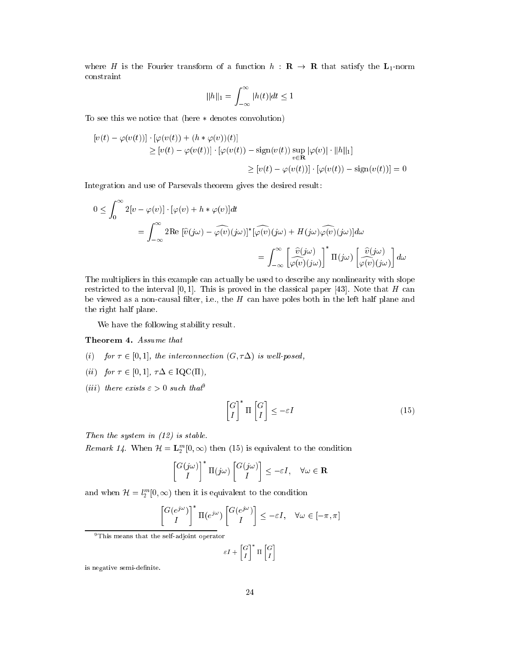where H is the Fourier transform of a function  $h : \mathbf{R} \to \mathbf{R}$  that satisfy the  $\mathbf{L}_1$ -norm onstraint

$$
||h||_1 = \int_{-\infty}^{\infty} |h(t)|dt \le 1
$$

To see this we notice that (here  $*$  denotes convolution)

$$
[v(t) - \varphi(v(t))] \cdot [\varphi(v(t)) + (h * \varphi(v))(t)]
$$
  
\n
$$
\geq [v(t) - \varphi(v(t))] \cdot [\varphi(v(t)) - \operatorname{sign}(v(t)) \sup_{v \in \mathbf{R}} |\varphi(v)| \cdot ||h||_1]
$$
  
\n
$$
\geq [v(t) - \varphi(v(t))] \cdot [\varphi(v(t)) - \operatorname{sign}(v(t))] = 0
$$

Integration and use of Parsevals theorem gives the desired result:

$$
0 \leq \int_0^{\infty} 2[v - \varphi(v)] \cdot [\varphi(v) + h * \varphi(v)] dt
$$
  
= 
$$
\int_{-\infty}^{\infty} 2 \text{Re } [\hat{v}(j\omega) - \widehat{\varphi(v)}(j\omega)]^* [\widehat{\varphi(v)}(j\omega) + H(j\omega)\widehat{\varphi(v)}(j\omega)] d\omega
$$
  
= 
$$
\int_{-\infty}^{\infty} \left[ \frac{\hat{v}(j\omega)}{\varphi(v)}(j\omega) \right]^* \Pi(j\omega) \left[ \frac{\hat{v}(j\omega)}{\varphi(v)}(j\omega) \right] d\omega
$$

The multipliers in this example can actually be used to describe any nonlinearity with slope restricted to the interval  $[0,1]$ . This is proved in the classical paper [43]. Note that H can be viewed as a non-causal filter, i.e., the  $H$  can have poles both in the left half plane and the right half plane.

We have the following stability result.

#### Theorem 4. Assume that

- (i) for  $\tau \in [0, 1]$ , the interconnection  $(G, \tau \Delta)$  is well-posed,
- (ii) for  $\tau \in [0, 1]$ ,  $\tau \Delta \in \text{IQC}(\Pi)$ ,
- (*iii*) there exists  $\varepsilon > 0$  such that<sup>9</sup>

$$
\begin{bmatrix} G \\ I \end{bmatrix}^* \Pi \begin{bmatrix} G \\ I \end{bmatrix} \le -\varepsilon I \tag{15}
$$

Then the system in  $(12)$  is stable.

*Remark 14.* When  $\mathcal{H} = \mathbf{L}_2^m[0,\infty)$  then (15) is equivalent to the condition

$$
\begin{bmatrix} G(j\omega) \\ I \end{bmatrix}^* \Pi(j\omega) \begin{bmatrix} G(j\omega) \\ I \end{bmatrix} \le -\varepsilon I, \quad \forall \omega \in \mathbf{R}
$$

and when  $\mathcal{H} = l_2^m[0,\infty)$  then it is equivalent to the condition

$$
\begin{bmatrix} G(e^{j\omega}) \\ I \end{bmatrix}^* \Pi(e^{j\omega}) \begin{bmatrix} G(e^{j\omega}) \\ I \end{bmatrix} \le -\varepsilon I, \quad \forall \omega \in [-\pi, \pi]
$$

9This means that the self-adjoint operator

$$
\varepsilon I + \begin{bmatrix} G \\ I \end{bmatrix}^* \Pi \begin{bmatrix} G \\ I \end{bmatrix}
$$

is negative semi-definite.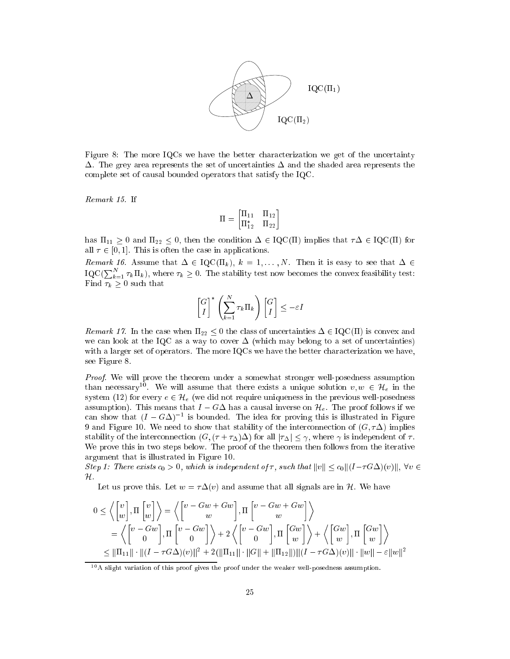

Figure 8: The more IQCs we have the better characterization we get of the uncertainty  $\Delta$ . The grey area represents the set of uncertainties  $\Delta$  and the shaded area represents the omplete set of ausal bounded operators that satisfy the IQC.

Remark 15. If

$$
\Pi = \begin{bmatrix} \Pi_{11} & \Pi_{12} \\ \Pi_{12}^* & \Pi_{22} \end{bmatrix}
$$

has  $\Pi_{11} \geq 0$  and  $\Pi_{22} \leq 0$ , then the condition  $\Delta \in \text{IQC}(\Pi)$  implies that  $\tau\Delta \in \text{IQC}(\Pi)$  for all  $\tau \in [0, 1]$ . This is often the case in applications.

Remark 16. Assume that  $\Delta \in \mathrm{IQC}(\Pi_k)$ ,  $k = 1, ..., N$ . Then it is easy to see that  $\Delta \in$ IQC( $\sum_{k=1}^{N} \tau_k \Pi_k$ ), where  $\tau_k \geq 0$ . The stability test now becomes the convex feasibility test: Find  $\tau_k \geq 0$  such that

$$
\begin{bmatrix} G \\ I \end{bmatrix}^* \left( \sum_{k=1}^N \tau_k \Pi_k \right) \begin{bmatrix} G \\ I \end{bmatrix} \le -\varepsilon I
$$

Remark 17. In the case when  $\Pi_{22} \leq 0$  the class of uncertainties  $\Delta \in \text{IQC}(\Pi)$  is convex and we can look at the IQC as a way to cover  $\Delta$  (which may belong to a set of uncertainties) with a larger set of operators. The more IQCs we have the better characterization we have, see Figure 8.

Proof. We will prove the theorem under a somewhat stronger well-posedness assumption than necessary. We will assume that there exists a unique solution  $v, w \in H_e$  in the system (12) for every  $e \in \mathcal{H}_e$  (we did not require uniqueness in the previous well-posedness assumption). This means that  $I - G\Delta$  has a causal inverse on  $\mathcal{H}_e$ . The proof follows if we can show that  $(I - G\Delta)^{-1}$  is bounded. The idea for proving this is illustrated in Figure 9 and Figure 10. We need to show that stability of the interconnection of  $(G, \tau \Delta)$  implies stability of the interconnection  $(G, (\tau + \tau_\Delta)\Delta)$  for all  $|\tau_\Delta| \leq \gamma$ , where  $\gamma$  is independent of  $\tau$ . We prove this in two steps below. The proof of the theorem then follows from the iterative argument that is illustrated in Figure 10.

Step 1: There exists  $c_0 > 0$ , which is independent of  $\tau$ , such that  $||v|| \leq c_0 ||(I - \tau G\Delta)(v)||$ ,  $\forall v \in$  $\mathcal H$  .

Let us prove this. Let  $w = \tau \Delta(v)$  and assume that all signals are in H. We have

$$
0 \le \left\langle \begin{bmatrix} v \\ w \end{bmatrix}, \Pi \begin{bmatrix} v \\ w \end{bmatrix} \right\rangle = \left\langle \begin{bmatrix} v - Gw + Gw \\ w \end{bmatrix}, \Pi \begin{bmatrix} v - Gw + Gw \\ w \end{bmatrix} \right\rangle
$$
  
=  $\left\langle \begin{bmatrix} v - Gw \\ 0 \end{bmatrix}, \Pi \begin{bmatrix} v - Gw \\ 0 \end{bmatrix} \right\rangle + 2 \left\langle \begin{bmatrix} v - Gw \\ 0 \end{bmatrix}, \Pi \begin{bmatrix} Gw \\ w \end{bmatrix} \right\rangle + \left\langle \begin{bmatrix} Gw \\ w \end{bmatrix}, \Pi \begin{bmatrix} Gw \\ w \end{bmatrix} \right\rangle$   
 $\le ||\Pi_{11}|| \cdot ||(I - \tau G\Delta)(v)||^2 + 2(||\Pi_{11}|| \cdot ||G|| + ||\Pi_{12}||)||(I - \tau G\Delta)(v)|| \cdot ||w|| - \varepsilon ||w||^2$ 

<sup>&</sup>lt;sup>10</sup> A slight variation of this proof gives the proof under the weaker well-posedness assumption.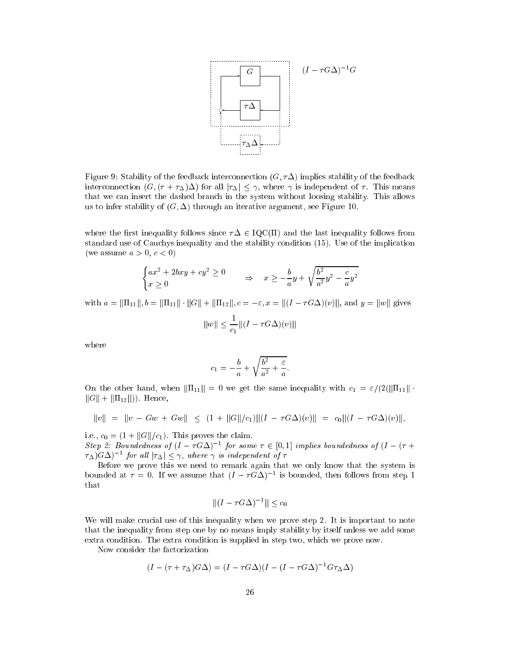

Figure 9: Stability of the feedback interconnection  $(G, \tau \Delta)$  implies stability of the feedback interconnection  $(G, (\tau + \tau_{\Delta})\Delta)$  for all  $|\tau_{\Delta}| \leq \gamma$ , where  $\gamma$  is independent of  $\tau$ . This means that we an insert the dashed bran
h in the system without loosing stability. This allows us to infer stability of  $(G, \Delta)$  through an iterative argument, see Figure 10.

where the first inequality follows since  $\tau \Delta \in \text{IQC}(\Pi)$  and the last inequality follows from standard use of Cau
hys inequality and the stability ondition (15). Use of the impli
ation (we assume  $a > 0, c < 0$ )

$$
\begin{cases}\nax^2 + 2bxy + cy^2 \ge 0 \\
x \ge 0\n\end{cases} \Rightarrow x \ge -\frac{b}{a}y + \sqrt{\frac{b^2}{a^2}y^2 - \frac{c}{a}y^2}
$$

with  $a = ||\Pi_{11}||$ ,  $b = ||\Pi_{11}|| \cdot ||G|| + ||\Pi_{12}||$ ,  $c = -\varepsilon$ ,  $x = ||(I - \tau G\Delta)(v)||$ , and  $y = ||w||$  gives

$$
||w|| \le \frac{1}{c_1} ||(I - \tau G \Delta)(v)||
$$

where

$$
c_1=-\frac{b}{a}+\sqrt{\frac{b^2}{a^2}+\frac{\varepsilon}{a}}.
$$

On the other hand, when  $\|\Pi_{11}\| = 0$  we get the same inequality with  $c_1 = \varepsilon/(2(\|\Pi_{11}\| \cdot$  $||G|| + ||\Pi_{12}||$ ). Hence,

$$
||v|| = ||v - Gw + Gw|| \le (1 + ||G||/c_1) ||(I - \tau G\Delta)(v)|| = c_0 ||(I - \tau G\Delta)(v)||,
$$

i.e.,  $c_0 = (1 + ||G||/c_1)$ . This proves the claim.

Step 2: Doundeaness of  $(I - T G \Delta)$  = for some  $T \in [0, 1]$  implies boundedness of  $(I - T + T)$  $\tau_\Delta$ )G $\Delta$ )  $\tau$  for all  $|\tau_\Delta| \leq \gamma$ , where  $\gamma$  is independent of  $\tau$ 

Before we prove this we need to remark again that we only know that the system is bounded at  $\tau = 0$ . If we assume that  $(I - \tau G \Delta)$  is bounded, then follows from step 1 that

$$
||(I - \tau G \Delta)^{-1}|| \leq c_0
$$

We will make crucial use of this inequality when we prove step 2. It is important to note that the inequality from step one by no means imply stability by itself unless we add some extra ondition. The extra ondition is supplied in step two, whi
h we prove now.

Now onsider the fa
torization

$$
(I - (\tau + \tau_{\Delta})G\Delta) = (I - \tau G\Delta)(I - (I - \tau G\Delta)^{-1}G\tau_{\Delta}\Delta)
$$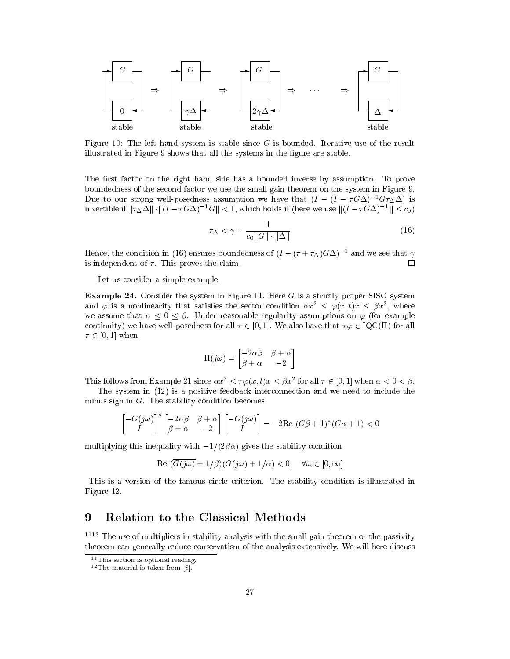

Figure 10: The left hand system is stable since  $G$  is bounded. Iterative use of the result illustrated in Figure 9 shows that all the systems in the figure are stable.

The first factor on the right hand side has a bounded inverse by assumption. To prove boundedness of the se
ond fa
tor we use the small gain theorem on the system in Figure 9. Due to our strong well-posedness assumption we have that  $(I - (I - \tau G \Delta)^{-1} G \tau_{\Delta} \Delta)$  is Invertible if  $||\tau_{\Delta}\Delta|| \cdot ||(1-\tau\sigma\Delta) - \sigma|| \leq 1$ , which holds if (here we use  $||(1-\tau\sigma\Delta)^{-1}|| \leq c_0$ )

$$
\tau_{\Delta} < \gamma = \frac{1}{c_0 \|G\| \cdot \|\Delta\|} \tag{16}
$$

Hence, the condition in (16) ensures boundedness of  $(I - (T + T_{\Delta})G\Delta)^{-1}$  and we see that  $\gamma$ is independent of  $\tau$ . This proves the claim. □

Let us onsider a simple example.

**Example 24.** Consider the system in Figure 11. Here  $G$  is a strictly proper SISO system and  $\varphi$  is a nonlinearity that satisfies the sector condition  $\alpha x^2 \leq \varphi(x,t)x \leq \beta x^2$ , where we assume that  $\alpha \leq 0 \leq \beta$ . Under reasonable regularity assumptions on  $\varphi$  (for example continuity) we have well-posedness for all  $\tau \in [0, 1]$ . We also have that  $\tau \varphi \in \text{IQC}(\Pi)$  for all  $\tau \in [0, 1]$  when

$$
\Pi(j\omega) = \begin{bmatrix} -2\alpha\beta & \beta + \alpha \\ \beta + \alpha & -2 \end{bmatrix}
$$

This follows from Example 21 since  $\alpha x^2 \leq \tau \varphi(x, t)x \leq \beta x^2$  for all  $\tau \in [0, 1]$  when  $\alpha < 0 < \beta$ .

The system in  $(12)$  is a positive feedback interconnection and we need to include the minus sign in  $G$ . The stability condition becomes

$$
\begin{bmatrix} -G(j\omega) \\ I \end{bmatrix}^* \begin{bmatrix} -2\alpha\beta & \beta+\alpha \\ \beta+\alpha & -2 \end{bmatrix} \begin{bmatrix} -G(j\omega) \\ I \end{bmatrix} = -2\operatorname{Re}(G\beta+1)^*(G\alpha+1) < 0
$$

multiplying this inequality with  $-1/(2\beta\alpha)$  gives the stability condition

$$
\text{Re } (\overline{G(j\omega)} + 1/\beta)(G(j\omega) + 1/\alpha) < 0, \quad \forall \omega \in [0, \infty]
$$

This is a version of the famous circle criterion. The stability condition is illustrated in Figure 12.

#### Relation to the Classical Methods 9

<sup>1112</sup> The use of multipliers in stability analysis with the small gain theorem or the passivity theorem can generally reduce conservatism of the analysis extensively. We will here discuss

 $11$  This section is optional reading.

 $12$  The material is taken from  $[8]$ .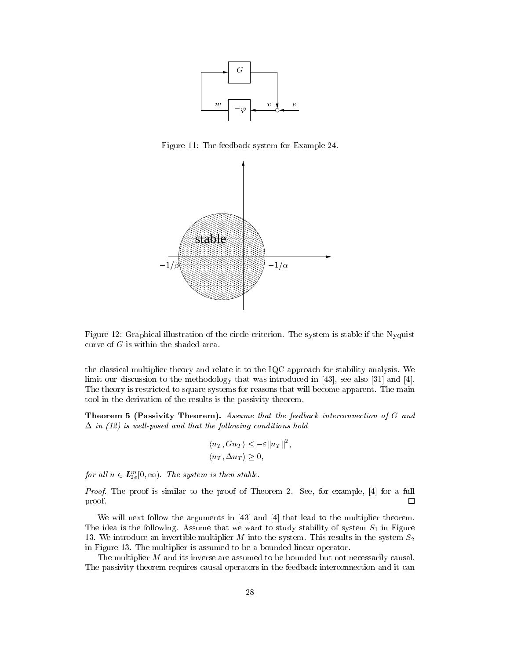

Figure 11: The feedba
k system for Example 24.



Figure 12: Graphical illustration of the circle criterion. The system is stable if the Nyquist curve of  $G$  is within the shaded area.

the lassi
al multiplier theory and relate it to the IQC approa
h for stability analysis. We limit our discussion to the methodology that was introduced in  $[43]$ , see also  $[31]$  and  $[4]$ . The theory is restricted to square systems for reasons that will become apparent. The main tool in the derivation of the results is the passivity theorem.

Theorem 5 (Passivity Theorem). Assume that the feedback interconnection of G and  $\Delta$  in (12) is well-posed and that the following conditions hold

$$
\langle u_T, G u_T \rangle \le -\varepsilon ||u_T||^2,
$$
  

$$
\langle u_T, \Delta u_T \rangle \ge 0,
$$

for all  $u \in L_{2e}^{m}[0,\infty)$ . The system is then stable.

*Proof.* The proof is similar to the proof of Theorem 2. See, for example,  $[4]$  for a full proof.  $\Box$ 

We will next follow the arguments in  $[43]$  and  $[4]$  that lead to the multiplier theorem. The idea is the following. Assume that we want to study stability of system  $S_1$  in Figure 13. We introduce an invertible multiplier M into the system. This results in the system  $S_2$ in Figure 13. The multiplier is assumed to be a bounded linear operator.

The multiplier  $M$  and its inverse are assumed to be bounded but not necessarily causal. The passivity theorem requires causal operators in the feedback interconnection and it can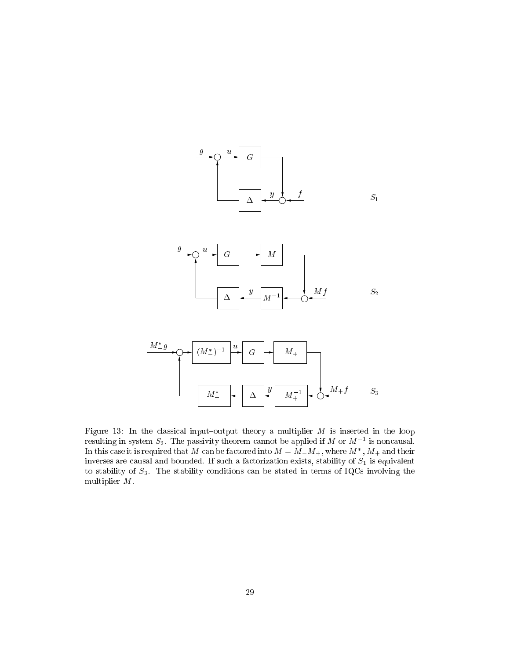

Figure 13: In the classical input-output theory a multiplier  $M$  is inserted in the loop resulting in system  $S_2$ . The passivity theorem cannot be applied if M or M  $^{-1}$  is noncausal. In this case it is required that M can be factored lifto  $M \equiv M \perp M_+$ , where  $M_-, M_+$  and their inverses are to the failure of the fact of the fact of the failure of the failure of  $\sim$  10 is equivalent. to stability of  $S_3$ . The stability conditions can be stated in terms of IQCs involving the multiplier M.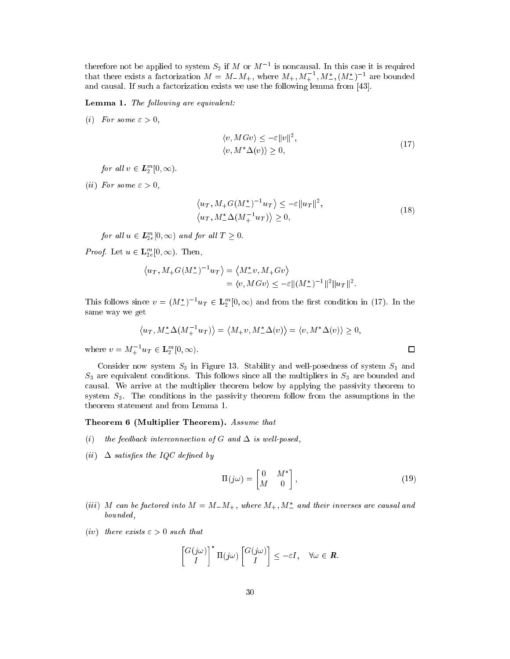therefore not be applied to system  $S_2$  if M or M  $\geq$  is noncausal. In this case it is required that there exists a factorization  $M = M_{-}M_{+}$ , where  $M_{+}, M_{+}$ ,  $M_{-}$ ,  $M_{-}$ ,  $(M_{-}^{+})$  are bounded and causal. If such a factorization exists we use the following lemma from [43].

Lemma 1. The following are equivalent:

(i) For some  $\varepsilon > 0$ ,

$$
\langle v, MGv \rangle \le -\varepsilon ||v||^2,
$$
  

$$
\langle v, M^* \Delta(v) \rangle \ge 0,
$$
 (17)

for all  $v \in L_2^m[0, \infty)$ .

(*ii*) For some  $\varepsilon > 0$ ,

$$
\langle u_T, M_+G(M_-^*)^{-1}u_T \rangle \le -\varepsilon ||u_T||^2,
$$
  

$$
\langle u_T, M_-^*\Delta(M_+^{-1}u_T) \rangle \ge 0,
$$
 (18)

for all  $u \in L_{2e}^m[0,\infty)$  and for all  $T \geq 0$ .

*Proof.* Let  $u \in \mathbf{L}_{2e}^m[0,\infty)$ . Then,

$$
\langle u_T, M_+G(M_-^*)^{-1}u_T \rangle = \langle M_-^*v, M_+Gv \rangle
$$
  
=  $\langle v, MGv \rangle \le -\varepsilon ||(M_-^*)^{-1}||^2 ||u_T||^2$ 

This follows since  $v = (M_{-}^{*})^{-1}u_T \in \mathbf{L}_2^m[0,\infty)$  and from the first condition in (17). In the same way we get

$$
\langle u_T, M^* \Delta(M_+^{-1} u_T) \rangle = \langle M_+ v, M^* \Delta(v) \rangle = \langle v, M^* \Delta(v) \rangle \ge 0,
$$

where  $v = M_+^{-1} u_T \in {\bf L}_2^m[0, \infty)$ .

Consider now system  $S_3$  in Figure 13. Stability and well-posedness of system  $S_1$  and  $S_3$  are equivalent conditions. This follows since all the multipliers in  $S_3$  are bounded and ausal. We arrive at the multiplier theorem below by applying the passivity theorem to system  $S_3$ . The conditions in the passivity theorem follow from the assumptions in the theorem statement and from Lemma 1.

#### Theorem 6 (Multiplier Theorem). Assume that

- (i) the feedback interconnection of G and  $\Delta$  is well-posed,
- (*ii*)  $\Delta$  satisfies the IQC defined by

$$
\Pi(j\omega) = \begin{bmatrix} 0 & M^* \\ M & 0 \end{bmatrix},\tag{19}
$$

- (iii) M can be factored into  $M = M_{-}M_{+}$ , where  $M_{+}, M_{-}$  and their inverses are causal and bounded,
- (iv) there exists  $\varepsilon > 0$  such that

$$
\begin{bmatrix} G(j\omega) \\ I \end{bmatrix}^* \Pi(j\omega) \begin{bmatrix} G(j\omega) \\ I \end{bmatrix} \leq -\varepsilon I, \quad \forall \omega \in \mathbb{R}.
$$

```
\Box
```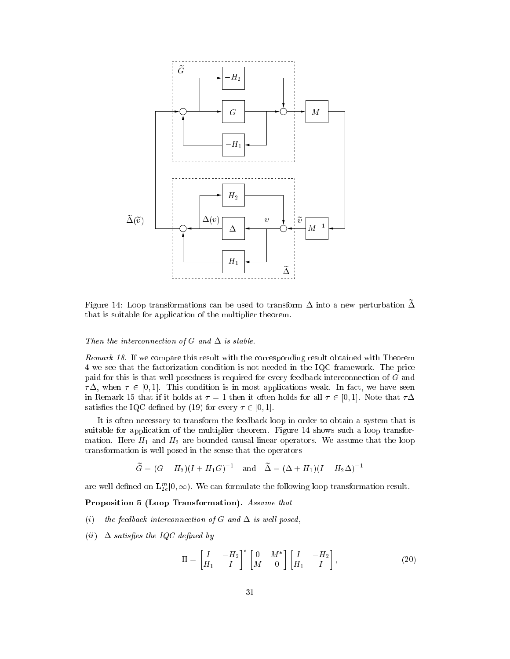

Figure 14: Loop transformations can be used to transform  $\Delta$  into a new perturbation  $\widetilde{\Delta}$ that is suitable for application of the multiplier theorem.

#### Then the interconnection of G and  $\Delta$  is stable.

Remark 18. If we compare this result with the corresponding result obtained with Theorem 4 we see that the factorization condition is not needed in the IQC framework. The price paid for this is that well-posedness is required for every feedba
k inter
onne
tion of G and  $\tau \Delta$ , when  $\tau \in [0, 1]$ . This condition is in most applications weak. In fact, we have seen in Remark 15 that if it holds at  $\tau = 1$  then it often holds for all  $\tau \in [0, 1]$ . Note that  $\tau \Delta$ satisfies the IQC defined by (19) for every  $\tau \in [0,1]$ .

It is often ne
essary to transform the feedba
k loop in order to obtain a system that is suitable for application of the multiplier theorem. Figure 14 shows such a loop transformation. Here  $H_1$  and  $H_2$  are bounded causal linear operators. We assume that the loop transformation is well-posed in the sense that the operators

$$
\widetilde{G} = (G - H_2)(I + H_1G)^{-1}
$$
 and  $\widetilde{\Delta} = (\Delta + H_1)(I - H_2\Delta)^{-1}$ 

are well-defined on  $\mathbf{L}_{2e}^{m}[0,\infty)$ . We can formulate the following loop transformation result.

Proposition 5 (Loop Transformation). Assume that

- (i) the feedback interconnection of G and  $\Delta$  is well-posed,
- (ii)  $\Delta$  satisfies the IQC defined by

$$
\Pi = \begin{bmatrix} I & -H_2 \\ H_1 & I \end{bmatrix}^* \begin{bmatrix} 0 & M^* \\ M & 0 \end{bmatrix} \begin{bmatrix} I & -H_2 \\ H_1 & I \end{bmatrix},
$$
\n(20)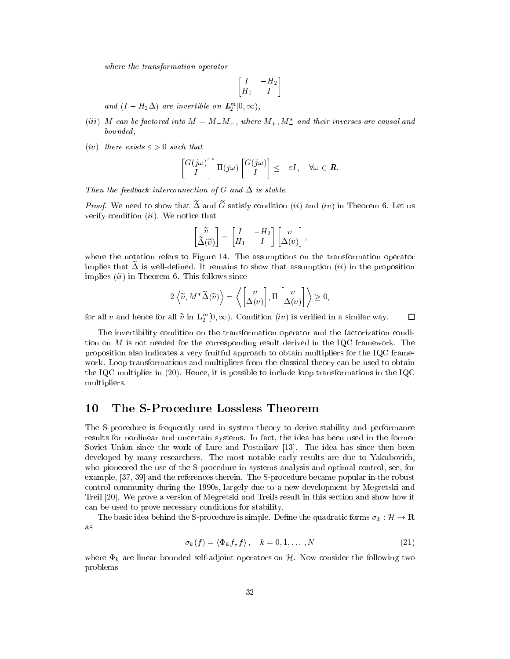where the transformation operator

$$
\begin{bmatrix} I & -H_2 \\ H_1 & I \end{bmatrix}
$$

and  $(I - H_2 \Delta)$  are invertible on  $L_2^m[0, \infty)$ ,

- $\left( \textit{in} \right)$  m can be factored into  $\textit{m} = \textit{m}_{-}\textit{m}_{+},$  where  $\textit{m}_{+}, \textit{m}_{-}$  and their inverses are causal and bounded,
- (iv) there exists  $\varepsilon > 0$  such that

$$
\begin{bmatrix} G(j\omega) \\ I \end{bmatrix}^* \Pi(j\omega) \begin{bmatrix} G(j\omega) \\ I \end{bmatrix} \leq -\varepsilon I, \quad \forall \omega \in \mathbb{R}.
$$

Then the feedback interconnection of G and  $\Delta$  is stable.

*Proof.* We need to show that  $\tilde{\Delta}$  and  $\tilde{G}$  satisfy condition (ii) and (iv) in Theorem 6. Let us verify condition  $(ii)$ . We notice that

$$
\begin{bmatrix} \widetilde{v} \\ \widetilde{\Delta}(\widetilde{v}) \end{bmatrix} = \begin{bmatrix} I & -H_2 \\ H_1 & I \end{bmatrix} \begin{bmatrix} v \\ \Delta(v) \end{bmatrix},
$$

where the notation refers to Figure 14. The assumptions on the transformation operator implies that  $\Delta$  is well-defined. It remains to show that assumption *(ii)* in the proposition implies  $(ii)$  in Theorem 6. This follows since

$$
2\left\langle \widetilde{v}, M^*\widetilde{\Delta}(\widetilde{v})\right\rangle = \left\langle \begin{bmatrix} v \\ \Delta(v) \end{bmatrix}, \Pi \begin{bmatrix} v \\ \Delta(v) \end{bmatrix} \right\rangle \geq 0,
$$

for all v and hence for all  $\tilde{v}$  in  $\mathbf{L}_2^m[0,\infty)$ . Condition (iv) is verified in a similar way.

 $\Box$ 

The invertibility condition on the transformation operator and the factorization condition on M is not needed for the orresponding result derived in the IQC framework. The proposition also indi
ates a very fruitful approa
h to obtain multipliers for the IQC framework. Loop transformations and multipliers from the classical theory can be used to obtain the IQC multiplier in (20). Hen
e, it is possible to in
lude loop transformations in the IQC multipliers.

#### The S-Procedure Lossless Theorem 10

The S-procedure is frequently used in system theory to derive stability and performance results for nonlinear and un
ertain systems. In fa
t, the idea has been used in the former Soviet Union since the work of Lure and Postnikov [13]. The idea has since then been developed by many researchers. The most notable early results are due to Yakubovich, who pioneered the use of the S-procedure in systems analysis and optimal control, see, for example, [37, 39] and the references therein. The S-procedure became popular in the robust ontrol ommunity during the 1990s, largely due to a new development by Megretski and Treil [20]. We prove a version of Megretski and Treils result in this section and show how it an be used to prove ne
essary onditions for stability.

The basic idea behind the S-procedure is simple. Define the quadratic forms  $\sigma_k : \mathcal{H} \to \mathbf{R}$ as

$$
\sigma_k(f) = \langle \Phi_k f, f \rangle, \quad k = 0, 1, \dots, N \tag{21}
$$

where  $\Phi_k$  are linear bounded self-adjoint operators on H. Now consider the following two problems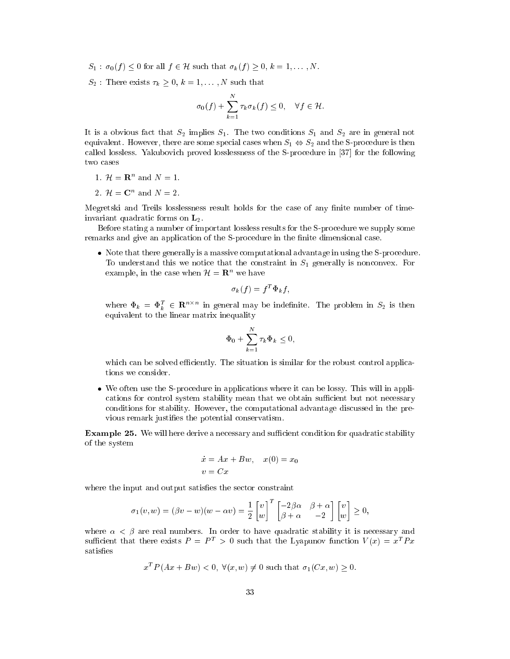- $S_1$ :  $\sigma_0(f) \leq 0$  for all  $f \in \mathcal{H}$  such that  $\sigma_k(f) \geq 0, k = 1, ..., N$ .
- $S_2$ : There exists  $\tau_k \geq 0, k = 1, \ldots, N$  such that

$$
\sigma_0(f) + \sum_{k=1}^N \tau_k \sigma_k(f) \le 0, \quad \forall f \in \mathcal{H}.
$$

It is a obvious fact that  $S_2$  implies  $S_1$ . The two conditions  $S_1$  and  $S_2$  are in general not equivalent. However, there are some special cases when  $S_1 \Leftrightarrow S_2$  and the S-procedure is then called lossless. Yakubovich proved losslessness of the S-procedure in [37] for the following two ases

- 1.  $\mathcal{H} = \mathbb{R}^n$  and  $N = 1$ .
- 2.  $\mathcal{H} = \mathbb{C}^n$  and  $N = 2$ .

Megretski and Treils losslessness result holds for the case of any finite number of timeinvariant quadratic forms on  $\mathbf{L}_2$ .

Before stating a number of important lossless results for the S-pro
edure we supply some remarks and give an application of the S-procedure in the finite dimensional case.

 Note that there generally is a massive omputational advantage in using the S-pro
edure. To understand this we notice that the constraint in  $S_1$  generally is nonconvex. For example, in the case when  $\mathcal{H}=\mathbf{R}^n$  we have

$$
\sigma_k(f) = f^T \Phi_k f,
$$

where  $\Phi_k = \Phi_k^T \in \mathbf{R}^{n \times n}$  in general may be indefinite. The problem in  $S_2$  is then equivalent to the linear matrix inequality

$$
\Phi_0 + \sum_{k=1}^N \tau_k \Phi_k \le 0,
$$

which can be solved efficiently. The situation is similar for the robust control applications we onsider.

we often use the S-procedure in application in an application in a loss will in a procedure it in applications for control system stability mean that we obtain sufficient but not necessary conditions for stability. However, the computational advantage discussed in the previous remark justies the potential onservatism.

**Example 25.** We will here derive a necessary and sufficient condition for quadratic stability of the system

$$
\begin{aligned}\n\dot{x} &= Ax + Bw, \quad x(0) = x_0 \\
v &= Cx\n\end{aligned}
$$

where the input and output satisfies the sector constraint

$$
\sigma_1(v, w) = (\beta v - w)(w - \alpha v) = \frac{1}{2} \begin{bmatrix} v \\ w \end{bmatrix}^T \begin{bmatrix} -2\beta\alpha & \beta + \alpha \\ \beta + \alpha & -2 \end{bmatrix} \begin{bmatrix} v \\ w \end{bmatrix} \ge 0,
$$

where  $\alpha < \beta$  are real numbers. In order to have quadratic stability it is necessary and sufficient that there exists  $P = P^T > 0$  such that the Lyapunov function  $V(x) = x^T P x$ satisfies

$$
x^T P(Ax + Bw) < 0, \forall (x, w) \neq 0
$$
 such that  $\sigma_1(Cx, w) \geq 0$ .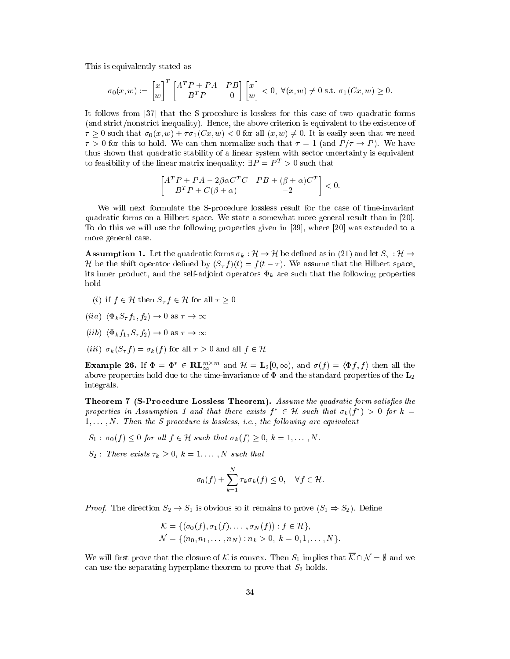This is equivalently stated as

$$
\sigma_0(x, w) := \begin{bmatrix} x \\ w \end{bmatrix}^T \begin{bmatrix} A^T P + P A & P B \\ B^T P & 0 \end{bmatrix} \begin{bmatrix} x \\ w \end{bmatrix} < 0, \ \forall (x, w) \neq 0 \text{ s.t. } \sigma_1(Cx, w) \ge 0.
$$

It follows from [37] that the S-procedure is lossless for this case of two quadratic forms (and strict/nonstrict inequality). Hence, the above criterion is equivalent to the existence of  $\tau \geq 0$  such that  $\sigma_0(x, w) + \tau \sigma_1(Cx, w) < 0$  for all  $(x, w) \neq 0$ . It is easily seen that we need  $\tau > 0$  for this to hold. We can then normalize such that  $\tau = 1$  (and  $P/\tau \to P$ ). We have thus shown that quadratic stability of a linear system with sector uncertainty is equivalent to feasibility of the linear matrix inequality:  $\exists P = P^T > 0$  such that

$$
\begin{bmatrix} A^T P + P A - 2\beta \alpha C^T C & P B + (\beta + \alpha) C^T \\ B^T P + C(\beta + \alpha) & -2 \end{bmatrix} < 0.
$$

We will next formulate the S-procedure lossless result for the case of time-invariant quadratic forms on a Hilbert space. We state a somewhat more general result than in [20]. To do this we will use the following properties given in  $[39]$ , where  $[20]$  was extended to a more general ase.

**Assumption 1.** Let the quadratic forms  $\sigma_k : \mathcal{H} \to \mathcal{H}$  be defined as in (21) and let  $S_\tau : \mathcal{H} \to$ L be the shift operator defined by  $(\mathcal{O}_T f)(t) = f(t - t)$ . We assume that the Hilbert space, its inner product, and the self-adjoint operators  $\Phi_k$  are such that the following properties hold

- (i) if  $f \in \mathcal{H}$  then  $S_{\tau} f \in \mathcal{H}$  for all  $\tau \geq 0$
- (iia)  $\langle \Phi_k S_\tau f_1, f_2 \rangle \to 0$  as  $\tau \to \infty$
- (*iib*)  $\langle \Phi_k f_1, S_\tau f_2 \rangle \to 0$  as  $\tau \to \infty$
- (iii)  $\sigma_k (S_\tau f) = \sigma_k (f)$  for all  $\tau \geq 0$  and all  $f \in \mathcal{H}$

**Example 26.** If  $\Phi = \Phi^* \in \mathbf{RL}_{\infty}^{m \times m}$  and  $\mathcal{H} = \mathbf{L}_2[0, \infty)$ , and  $\sigma(f) = \langle \Phi f, f \rangle$  then all the above properties hold due to the time-invariance of  $\Phi$  and the standard properties of the  $L_2$ integrals.

Theorem 7 (S-Procedure Lossless Theorem). Assume the quadratic form satisfies the properties in Assumption 1 and that there exists  $\jmath~\in~$  H such that  $\sigma_k$  (J  $\jmath~>$  O for  $\kappa~=$  $1, \ldots, N$ . Then the S-procedure is lossless, i.e., the following are equivalent

- $S_1$ :  $\sigma_0(f) < 0$  for all  $f \in \mathcal{H}$  such that  $\sigma_k(f) > 0, k = 1, \ldots, N$ .
- $S_2$ : There exists  $\tau_k > 0, k = 1, \ldots, N$  such that

$$
\sigma_0(f) + \sum_{k=1}^N \tau_k \sigma_k(f) \le 0, \quad \forall f \in \mathcal{H}.
$$

*Proof.* The direction  $S_2 \to S_1$  is obvious so it remains to prove  $(S_1 \Rightarrow S_2)$ . Define

$$
\mathcal{K} = \{ (\sigma_0(f), \sigma_1(f), \dots, \sigma_N(f)) : f \in \mathcal{H} \},
$$
  
\n
$$
\mathcal{N} = \{ (n_0, n_1, \dots, n_N) : n_k > 0, k = 0, 1, \dots, N \}.
$$

We will first prove that the closure of K is convex. Then  $S_1$  implies that  $\overline{\mathcal{K}} \cap \mathcal{N} = \emptyset$  and we can use the separating hyperplane theorem to prove that  $S_2$  holds.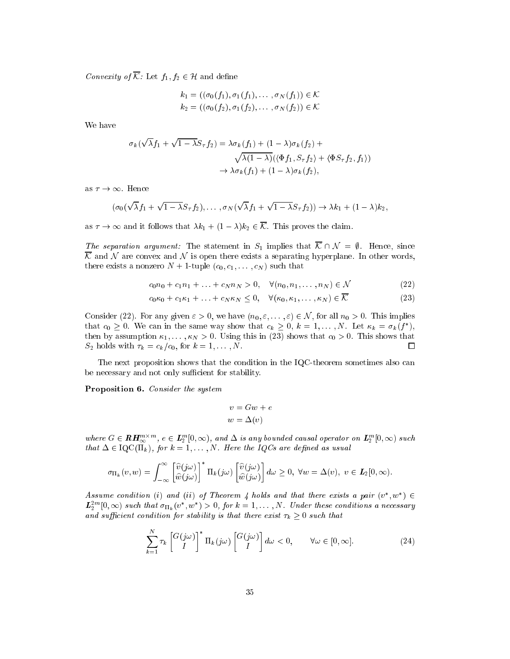Convexity of  $\overline{\mathcal{K}}$ : Let  $f_1, f_2 \in \mathcal{H}$  and define

$$
k_1 = ((\sigma_0(f_1), \sigma_1(f_1), \dots, \sigma_N(f_1)) \in \mathcal{K}
$$
  

$$
k_2 = ((\sigma_0(f_2), \sigma_1(f_2), \dots, \sigma_N(f_2)) \in \mathcal{K}
$$

We have

$$
\sigma_k(\sqrt{\lambda}f_1 + \sqrt{1 - \lambda}S_{\tau}f_2) = \lambda \sigma_k(f_1) + (1 - \lambda)\sigma_k(f_2) + \sqrt{\lambda(1 - \lambda)}(\langle \Phi f_1, S_{\tau}f_2 \rangle + \langle \Phi S_{\tau}f_2, f_1 \rangle) \rightarrow \lambda \sigma_k(f_1) + (1 - \lambda)\sigma_k(f_2),
$$

as  $\tau \to \infty$ . Hence

$$
(\sigma_0(\sqrt{\lambda}f_1+\sqrt{1-\lambda}S_{\tau}f_2),\ldots,\sigma_N(\sqrt{\lambda}f_1+\sqrt{1-\lambda}S_{\tau}f_2))\to \lambda k_1+(1-\lambda)k_2,
$$

as  $\tau \to \infty$  and it follows that  $\lambda k_1 + (1 - \lambda)k_2 \in \overline{\mathcal{K}}$ . This proves the claim.

The separation argument: The statement in  $S_1$  implies that  $\overline{K} \cap \mathcal{N} = \emptyset$ . Hence, since K and <sup>N</sup> are onvex and <sup>N</sup> is open there exists a separating hyperplane. In other words, there exists a nonzero  $N + 1$ -tuple  $(c_0, c_1, \ldots, c_N)$  such that

$$
c_0 n_0 + c_1 n_1 + \ldots + c_N n_N > 0, \quad \forall (n_0, n_1, \ldots, n_N) \in \mathcal{N}
$$
 (22)

$$
c_0\kappa_0 + c_1\kappa_1 + \ldots + c_N\kappa_N \le 0, \quad \forall (\kappa_0, \kappa_1, \ldots, \kappa_N) \in \mathcal{K}
$$
\n
$$
(23)
$$

Consider (22). For any given  $\varepsilon > 0$ , we have  $(n_0, \varepsilon, \dots, \varepsilon) \in \mathcal{N}$ , for all  $n_0 > 0$ . This implies that  $c_0 > 0$ . We can in the same way show that  $c_k > 0, \, \kappa = 1, \ldots, N$ . Let  $\kappa_k = \sigma_{k}$  (f ), then by assumption  $\kappa_1, \ldots, \kappa_N > 0$ . Using this in (23) shows that  $c_0 > 0$ . This shows that  $S_2$  holds with  $\tau_k = c_k/c_0$ , for  $k = 1, \ldots, N$ . П

The next proposition shows that the condition in the IQC-theorem sometimes also can be necessary and not only sufficient for stability.

Proposition 6. Consider the system

$$
v = Gw + e
$$

$$
w = \Delta(v)
$$

where  $G \in \boldsymbol{R} \boldsymbol{H}_{\infty}^{m \times m}$ ,  $e \in L_2^m[0,\infty)$ , and  $\Delta$  is any bounded causal operator on  $L_2^m[0,\infty)$  such that  $\Delta \in \mathrm{IQC}(\Pi_k)$ , for  $k = 1, ..., N$ . Here the IQCs are defined as usual

$$
\sigma_{\Pi_k}(v, w) = \int_{-\infty}^{\infty} \left[ \widehat{v}(j\omega) \right]^* \Pi_k(j\omega) \left[ \widehat{v}(j\omega) \right] d\omega \ge 0, \ \forall w = \Delta(v), \ v \in L_2[0, \infty).
$$

Assume condition (i) and (ii) of Ineorem 4 holds and that there exists a pair (v, w)  $\in$  $L_2^{2m}[0,\infty)$  such that  $\sigma_{\Pi_k}(v^*,w^*)>0$ , for  $k=1,\ldots,N$ . Under these conditions a necessary and sufficient condition for stability is that there exist  $\tau_k \geq 0$  such that

$$
\sum_{k=1}^{N} \tau_k \begin{bmatrix} G(j\omega) \\ I \end{bmatrix}^* \Pi_k(j\omega) \begin{bmatrix} G(j\omega) \\ I \end{bmatrix} d\omega < 0, \qquad \forall \omega \in [0, \infty].
$$
 (24)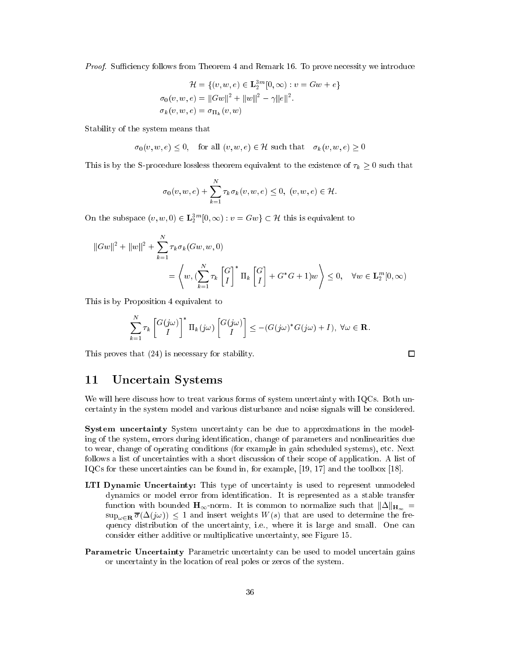*Proof.* Sufficiency follows from Theorem 4 and Remark 16. To prove necessity we introduce

$$
\mathcal{H} = \{ (v, w, e) \in \mathbf{L}_2^{3m} [0, \infty) : v = Gw + e \}
$$

$$
\sigma_0(v, w, e) = ||Gw||^2 + ||w||^2 - \gamma ||e||^2.
$$

$$
\sigma_k(v, w, e) = \sigma_{\Pi_k}(v, w)
$$

Stability of the system means that

 $\sigma_0(v, w, e) \leq 0$ , for all  $(v, w, e) \in \mathcal{H}$  such that  $\sigma_k(v, w, e) \geq 0$ 

This is by the S-procedure lossless theorem equivalent to the existence of  $\tau_k \geq 0$  such that

$$
\sigma_0(v,w,e)+\sum_{k=1}^N\tau_k\sigma_k(v,w,e)\leq 0,\ (v,w,e)\in\mathcal{H}.
$$

On the subspace  $(v, w, 0) \in L_2^{3m}[0, \infty) : v = Gw \} \subset \mathcal{H}$  this is equivalent to

$$
||Gw||2 + ||w||2 + \sum_{k=1}^{N} \tau_k \sigma_k(Gw, w, 0)
$$
  
=  $\left\langle w, (\sum_{k=1}^{N} \tau_k \begin{bmatrix} G \\ I \end{bmatrix}^* \Pi_k \begin{bmatrix} G \\ I \end{bmatrix} + G^*G + 1)w \right\rangle \leq 0, \quad \forall w \in \mathbf{L}_2^m[0, \infty)$ 

This is by Proposition 4 equivalent to

$$
\sum_{k=1}^N \tau_k \begin{bmatrix} G(j\omega) \\ I \end{bmatrix}^* \Pi_k(j\omega) \begin{bmatrix} G(j\omega) \\ I \end{bmatrix} \leq -(G(j\omega)^* G(j\omega) + I), \ \forall \omega \in \mathbf{R}.
$$

 $\Box$ 

This proves that (24) is ne
essary for stability.

## 11 Un
ertain Systems

We will here discuss how to treat various forms of system uncertainty with IQCs. Both unertainty in the system model and various disturban
e and noise signals will be onsidered.

System uncertainty System uncertainty can be due to approximations in the modeling of the system, errors during identification, change of parameters and nonlinearities due to wear, hange of operating onditions (for example in gain s
heduled systems), et
. Next follows a list of uncertainties with a short discussion of their scope of application. A list of IQCs for these uncertainties can be found in, for example,  $[19, 17]$  and the toolbox  $[18]$ .

- LTI Dynamic Uncertainty: This type of uncertainty is used to represent unmodeled dynamics or model error from identification. It is represented as a stable transfer function with bounded  $H_{\infty}$ -norm. It is common to normalize such that  $\|\Delta\|_{H_{\infty}} =$  $\sup_{\omega \in \mathbb{R}} \overline{\sigma}(\Delta(j\omega)) \leq 1$  and insert weights  $W(s)$  that are used to determine the frequency distribution of the uncertainty, i.e., where it is large and small. One can onsider either additive or multipli
ative un
ertainty, see Figure 15.
- Parametric Uncertainty Parametric uncertainty can be used to model uncertain gains or un
ertainty in the lo
ation of real poles or zeros of the system.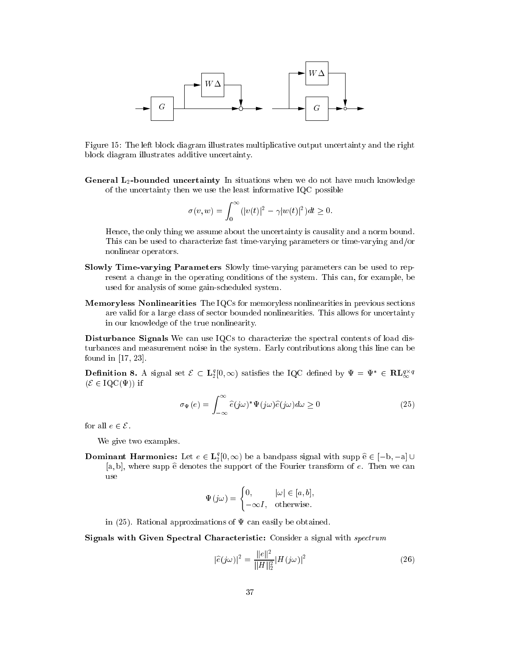

Figure 15: The left block diagram illustrates multiplicative output uncertainty and the right blo
k diagram illustrates additive un
ertainty.

General L<sub>2</sub>-bounded uncertainty In situations when we do not have much knowledge of the un
ertainty then we use the least informative IQC possible

$$
\sigma(v,w)=\int_0^\infty (|v(t)|^2-\gamma |w(t)|^2)dt\geq 0.
$$

Hen
e, the only thing we assume about the un
ertainty is ausality and a norm bound. This can be used to characterize fast time-varying parameters or time-varying and/or nonlinear operators.

- Slowly Time-varying Parameters Slowly time-varying parameters an be used to represent a change in the operating conditions of the system. This can, for example, be used for analysis of some gain-s
heduled system.
- Memoryless Nonlinearities The IQCs for memoryless nonlinearities in previous sections are valid for a large lass of se
tor bounded nonlinearities. This allows for un
ertainty in our knowledge of the true nonlinearity.

Disturbance Signals We can use IQCs to characterize the spectral contents of load disturban
es and measurement noise in the system. Early ontributions along this line an be found in  $[17, 23]$ .

**Definition 8.** A signal set  $\mathcal{E} \subset L_2^q[0,\infty)$  satisfies the IQC defined by  $\Psi = \Psi^* \in \mathbf{RL}_{\infty}^{q \times q}$  $(\mathcal{E} \in \text{IQC}(\Psi))$  if

$$
\sigma_{\Psi}(e) = \int_{-\infty}^{\infty} \hat{e}(j\omega)^* \Psi(j\omega) \hat{e}(j\omega) d\omega \ge 0
$$
\n(25)

for all  $e \in \mathcal{E}$ .

We give two examples.

**Dominant Harmonics:** Let  $e \in L_2^q[0, \infty)$  be a bandpass signal with supp  $\hat{e} \in [-b, -a] \cup$ [a, b], where supp  $\hat{e}$  denotes the support of the Fourier transform of  $e$ . Then we can use

$$
\Psi(j\omega) = \begin{cases} 0, & |\omega| \in [a, b], \\ -\infty I, & \text{otherwise.} \end{cases}
$$

in (25). Rational approximations of  $\Psi$  can easily be obtained.

Signals with Given Spectral Characteristic: Consider a signal with *spectrum* 

$$
|\hat{e}(j\omega)|^2 = \frac{\|e\|^2}{\|H\|_2^2} |H(j\omega)|^2
$$
 (26)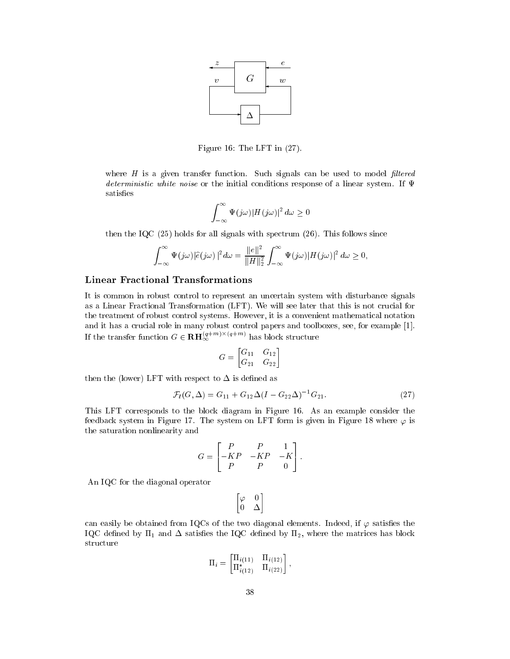

Figure 16: The LFT in (27).

where  $H$  is a given transfer function. Such signals can be used to model filtered deterministic white noise or the initial conditions response of a linear system. If  $\Psi$ satisfies

$$
\int_{-\infty}^{\infty} \Psi(j\omega)|H(j\omega)|^2 d\omega \ge 0
$$

then the IQC  $(25)$  holds for all signals with spectrum  $(26)$ . This follows since

$$
\int_{-\infty}^{\infty} \Psi(j\omega)|\widehat{e}(j\omega)|^2 d\omega = \frac{\|e\|^2}{\|H\|_2^2} \int_{-\infty}^{\infty} \Psi(j\omega)|H(j\omega)|^2 d\omega \ge 0,
$$

#### Linear Fra
tional Transformations

It is ommon in robust ontrol to represent an un
ertain system with disturban
e signals as a Linear Fractional Transformation (LFT). We will see later that this is not crucial for the treatment of robust ontrol systems. However, it is a onvenient mathemati
al notation and it has a crucial role in many robust control papers and toolboxes, see, for example [1]. If the transfer function  $G \in \mathbf{RH}_{\infty}^{(q+m)\times (q+m)}$  has block structure

$$
G = \begin{bmatrix} G_{11} & G_{12} \\ G_{21} & G_{22} \end{bmatrix}
$$

then the (lower) LFT with respect to  $\Delta$  is defined as

$$
\mathcal{F}_l(G,\Delta) = G_{11} + G_{12}\Delta(I - G_{22}\Delta)^{-1}G_{21}.
$$
\n(27)

This LFT corresponds to the block diagram in Figure 16. As an example consider the feedback system in Figure 17. The system on LFT form is given in Figure 18 where  $\varphi$  is the saturation nonlinearity and

$$
G = \begin{bmatrix} P & P & 1 \\ -KP & -KP & -K \\ P & P & 0 \end{bmatrix}.
$$

An IQC for the diagonal operator

$$
\begin{bmatrix} \varphi & 0 \\ 0 & \Delta \end{bmatrix}
$$

can easily be obtained from IQCs of the two diagonal elements. Indeed, if  $\varphi$  satisfies the IQC defined by  $\Pi_1$  and  $\Delta$  satisfies the IQC defined by  $\Pi_2$ , where the matrices has block structure

$$
\Pi_i = \begin{bmatrix} \Pi_{i(11)} & \Pi_{i(12)} \\ \Pi_{i(12)}^* & \Pi_{i(22)} \end{bmatrix},
$$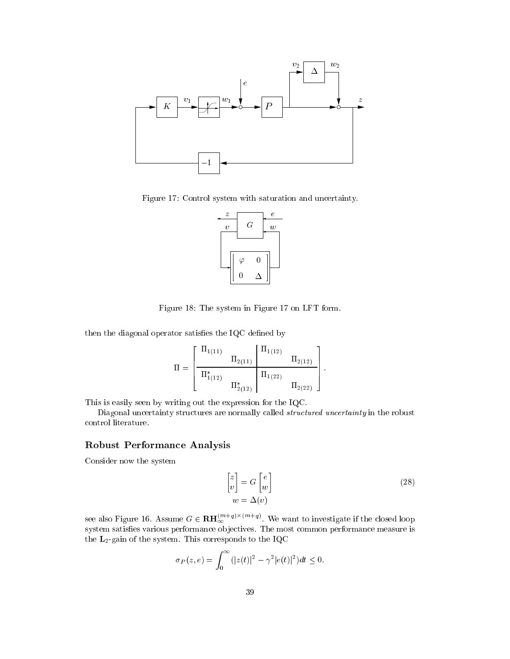

Figure 17: Control system with saturation and uncertainty.



Figure 18: The system in Figure 17 on LFT form.

then the diagonal operator satisfies the  $IQC$  defined by

$$
\Pi = \left[ \begin{array}{cc|c} \Pi_{1(11)} & & \Pi_{1(12)} & \Pi_{1(12)} \\ \hline \Pi_{1(12)}^* & & \Pi_{1(22)} \\ \hline \Pi_{2(12)}^* & & \Pi_{2(22)} \end{array} \right].
$$

This is easily seen by writing out the expression for the IQC.

Diagonal uncertainty structures are normally called *structured uncertainty* in the robust ontrol literature.

## Robust Performan
e Analysis

Consider now the system

$$
\begin{bmatrix} z \\ v \end{bmatrix} = G \begin{bmatrix} e \\ w \end{bmatrix}
$$
  
\n
$$
w = \Delta(v)
$$
\n(28)

see also Figure 16. Assume  $G \in \mathbf{RH}_{\infty}^{(m+q)\times(m+q)}$ . We want to investigate if the closed loop system satisfies various performance objectives. The most common performance measure is the  $L_2$ -gain of the system. This corresponds to the IQC

$$
\sigma_P(z, e) = \int_0^\infty (|z(t)|^2 - \gamma^2 |e(t)|^2) dt \le 0.
$$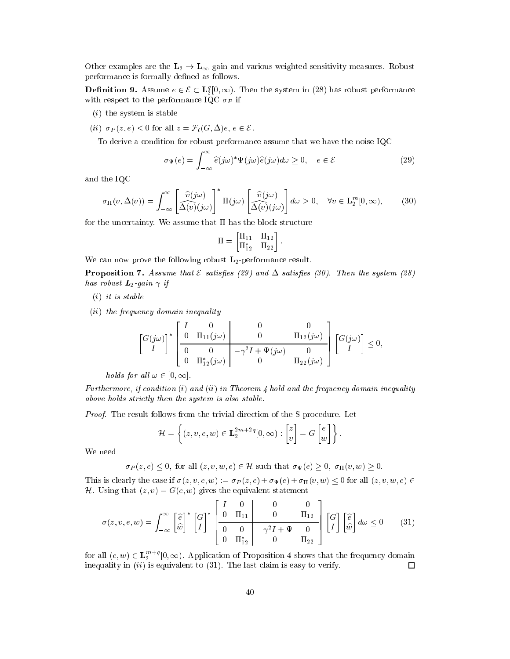Other examples are the  $L_2 \rightarrow L_{\infty}$  gain and various weighted sensitivity measures. Robust performance is formally defined as follows.

**Definition 9.** Assume  $e \in \mathcal{E} \subset L_2^q[0,\infty)$ . Then the system in (28) has robust performance with respect to the performance IQC  $\sigma_P$  if

- (i) the system is stable
- (ii)  $\sigma_P(z, e) \leq 0$  for all  $z = \mathcal{F}_l(G, \Delta)e, e \in \mathcal{E}$ .

To derive a ondition for robust performan
e assume that we have the noise IQC

$$
\sigma_{\Psi}(e) = \int_{-\infty}^{\infty} \hat{e}(j\omega)^* \Psi(j\omega) \hat{e}(j\omega) d\omega \ge 0, \quad e \in \mathcal{E}
$$
 (29)

and the IQC

$$
\sigma_{\Pi}(v, \Delta(v)) = \int_{-\infty}^{\infty} \left[ \frac{\widehat{v}(j\omega)}{\Delta(v)(j\omega)} \right]^* \Pi(j\omega) \left[ \frac{\widehat{v}(j\omega)}{\Delta(v)(j\omega)} \right] d\omega \ge 0, \quad \forall v \in \mathbf{L}_2^m[0, \infty), \tag{30}
$$

for the uncertainty. We assume that  $\Pi$  has the block structure

$$
\Pi = \begin{bmatrix} \Pi_{11} & \Pi_{12} \\ \Pi_{12}^* & \Pi_{22} \end{bmatrix}.
$$

We can now prove the following robust  $L_2$ -performance result.

**Proposition 7.** Assume that  $\mathcal E$  satisfies (29) and  $\Delta$  satisfies (30). Then the system (28) has robust  $\boldsymbol{L}_2$ -gain  $\gamma$  if

(i) it is stable

(ii) the frequen
y domain inequality

$$
\begin{bmatrix} G(j\omega) \\ I \end{bmatrix}^* \begin{bmatrix} I & 0 & 0 & 0 \\ 0 & \Pi_{11}(j\omega) & 0 & \Pi_{12}(j\omega) \\ 0 & 0 & -\gamma^2 I + \Psi(j\omega) & 0 \\ 0 & \Pi_{12}^*(j\omega) & 0 & \Pi_{22}(j\omega) \end{bmatrix} \begin{bmatrix} G(j\omega) \\ I \end{bmatrix} \leq 0,
$$

holds for all  $\omega \in [0, \infty]$ .

Furthermore, if condition (i) and (ii) in Theorem 4 hold and the frequency domain inequality above holds strictly then the system is also stable.

Proof. The result follows from the trivial direction of the S-procedure. Let

$$
\mathcal{H} = \left\{ (z, v, e, w) \in \mathbf{L}_2^{2m+2q}[0, \infty) : \begin{bmatrix} z \\ v \end{bmatrix} = G \begin{bmatrix} e \\ w \end{bmatrix} \right\}.
$$

We need

$$
\sigma_P(z, e) \leq 0
$$
, for all  $(z, v, w, e) \in \mathcal{H}$  such that  $\sigma_{\Psi}(e) \geq 0$ ,  $\sigma_{\Pi}(v, w) \geq 0$ .

This is clearly the case if  $\sigma(z, v, e, w) := \sigma_P(z, e) + \sigma_\Psi(e) + \sigma_\Pi(v, w) \leq 0$  for all  $(z, v, w, e) \in$ H. Using that  $(z, v) = G(e, w)$  gives the equivalent statement

$$
\sigma(z,v,e,w) = \int_{-\infty}^{\infty} \left[\frac{\hat{e}}{\hat{w}}\right]^* \left[\frac{G}{I}\right]^* \left[\frac{I}{0} - \frac{0}{\frac{0}{\ln 1}}\right] \left[\begin{array}{cc} 0 & 0 & 0\\ 0 & \frac{0}{\ln 12} \\ 0 & 0 & -\gamma^2 I + \Psi & 0\\ 0 & \frac{0}{\ln 22} \end{array}\right] \left[\frac{G}{I}\right] \left[\frac{\hat{e}}{\hat{w}}\right] d\omega \le 0 \quad (31)
$$

for all  $(e, w) \in L_2^{m+q}[0, \infty)$ . Application of Proposition 4 shows that the frequency domain inequality in  $(ii)$  is equivalent to  $(31)$ . The last claim is easy to verify.  $\Box$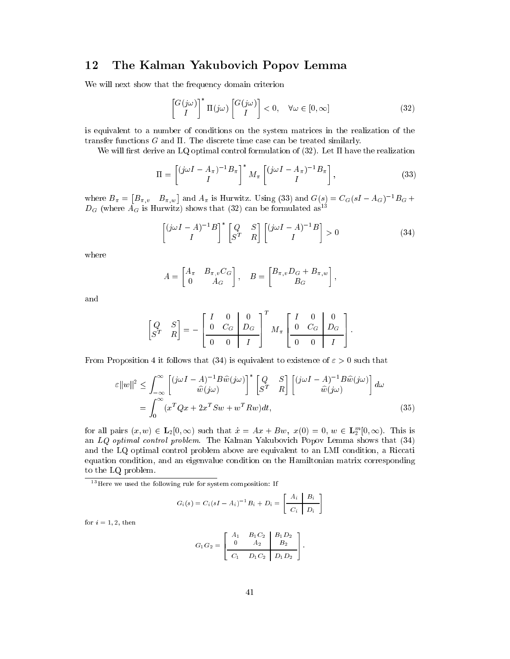# 12 The Kalman Yakubovi
h Popov Lemma

We will next show that the frequency domain criterion

$$
\begin{bmatrix} G(j\omega) \\ I \end{bmatrix}^* \Pi(j\omega) \begin{bmatrix} G(j\omega) \\ I \end{bmatrix} < 0, \quad \forall \omega \in [0, \infty]
$$
 (32)

is equivalent to a number of onditions on the system matri
es in the realization of the transfer functions  $G$  and  $\Pi$ . The discrete time case can be treated similarly.

We will first derive an LQ optimal control formulation of  $(32)$ . Let  $\Pi$  have the realization

$$
\Pi = \begin{bmatrix} (j\omega I - A_{\pi})^{-1} B_{\pi} \\ I \end{bmatrix}^* M_{\pi} \begin{bmatrix} (j\omega I - A_{\pi})^{-1} B_{\pi} \\ I \end{bmatrix},
$$
\n(33)

where  $B_{\pi} = [B_{\pi,v} \quad B_{\pi,w}]$  and  $A_{\pi}$  is Hurwitz. Using (33) and  $G(s) = C_G(sI - A_G)^{-1}B_G +$  $D_G$  (where  $A_G$  is Hurwitz) shows that (32) can be formulated as<sup>13</sup>

$$
\begin{bmatrix} (j\omega I - A)^{-1}B \\ I \end{bmatrix}^* \begin{bmatrix} Q & S \\ S^T & R \end{bmatrix} \begin{bmatrix} (j\omega I - A)^{-1}B \\ I \end{bmatrix} > 0 \tag{34}
$$

where

$$
A = \begin{bmatrix} A_{\pi} & B_{\pi, v} C_G \\ 0 & A_G \end{bmatrix}, \quad B = \begin{bmatrix} B_{\pi, v} D_G + B_{\pi, w} \\ B_G \end{bmatrix},
$$

and

$$
\begin{bmatrix} Q & S \\ S^T & R \end{bmatrix} = - \begin{bmatrix} I & 0 & 0 \\ 0 & C_G & D_G \\ 0 & 0 & I \end{bmatrix}^T M_\pi \begin{bmatrix} I & 0 & 0 \\ 0 & C_G & D_G \\ 0 & 0 & I \end{bmatrix}.
$$

From Proposition 4 it follows that (34) is equivalent to existence of  $\varepsilon > 0$  such that

$$
\varepsilon ||w||^2 \leq \int_{-\infty}^{\infty} \left[ (j\omega I - A)^{-1} B \widehat{w}(j\omega) \right]^* \left[ Q - S \right] \left[ (j\omega I - A)^{-1} B \widehat{w}(j\omega) \right] d\omega \n= \int_{0}^{\infty} (x^T Q x + 2x^T S w + w^T R w) dt,
$$
\n(35)

for all pairs  $(x, w) \in \mathbf{L}_2[0, \infty)$  such that  $\dot{x} = Ax + Bw, x(0) = 0, w \in \mathbf{L}_2^m[0, \infty)$ . This is an LQ optimal ontrol problem. The Kalman Yakubovi
h Popov Lemma shows that (34) and the LQ optimal control problem above are equivalent to an LMI condition, a Riccati equation ondition, and an eigenvalue ondition on the Hamiltonian matrix orresponding to the LQ problem.

<sup>13</sup> Here we used the following rule for system composition: If

$$
G_i(s) = C_i (sI - A_i)^{-1} B_i + D_i = \left[ \begin{array}{c|c} A_i & B_i \\ \hline C_i & D_i \end{array} \right]
$$

for  $i = 1, 2$ , then

$$
G_1G_2 = \begin{bmatrix} A_1 & B_1C_2 & B_1D_2 \\ 0 & A_2 & B_2 \\ \hline C_1 & D_1C_2 & D_1D_2 \end{bmatrix}.
$$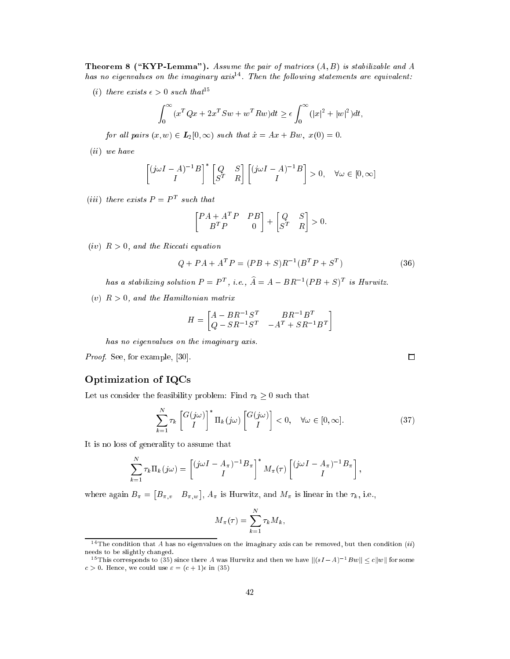**Theorem 8 ("KYP-Lemma").** Assume the pair of matrices  $(A, B)$  is stabilizable and A nas no eigenvalues on the imaginary axis<sup>2</sup> . Then the following statements are equivalent:

(i) there exists  $\epsilon > 0$  such that<sup>15</sup>

$$
\int_0^\infty (x^T Q x + 2x^T S w + w^T R w) dt \ge \epsilon \int_0^\infty (|x|^2 + |w|^2) dt,
$$

for all pairs  $(x, w) \in L_2[0, \infty)$  such that  $\dot{x} = Ax + Bw, x(0) = 0$ .

(ii) we have

$$
\begin{bmatrix} (j\omega I - A)^{-1}B \\ I \end{bmatrix}^* \begin{bmatrix} Q & S \\ S^T & R \end{bmatrix} \begin{bmatrix} (j\omega I - A)^{-1}B \\ I \end{bmatrix} > 0, \quad \forall \omega \in [0, \infty]
$$

(*iii*) there exists  $P = P<sup>T</sup>$  such that

$$
\begin{bmatrix} P A + A^T P & P B \\ B^T P & 0 \end{bmatrix} + \begin{bmatrix} Q & S \\ S^T & R \end{bmatrix} > 0.
$$

 $(iv)$   $R > 0$ , and the Riccati equation

$$
Q + PA + AT P = (PB + S)R-1(BT P + ST)
$$
\n(36)

has a stabilizing solution  $P = P^T$ , i.e.,  $\overline{A} = A - BR^{-1}(PB + S)^T$  is Hurwitz.

(v)  $R > 0$ , and the Hamiltonian matrix

$$
H = \begin{bmatrix} A - BR^{-1}S^T & BR^{-1}B^T \\ Q - SR^{-1}S^T & -A^T + SR^{-1}B^T \end{bmatrix}
$$

has no eigenvalues on the imaginary axis.

*Proof.* See, for example,  $[30]$ .

## Optimization of IQCs

Let us consider the feasibility problem: Find  $\tau_k \geq 0$  such that

$$
\sum_{k=1}^{N} \tau_k \begin{bmatrix} G(j\omega) \\ I \end{bmatrix}^* \Pi_k(j\omega) \begin{bmatrix} G(j\omega) \\ I \end{bmatrix} < 0, \quad \forall \omega \in [0, \infty].
$$
 (37)

It is no loss of generality to assume that

$$
\sum_{k=1}^N \tau_k \Pi_k(j\omega) = \left[\frac{(j\omega I - A_{\pi})^{-1}B_{\pi}}{I}\right]^* M_{\pi}(\tau) \left[\frac{(j\omega I - A_{\pi})^{-1}B_{\pi}}{I}\right],
$$

where again  $B_{\pi} = [B_{\pi,v} \quad B_{\pi,w}], A_{\pi}$  is Hurwitz, and  $M_{\pi}$  is linear in the  $\tau_k$ , i.e.,

$$
M_{\pi}(\tau) = \sum_{k=1}^{N} \tau_k M_k,
$$

 $\Box$ 

<sup>&</sup>lt;sup>14</sup> The condition that A has no eigenvalues on the imaginary axis can be removed, but then condition  $(ii)$ needs to be slightly hanged.

<sup>&</sup>lt;sup>15</sup> This corresponds to (35) since there A was Hurwitz and then we have  $||(sI - A)^{-1}Bw|| < c||w||$  for some  $c > 0$ . Hence, we could use  $\varepsilon = (c + 1)\epsilon$  in (35)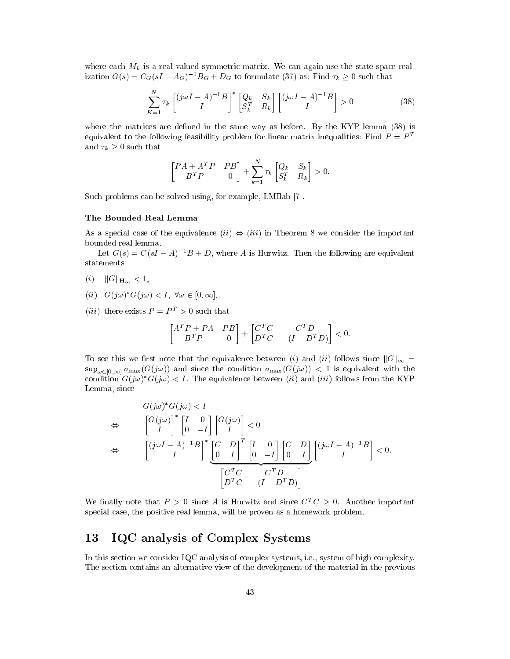where each  $M_k$  is a real valued symmetric matrix. We can again use the state space realization  $G(s) = C_G(sI - A_G)^{-1}B_G + D_G$  to formulate (37) as: Find  $\tau_k \geq 0$  such that

$$
\sum_{K=1}^{N} \tau_k \begin{bmatrix} (j\omega I - A)^{-1}B \\ I \end{bmatrix}^* \begin{bmatrix} Q_k & S_k \\ S_k^T & R_k \end{bmatrix} \begin{bmatrix} (j\omega I - A)^{-1}B \\ I \end{bmatrix} > 0 \tag{38}
$$

where the matrices are defined in the same way as before. By the KYP lemma  $(38)$  is equivalent to the following feasibility problem for linear matrix inequalities: Find  $P = P<sup>T</sup>$ and  $\tau_k \geq 0$  such that

$$
\begin{bmatrix} P A + A^T P & P B \\ B^T P & 0 \end{bmatrix} + \sum_{k=1}^N \tau_k \begin{bmatrix} Q_k & S_k \\ S_k^T & R_k \end{bmatrix} > 0.
$$

N

Such problems can be solved using, for example, LMIlab [7].

#### The Bounded Real Lemma

As a special case of the equivalence  $(ii) \Leftrightarrow (iii)$  in Theorem 8 we consider the important bounded real lemma.

Let  $G(s) = C(sI - A)^{-1}B + D$ , where A is Hurwitz. Then the following are equivalent statements

- (i)  $||G||_{\mathbf{H}_{\infty}} < 1,$
- $(u \cup U, w) \cup U(y \cup U) \subseteq V$ ,  $vw \in U, \infty$ ,
- (*iii*) there exists  $P = P^T > 0$  such that

$$
\begin{bmatrix} A^TP+PA & PB \\ B^TP & 0 \end{bmatrix} + \begin{bmatrix} C^TC & C^TD \\ D^TC & -(I-D^TD) \end{bmatrix} < 0.
$$

To see this we first note that the equivalence between (i) and (ii) follows since  $||G||_{\infty} =$  $\sup_{\omega \in [0,\infty]} \sigma_{\max}(G(j\omega))$  and since the condition  $\sigma_{\max}(G(j\omega)) < 1$  is equivalent with the condition  $G(j\omega)$   $G(j\omega) \leq T$ . The equivalence between (*ii*) and (*iii*) follows from the KYP Lemma, sin
e

$$
G(j\omega)^* G(j\omega) < I
$$
  
\n
$$
\Leftrightarrow \qquad \begin{bmatrix} G(j\omega)^* & I & 0 \\ I & 0 & -I \end{bmatrix} \begin{bmatrix} G(j\omega) \\ I & 0 \end{bmatrix} < 0
$$
  
\n
$$
\Leftrightarrow \qquad \begin{bmatrix} (j\omega I - A)^{-1}B \\ I & 0 \end{bmatrix}^* \begin{bmatrix} C & D \\ 0 & I \end{bmatrix}^T \begin{bmatrix} I & 0 \\ 0 & -I \end{bmatrix} \begin{bmatrix} C & D \\ 0 & I \end{bmatrix} \begin{bmatrix} (j\omega I - A)^{-1}B \\ I & 0 \end{bmatrix} < 0.
$$
  
\n
$$
\begin{bmatrix} C^T C & C^T D \\ D^T C & -(I - D^T D) \end{bmatrix}
$$

We finally note that  $P > 0$  since A is Hurwitz and since  $C^T C > 0$ . Another important spe
ial ase, the positive real lemma, will be proven as a homework problem.

## 13 IQC analysis of Complex Systems

In this section we consider IQC analysis of complex systems, i.e., system of high complexity. The se
tion ontains an alternative view of the development of the material in the previous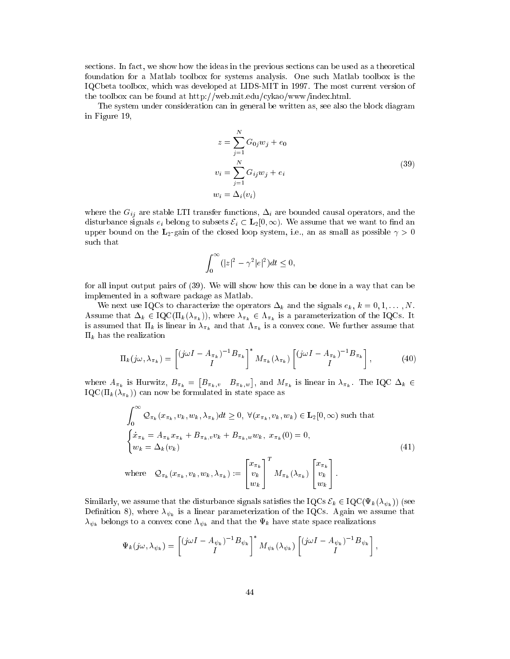sections. In fact, we show how the ideas in the previous sections can be used as a theoretical foundation for a Matlab toolbox for systems analysis. One su
h Matlab toolbox is the IQCbeta toolbox, whi
h was developed at LIDS-MIT in 1997. The most urrent version of the toolbox can be found at http://web.mit.edu/cykao/www/index.html.

The system under onsideration an in general be written as, see also the blo
k diagram in Figure 19,

$$
z = \sum_{j=1}^{N} G_{0j} w_j + e_0
$$
  
\n
$$
v_i = \sum_{j=1}^{N} G_{ij} w_j + e_i
$$
  
\n
$$
w_i = \Delta_i(v_i)
$$
\n(39)

where the  $G_{ij}$  are stable LTI transfer functions,  $\Delta_i$  are bounded causal operators, and the disturbance signals  $e_i$  belong to subsets  $\mathcal{E}_i \subset \mathbf{L}_2[0,\infty)$ . We assume that we want to find an upper bound on the L<sub>2</sub>-gain of the closed loop system, i.e., an as small as possible  $\gamma > 0$ su
h that

$$
\int_0^\infty (|z|^2 - \gamma^2 |e|^2) dt \le 0,
$$

for all input output pairs of (39). We will show how this an be done in a way that an be implemented in a software pa
kage as Matlab.

We next use IQCs to characterize the operators  $\Delta_k$  and the signals  $e_k$ ,  $k = 0, 1, ..., N$ . Assume that  $\Delta_k \in \text{IQC}(\Pi_k (\lambda_{\pi_k}))$ , where  $\lambda_{\pi_k} \in \Lambda_{\pi_k}$  is a parameterization of the IQCs. It is assumed that  $\Pi_k$  is linear in  $\lambda_{\pi_k}$  and that  $\Lambda_{\pi_k}$  is a convex cone. We further assume that  $\Pi_k$  has the realization

$$
\Pi_k(j\omega,\lambda_{\pi_k}) = \begin{bmatrix} (j\omega I - A_{\pi_k})^{-1} B_{\pi_k} \\ I \end{bmatrix}^* M_{\pi_k}(\lambda_{\pi_k}) \begin{bmatrix} (j\omega I - A_{\pi_k})^{-1} B_{\pi_k} \\ I \end{bmatrix},
$$
(40)

where  $A_{\pi_k}$  is Hurwitz,  $B_{\pi_k} = [B_{\pi_k,v} \quad B_{\pi_k,w}]$ , and  $M_{\pi_k}$  is linear in  $\lambda_{\pi_k}$ . The IQC  $\Delta_k \in$  $\text{IQC}(\Pi_k(\lambda_{\pi_k}))$  can now be formulated in state space as

$$
\int_0^\infty \mathcal{Q}_{\pi_k}(x_{\pi_k}, v_k, w_k, \lambda_{\pi_k}) dt \ge 0, \ \forall (x_{\pi_k}, v_k, w_k) \in \mathbf{L}_2[0, \infty) \text{ such that}
$$
\n
$$
\begin{cases}\n\dot{x}_{\pi_k} = A_{\pi_k} x_{\pi_k} + B_{\pi_k, v} v_k + B_{\pi_k, w} w_k, \ x_{\pi_k}(0) = 0, \\
w_k = \Delta_k(v_k)\n\end{cases}
$$
\n(41)\nwhere\n
$$
\mathcal{Q}_{\pi_k}(x_{\pi_k}, v_k, w_k, \lambda_{\pi_k}) := \begin{bmatrix} x_{\pi_k} \\ v_k \\ w_k \end{bmatrix}^T M_{\pi_k}(\lambda_{\pi_k}) \begin{bmatrix} x_{\pi_k} \\ v_k \\ w_k \end{bmatrix}.
$$

Similarly, we assume that the disturbance signals satisfies the IQCs  $\mathcal{E}_k \in \mathrm{IQC}(\Psi_k(\lambda_{\psi_k}))$  (see Definition 8), where  $\lambda_{\psi_k}$  is a linear parameterization of the IQCs. Again we assume that  $\lambda_{\psi_k}$  belongs to a convex cone  $\Lambda_{\psi_k}$  and that the  $\Psi_k$  have state space realizations

$$
\Psi_k(j\omega,\lambda_{\psi_k}) = \begin{bmatrix} (j\omega I - A_{\psi_k})^{-1}B_{\psi_k} \\ I \end{bmatrix}^* M_{\psi_k}(\lambda_{\psi_k}) \begin{bmatrix} (j\omega I - A_{\psi_k})^{-1}B_{\psi_k} \\ I \end{bmatrix},
$$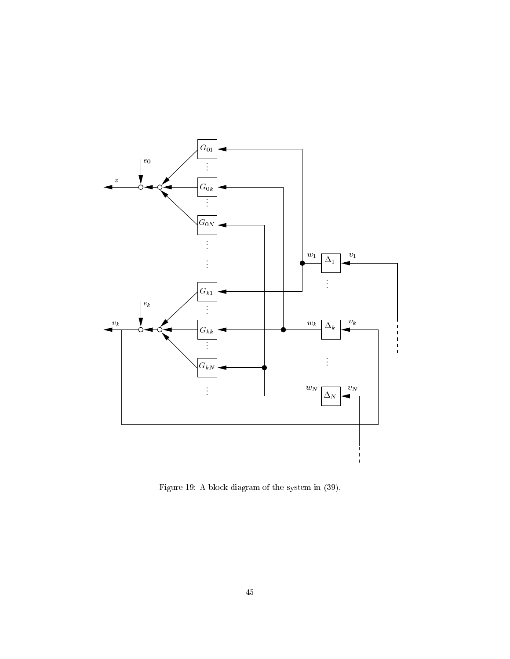

Figure 19: A blo
k diagram of the system in (39).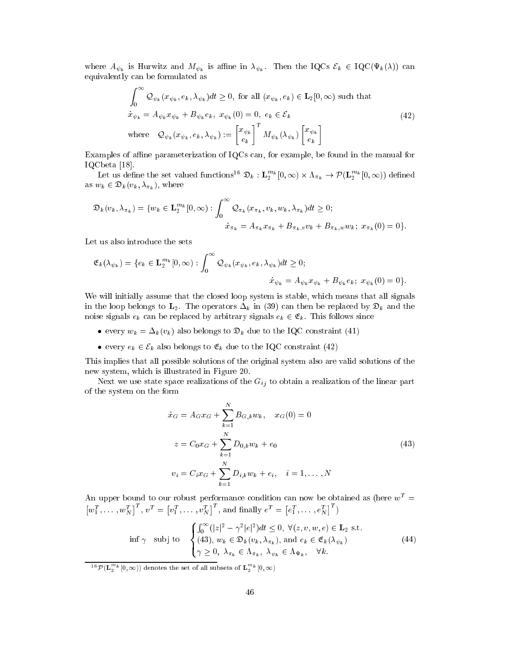where  $A_{\psi_k}$  is Hurwitz and  $M_{\psi_k}$  is affine in  $\lambda_{\psi_k}$ . Then the IQCs  $\mathcal{E}_k \in \mathrm{IQC}(\Psi_k(\lambda))$  can equivalently an be formulated as

$$
\int_0^\infty \mathcal{Q}_{\psi_k}(x_{\psi_k}, e_k, \lambda_{\psi_k}) dt \ge 0, \text{ for all } (x_{\psi_k}, e_k) \in \mathbf{L}_2[0, \infty) \text{ such that}
$$
  
\n
$$
\dot{x}_{\psi_k} = A_{\psi_k} x_{\psi_k} + B_{\psi_k} e_k, \ x_{\psi_k}(0) = 0, \ e_k \in \mathcal{E}_k
$$
  
\nwhere 
$$
\mathcal{Q}_{\psi_k}(x_{\psi_k}, e_k, \lambda_{\psi_k}) := \begin{bmatrix} x_{\psi_k} \\ e_k \end{bmatrix}^T M_{\psi_k}(\lambda_{\psi_k}) \begin{bmatrix} x_{\psi_k} \\ e_k \end{bmatrix}
$$
\n(42)

Examples of affine parameterization of IQCs can, for example, be found in the manual for IQCbeta  $[18]$ .

Let us define the set valued functions<sup>16</sup>  $\mathfrak{D}_k : \mathbf{L}_2^{m_k}[0,\infty) \times \Lambda_{\pi_k} \to \mathcal{P}(\mathbf{L}_2^{m_k}[0,\infty))$  defined as  $w_k \in \mathfrak{D}_k(v_k, \lambda_{\pi_k}),$  where

$$
\mathfrak{D}_k(v_k, \lambda_{\pi_k}) = \{ w_k \in \mathbf{L}_2^{m_k}[0, \infty) : \int_0^\infty \mathcal{Q}_{\pi_k}(x_{\pi_k}, v_k, w_k, \lambda_{\pi_k}) dt \ge 0; \n\dot{x}_{\pi_k} = A_{\pi_k} x_{\pi_k} + B_{\pi_k, v} v_k + B_{\pi_k, w} w_k; \ x_{\pi_k}(0) = 0 \}.
$$

Let us also introduce the sets

$$
\mathfrak{E}_{k}(\lambda_{\psi_{k}}) = \{e_{k} \in \mathbf{L}_{2}^{m_{k}}[0, \infty) : \int_{0}^{\infty} \mathcal{Q}_{\psi_{k}}(x_{\psi_{k}}, e_{k}, \lambda_{\psi_{k}})dt \ge 0; \n\dot{x}_{\psi_{k}} = A_{\psi_{k}}x_{\psi_{k}} + B_{\psi_{k}}e_{k}; \ x_{\psi_{k}}(0) = 0\}.
$$

We will initially assume that the closed loop system is stable, which means that all signals in the loop belongs to  $\mathbf{L}_2$ . The operators  $\Delta_k$  in (39) can then be replaced by  $\mathfrak{D}_k$  and the noise signals  $e_k$  can be replaced by arbitrary signals  $e_k \in \mathfrak{E}_k$ . This follows since

- $\bullet$  every  $w_k = \Delta_k (v_k)$  also belongs to  $\mathcal{D}_k$  due to the IQC constraint (41)
- $\bullet$  every  $e_k \in c_k$  also belongs to  $\mathfrak{e}_k$  que to the IQC constraint (42)

This implies that all possible solutions of the original system also are valid solutions of the new system, whi
h is illustrated in Figure 20.

Next we use state space realizations of the  $G_{ij}$  to obtain a realization of the linear part of the system on the form

$$
\dot{x}_G = A_G x_G + \sum_{k=1}^N B_{G,k} w_k, \quad x_G(0) = 0
$$
  

$$
z = C_0 x_G + \sum_{k=1}^N D_{0,k} w_k + e_0
$$
  

$$
v_i = C_i x_G + \sum_{k=1}^N D_{i,k} w_k + e_i, \quad i = 1, ..., N
$$
 (43)

An upper bound to our robust performance condition can now be obtained as (here  $w^T =$  $\left[w_1^T,\ldots,w_N^T\right]$  $\left[\begin{smallmatrix} T & 0 & T \end{smallmatrix}\right] = \left[\begin{smallmatrix} v_1^T & 0 & \cdots & v_N^T \end{smallmatrix}\right]$  $\left[ \begin{smallmatrix} T \end{smallmatrix} \right]$ , and finally  $e^T =$  $[e_1^T, \ldots, e_N^T]$  $\ket{^T}$ 

$$
\inf \gamma \quad \text{subj to} \quad \begin{cases} \int_0^\infty (|z|^2 - \gamma^2 |e|^2) dt \le 0, \ \forall (z, v, w, e) \in \mathbf{L}_2 \text{ s.t.} \\ (43), \ w_k \in \mathfrak{D}_k(v_k, \lambda_{\pi_k}), \text{ and } e_k \in \mathfrak{E}_k(\lambda_{\psi_k}) \\ \gamma \ge 0, \ \lambda_{\pi_k} \in \Lambda_{\pi_k}, \ \lambda_{\psi_k} \in \Lambda_{\Psi_k}, \quad \forall k. \end{cases} \tag{44}
$$

 $^{16}\mathcal{P}(\mathbf{L}_{2}^{m_{k}}[0,\infty))$  denotes the set of all subsets of  $\mathbf{L}_{2}^{m_{k}}[0,\infty)$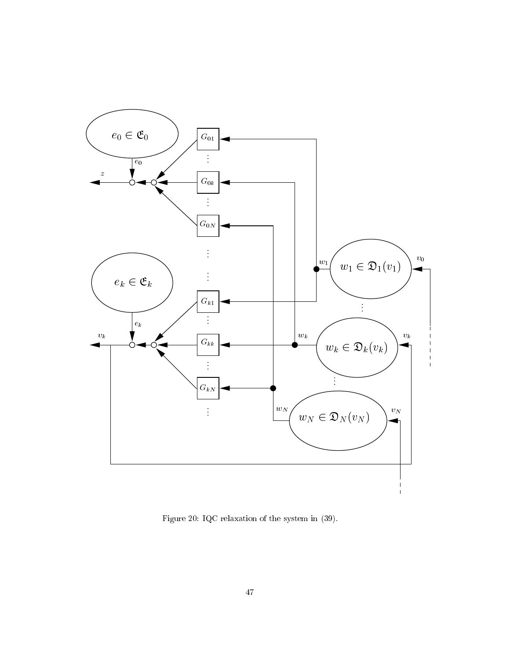

Figure 20: IQC relaxation of the system in (39).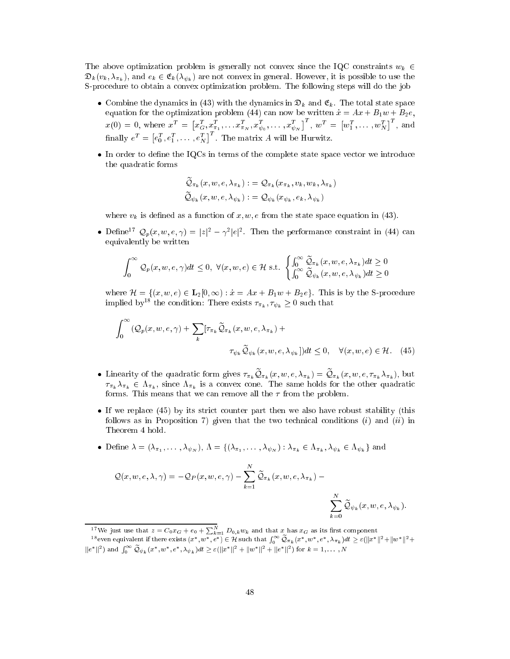The above optimization problem is generally not convex since the IQC constraints  $w_k \in$  $\mathfrak{D}_k(v_k, \lambda_{\pi_k})$ , and  $e_k \in \mathfrak{E}_k(\lambda_{\psi_k})$  are not convex in general. However, it is possible to use the S-pro
edure to obtain a onvex optimization problem. The following steps will do the job

- Combine the dynamics in (45) with the dynamics in  $\mathcal{D}_k$  and  $\mathfrak{C}_k$ . The total state space equation for the optimization problem (44) can now be written  $\dot{x} = Ax + B_1w + B_2e$ ,  $x(0)\,=\,0,\;{\rm where}\,\;x^T\,=\,\bigl[x_G^T,x_{\pi_1}^T,\ldots x_{\pi_N}^T,x_{\psi_0}^T,\ldots,x_{\psi_N}^T$  $\overline{\mathbf{u}}^T, \ \overline{\mathbf{w}}^T = \begin{bmatrix} w_1^T, \dots, w_N^T \end{bmatrix}$  $\vert^T$ , and finally  $e^T=$  $[e_0^T, e_1^T, \ldots, e_N^T]$  $\left| \begin{smallmatrix} T \end{smallmatrix} \right|$ . The matrix A will be Hurwitz.
- In order to dene the IQCs in terms of the omplete state spa
e ve
tor we introdu
e the quadrati forms

$$
\begin{aligned} \widetilde{\mathcal{Q}}_{\pi_k}(x,w,e,\lambda_{\pi_k}) :&= \mathcal{Q}_{\pi_k}(x_{\pi_k},v_k,w_k,\lambda_{\pi_k}) \\ \widetilde{\mathcal{Q}}_{\psi_k}(x,w,e,\lambda_{\psi_k}) :&= \mathcal{Q}_{\psi_k}(x_{\psi_k},e_k,\lambda_{\psi_k}) \end{aligned}
$$

where  $v_k$  is defined as a function of x, w, e from the state space equation in (43).

• Denne<sup>2</sup>  $\bigcirc \varphi_p(x, w, e, \gamma) = |z|$ <sup>2</sup> –  $\gamma$ <sup>2</sup>  $|e|$ <sup>2</sup>. Then the performance constraint in (44) can equivalently be written

$$
\int_0^\infty \mathcal{Q}_p(x, w, e, \gamma) dt \le 0, \ \forall (x, w, e) \in \mathcal{H} \ \text{s.t.} \ \begin{cases} \int_0^\infty \widetilde{\mathcal{Q}}_{\pi_k}(x, w, e, \lambda_{\pi_k}) dt \ge 0 \\ \int_0^\infty \widetilde{\mathcal{Q}}_{\psi_k}(x, w, e, \lambda_{\psi_k}) dt \ge 0 \end{cases}
$$

where  $\mathcal{H} = \{(x, w, e) \in \mathbf{L}_2[0, \infty) : \dot{x} = Ax + B_1w + B_2e\}.$  This is by the S-procedure implied by<sup>18</sup> the condition: There exists  $\tau_{\pi_k}, \tau_{\psi_k} \geq 0$  such that

$$
\int_0^\infty \left(\mathcal{Q}_p(x, w, e, \gamma) + \sum_k \left[\tau_{\pi_k} \widetilde{\mathcal{Q}}_{\pi_k}(x, w, e, \lambda_{\pi_k}) + \right] \right. \\
\left. \qquad \qquad \tau_{\psi_k} \widetilde{\mathcal{Q}}_{\psi_k}(x, w, e, \lambda_{\psi_k})\right) dt \leq 0, \quad \forall (x, w, e) \in \mathcal{H}.
$$
\n(45)

- **u** Eliterarity of the quadratic form gives  $\pi_{\pi_k} \not\approx_{\pi_k} (x, w, \epsilon, \Lambda_{\pi_k}) = \not\approx_{\pi_k} (x, w, \epsilon, \Lambda_{\pi_k} \Lambda_{\pi_k})$ , but  $\tau_{\pi_k} \lambda_{\pi_k} \in \Lambda_{\pi_k}$ , since  $\Lambda_{\pi_k}$  is a convex cone. The same holds for the other quadratic forms. This means that we can remove all the  $\tau$  from the problem.
- e (45) by its strike (45) by its strike robust stability (this strike matrix from the strike  $\mu$  (this follows as in Proposition 7) given that the two technical conditions  $(i)$  and  $(ii)$  in Theorem 4 hold.
- **Define**  $\lambda = (\lambda_{\pi_1}, \ldots, \lambda_{\psi_N}), \Lambda = (\lambda_{\pi_1}, \ldots, \lambda_{\psi_N}) : \lambda_{\pi_k} \in \Lambda_{\pi_k}, \lambda_{\psi_k} \in \Lambda_{\psi_k}$  and

$$
Q(x, w, e, \lambda, \gamma) = -Q_P(x, w, e, \gamma) - \sum_{k=1}^{N} \widetilde{Q}_{\pi_k}(x, w, e, \lambda_{\pi_k}) - \sum_{k=0}^{N} \widetilde{Q}_{\psi_k}(x, w, e, \lambda_{\psi_k}).
$$

<sup>&</sup>lt;sup>17</sup> We just use that  $z = C_0 x_G + e_0 + \sum_{k=1}^{N} D_{0,k} w_k$  and that x has  $x_G$  as its first component

<sup>&</sup>lt;sup>18</sup>even equivalent if there exists  $(x^*, w^*, e^*) \in \mathcal{H}$  such that  $\int_0^\infty \mathcal{Q}_{\pi_k}(x^*, w^*, e^*, \lambda_{\pi_k}) dt \geq \varepsilon (\|x^*\|^2 + \|w^*\|^2 + \|w^*\|^2 + \|w^*\|^2)$  $\|e^*\|^2$ ) and  $\int_0^\infty \mathcal{Q}_{\psi_k}(x^*,w^*,e^*,\lambda_{\psi_k})dt \geq \varepsilon (\|x^*\|^2 + \|w^*\|^2 + \|e^*\|^2)$  for  $k = 1,\ldots,N$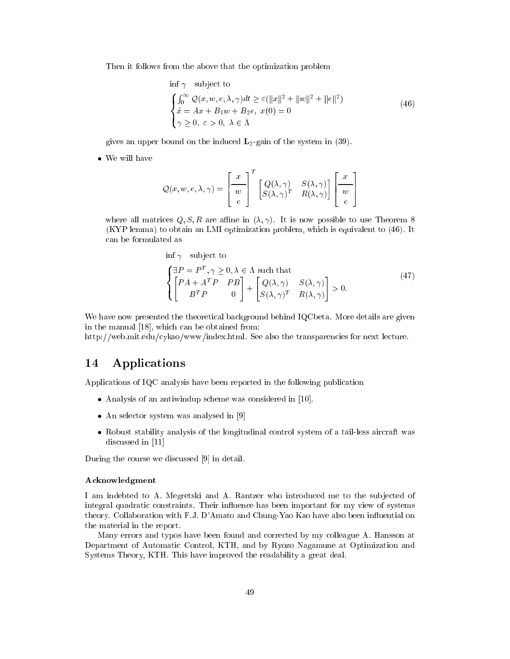Then it follows from the above that the optimization problem

$$
\inf \gamma \quad \text{subject to}
$$
\n
$$
\begin{cases}\n\int_0^\infty Q(x, w, e, \lambda, \gamma) dt \ge \varepsilon (\|x\|^2 + \|w\|^2 + \|e\|^2) \\
\dot{x} = Ax + B_1 w + B_2 e, \quad x(0) = 0 \\
\gamma \ge 0, \quad \varepsilon > 0, \quad \lambda \in \Lambda\n\end{cases}
$$
\n(46)

gives an upper bound on the induced  $\mathbf{L}_2$ -gain of the system in (39).

$$
Q(x, w, e, \lambda, \gamma) = \begin{bmatrix} x \\ w \\ e \end{bmatrix}^T \begin{bmatrix} Q(\lambda, \gamma) & S(\lambda, \gamma) \\ S(\lambda, \gamma)^T & R(\lambda, \gamma) \end{bmatrix} \begin{bmatrix} x \\ w \\ e \end{bmatrix}
$$

where all matrices  $Q, S, R$  are affine in  $(\lambda, \gamma)$ . It is now possible to use Theorem 8 (KYP lemma) to obtain an LMI optimization problem, whi
h is equivalent to (46). It can be formulated as

$$
\text{inf }\gamma \quad \text{subject to}
$$
\n
$$
\begin{cases}\n\exists P = P^T, \gamma \ge 0, \lambda \in \Lambda \text{ such that} \\
\begin{bmatrix} P A + A^T P & P B \\ B^T P & 0 \end{bmatrix} + \begin{bmatrix} Q(\lambda, \gamma) & S(\lambda, \gamma) \\ S(\lambda, \gamma)^T & R(\lambda, \gamma) \end{bmatrix} > 0.\n\end{cases}
$$
\n(47)

We have now presented the theoretical background behind IQCbeta. More details are given in the manual  $[18]$ , which can be obtained from:

http://web.mit.edu/cykao/www/index.html. See also the transparencies for next lecture.

#### **Applications** 14

Applications of IQC analysis have been reported in the following publication

- Analysis of an antiwindup s
heme was onsidered in [10℄.
- an selection was analysed in the selection of  $\mathbf{S}$
- raft system of the longitudinal comparation of the longitudinal control system of a tailor comparation of the discussed in  $[11]$

During the course we discussed [9] in detail.

#### A
knowledgment

I am indebted to A. Megretski and A. Rantzer who introduced me to the subjected of integral quadratic constraints. Their influence has been important for my view of systems theory. Collaboration with F.J. D'Amato and Chung-Yao Kao have also been influential on the material in the report.

Many errors and typos have been found and corrected by my colleague A. Hansson at Department of Automati Control, KTH, and by Ryozo Nagamune at Optimization and Systems Theory, KTH. This have improved the readability a great deal.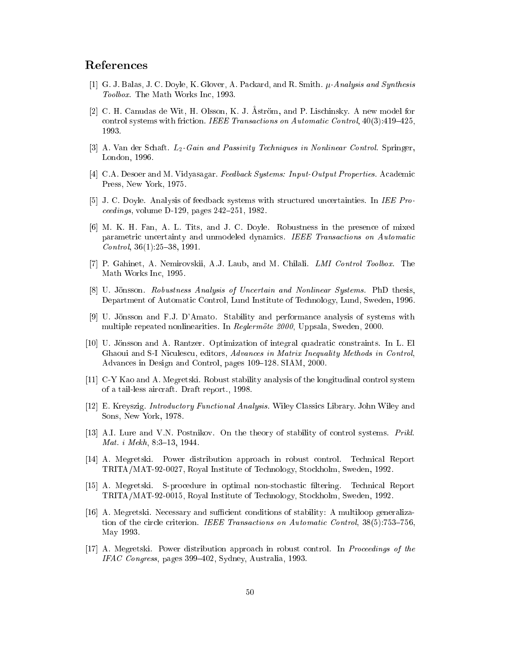## Referen
es

- [1] G. J. Balas, J. C. Doyle, K. Glover, A. Packard, and R. Smith.  $\mu$ -Analysis and Synthesis Toolbox. The Math Works In
, 1993.
- [2] C. H. Canudas de Wit, H. Olsson, K. J.  $\AA$ ström, and P. Lischinsky. A new model for control systems with friction. IEEE Transactions on Automatic Control,  $40(3):419-425$ , 1993.
- [3] A. Van der Schaft.  $L_2$ -Gain and Passivity Techniques in Nonlinear Control. Springer, London, 1996.
- [4] C.A. Desoer and M. Vidyasagar. Feedback Systems: Input-Output Properties. Academic Press, New York, 1975.
- [5] J. C. Doyle. Analysis of feedback systems with structured uncertainties. In IEE Proceedings, volume D-129, pages  $242-251$ , 1982.
- [6] M. K. H. Fan, A. L. Tits, and J. C. Doyle. Robustness in the presence of mixed parametric uncertainty and unmodeled dynamics. IEEE Transactions on Automatic Control,  $36(1):25{-}38, 1991$ .
- [7] P. Gahinet, A. Nemirovskii, A.J. Laub, and M. Chilali. LMI Control Toolbox. The Math Works In
, 1995.
- [8] U. Jönsson. Robustness Analysis of Uncertain and Nonlinear Systems. PhD thesis, Department of Automatic Control, Lund Institute of Technology, Lund, Sweden, 1996.
- [9] U. Jönsson and F.J. D'Amato. Stability and performance analysis of systems with multiple repeated nonlinearities. In Reglermote 2000, Uppsala, Sweden, 2000.
- [10] U. Jönsson and A. Rantzer. Optimization of integral quadratic constraints. In L. El Ghaoui and S-I Niculescu, editors, Advances in Matrix Inequality Methods in Control, Advances in Design and Control, pages 109-128. SIAM, 2000.
- [11] C-Y Kao and A. Megretski. Robust stability analysis of the longitudinal control system of a tail-less air
raft. Draft report., 1998.
- [12] E. Kreyszig. *Introductory Functional Analysis*. Wiley Classics Library. John Wiley and Sons, New York, 1978.
- [13] A.I. Lure and V.N. Postnikov. On the theory of stability of control systems. Prikl. Mat. i Mekh, 8:3-13, 1944.
- Power distribution approach in robust control. [14] A. Megretski. Technical Report TRITA/MAT-92-0027, Royal Institute of Te
hnology, Sto
kholm, Sweden, 1992.
- [15] A. Megretski. S-procedure in optimal non-stochastic filtering. Technical Report TRITA/MAT-92-0015, Royal Institute of Te
hnology, Sto
kholm, Sweden, 1992.
- [16] A. Megretski. Necessary and sufficient conditions of stability: A multiloop generalization of the circle criterion. IEEE Transactions on Automatic Control, 38(5):753–756. May 1993.
- [17] A. Megretski. Power distribution approach in robust control. In Proceedings of the  $IFAC Congress$ , pages 399–402, Sydney, Australia, 1993.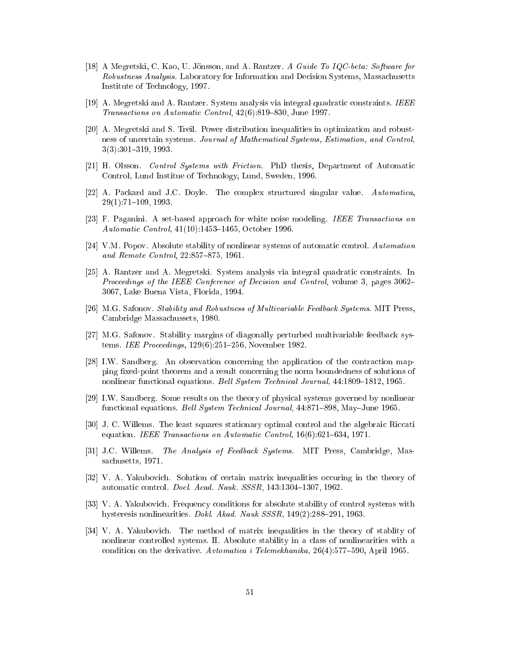- [18] A Megretski, C. Kao, U. Jönsson, and A. Rantzer. A Guide To  $IQC\text{-}beta: Software for$ Robustness Analysis. Laboratory for Information and Decision Systems, Massachusetts Institute of Te
hnology, 1997.
- [19] A. Megretski and A. Rantzer. System analysis via integral quadratic constraints. IEEE Transactions on Automatic Control, 42(6):819-830, June 1997.
- [20] A. Megretski and S. Treil. Power distribution inequalities in optimization and robustness of uncertain systems. Journal of Mathematical Systems, Estimation, and Control,  $3(3):301-319, 1993.$
- [21] H. Olsson. Control Systems with Friction. PhD thesis, Department of Automatic Control, Lund Institue of Te
hnology, Lund, Sweden, 1996.
- [22] A. Packard and J.C. Doyle. The complex structured singular value. Automatica,  $29(1)$ : 71-109, 1993.
- [23] F. Paganini. A set-based approach for white noise modeling. IEEE Transactions on Automatic Control, 41(10):1453-1465, October 1996.
- [24] V.M. Popov. Absolute stability of nonlinear systems of automatic control. Automation and Remote Control, 22:857-875, 1961.
- [25] A. Rantzer and A. Megretski. System analysis via integral quadratic constraints. In Proceedings of the IEEE Conference of Decision and Control, volume 3, pages 3062– 3067, Lake Buena Vista, Florida, 1994.
- [26] M.G. Safonov. Stability and Robustness of Multivariable Feedback Systems. MIT Press, Cambridge Massa
hussets, 1980.
- [27] M.G. Safonov. Stability margins of diagonally perturbed multivariable feedback systems. IEE Proceedings, 129(6):251-256, November 1982.
- [28] I.W. Sandberg. An observation concerning the application of the contraction mapping fixed-point theorem and a result concerning the norm boundedness of solutions of nonlinear functional equations. *Bell System Technical Journal*, 44:1809–1812, 1965.
- [29] I.W. Sandberg. Some results on the theory of physical systems governed by nonlinear functional equations. *Bell System Technical Journal*, 44:871–898, May–June 1965.
- [30] J. C. Willems. The least squares stationary optimal control and the algebraic Riccati equation. IEEE Transactions on Automatic Control, 16(6):621-634, 1971.
- [31] J.C. Willems. The Analysis of Feedback Systems. MIT Press, Cambridge, Massa
husetts, 1971.
- [32] V. A. Yakubovich. Solution of certain matrix inequalities occuring in the theory of automatic control. *Docl. Acad. Nauk. SSSR*, 143:1304-1307, 1962.
- [33] V. A. Yakubovich. Frequency conditions for absolute stability of control systems with hysteresis nonlinearities. Dokl. Akad. Nauk  $SSSR$ , 149(2):288-291, 1963.
- [34] V. A. Yakubovich. The method of matrix inequalities in the theory of stablity of nonlinear controlled systems. II. Absolute stability in a class of nonlinearities with a condition on the derivative. Avtomatica i Telemekhanika,  $26(4):577{-}590$ , April 1965.